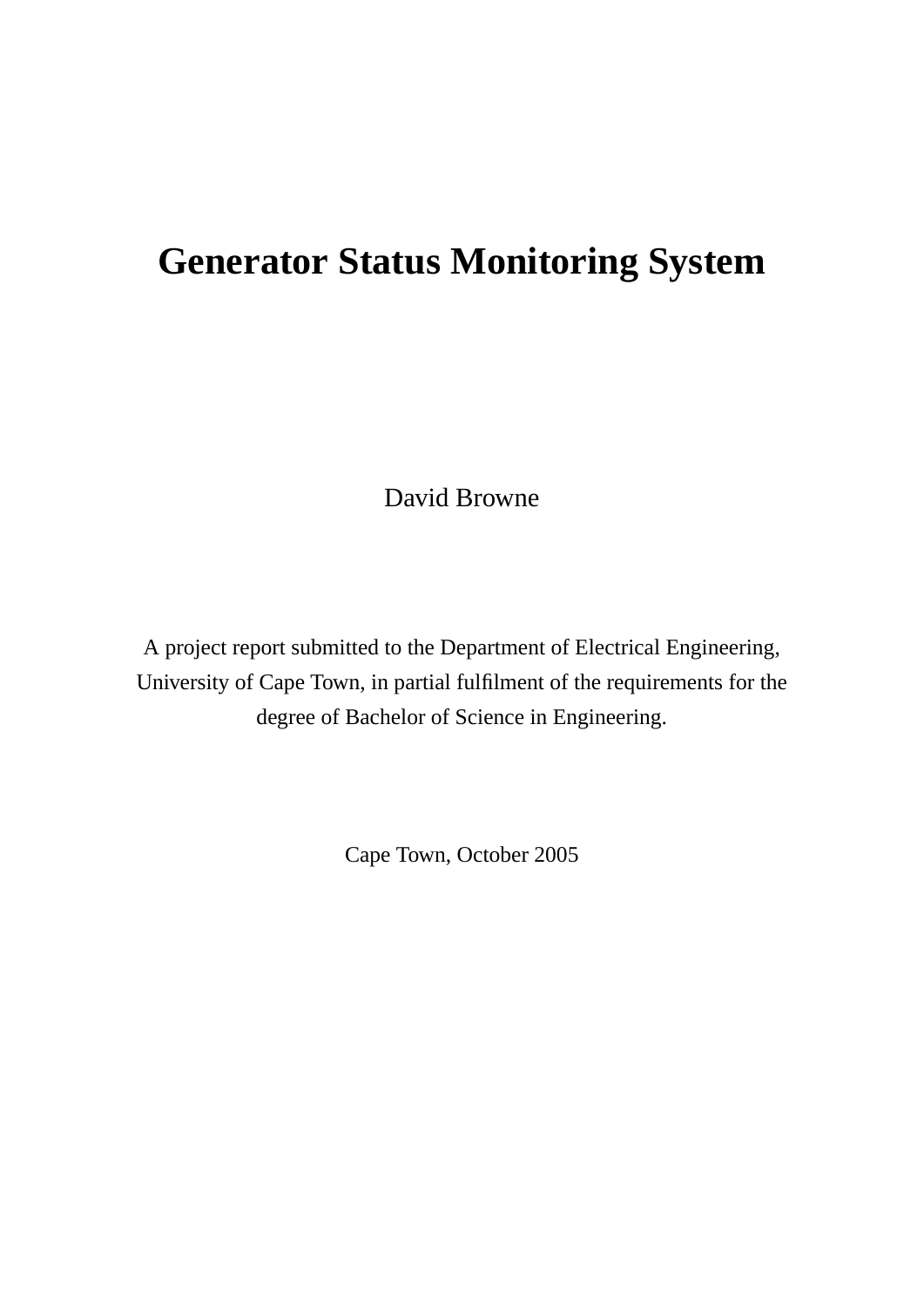## **Generator Status Monitoring System**

David Browne

A project report submitted to the Department of Electrical Engineering, University of Cape Town, in partial fulfilment of the requirements for the degree of Bachelor of Science in Engineering.

Cape Town, October 2005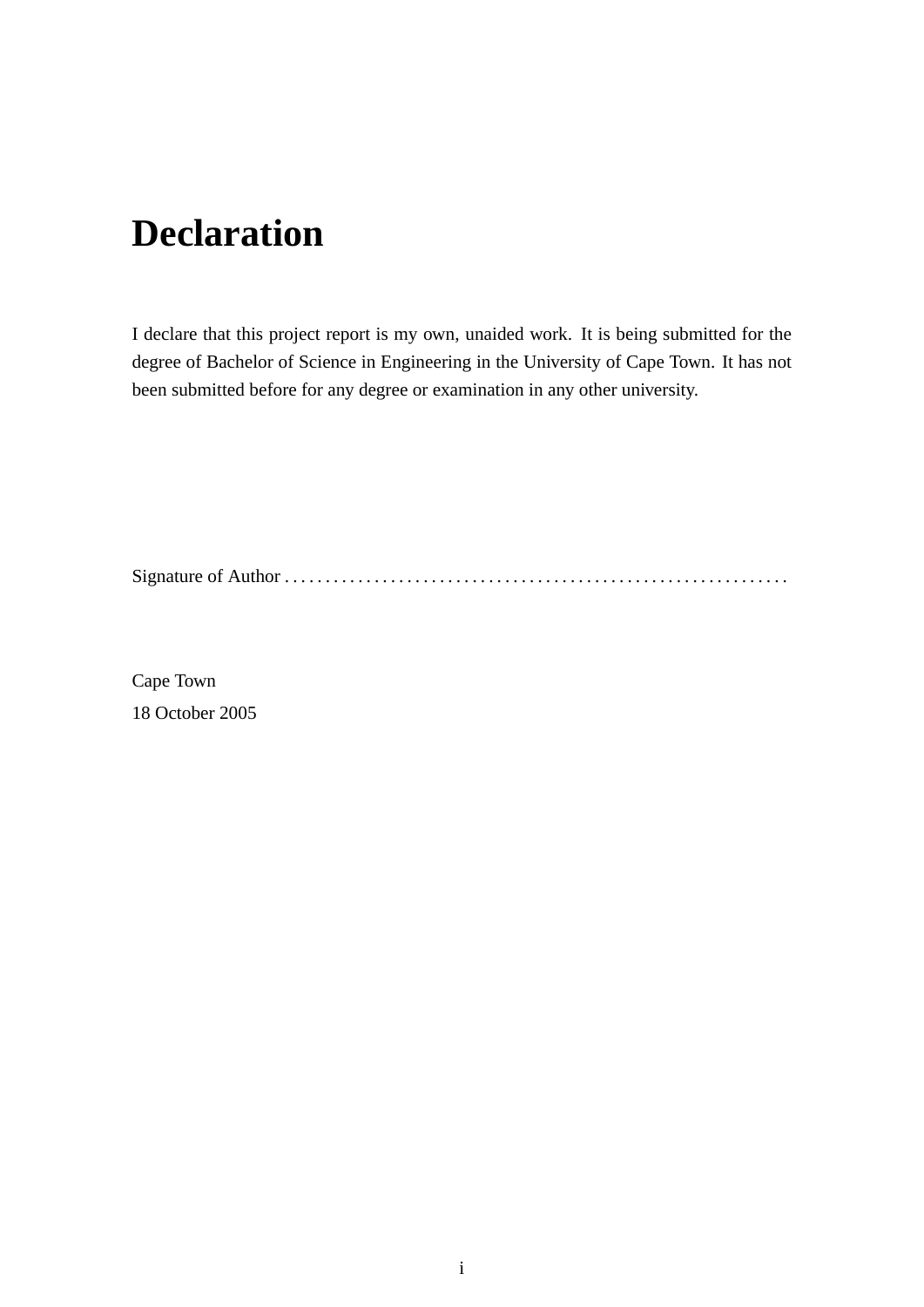## **Declaration**

I declare that this project report is my own, unaided work. It is being submitted for the degree of Bachelor of Science in Engineering in the University of Cape Town. It has not been submitted before for any degree or examination in any other university.

Signature of Author . . . . . . . . . . . . . . . . . . . . . . . . . . . . . . . . . . . . . . . . . . . . . . . . . . . . . . . . . . . . . .

Cape Town 18 October 2005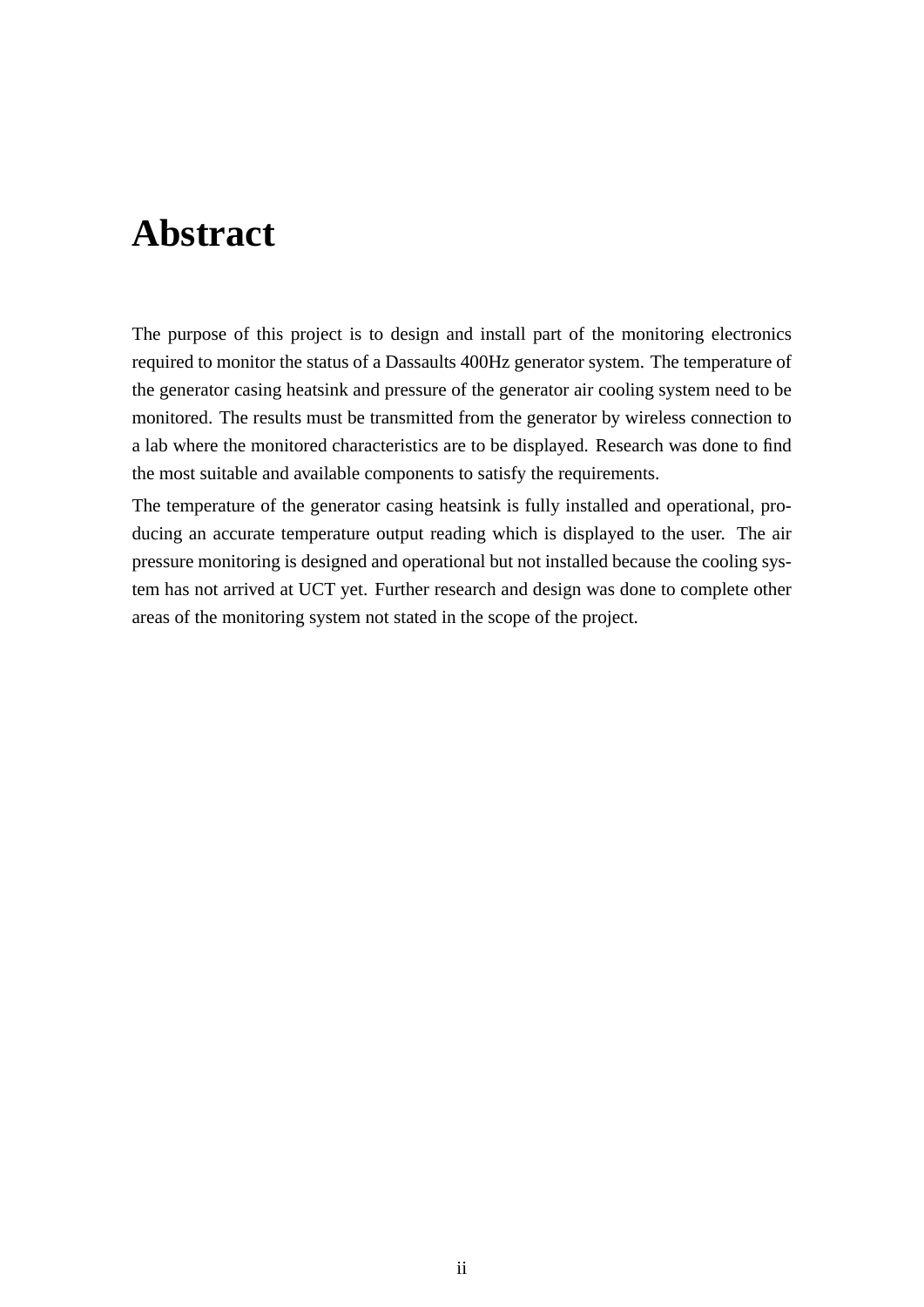## **Abstract**

The purpose of this project is to design and install part of the monitoring electronics required to monitor the status of a Dassaults 400Hz generator system. The temperature of the generator casing heatsink and pressure of the generator air cooling system need to be monitored. The results must be transmitted from the generator by wireless connection to a lab where the monitored characteristics are to be displayed. Research was done to find the most suitable and available components to satisfy the requirements.

The temperature of the generator casing heatsink is fully installed and operational, producing an accurate temperature output reading which is displayed to the user. The air pressure monitoring is designed and operational but not installed because the cooling system has not arrived at UCT yet. Further research and design was done to complete other areas of the monitoring system not stated in the scope of the project.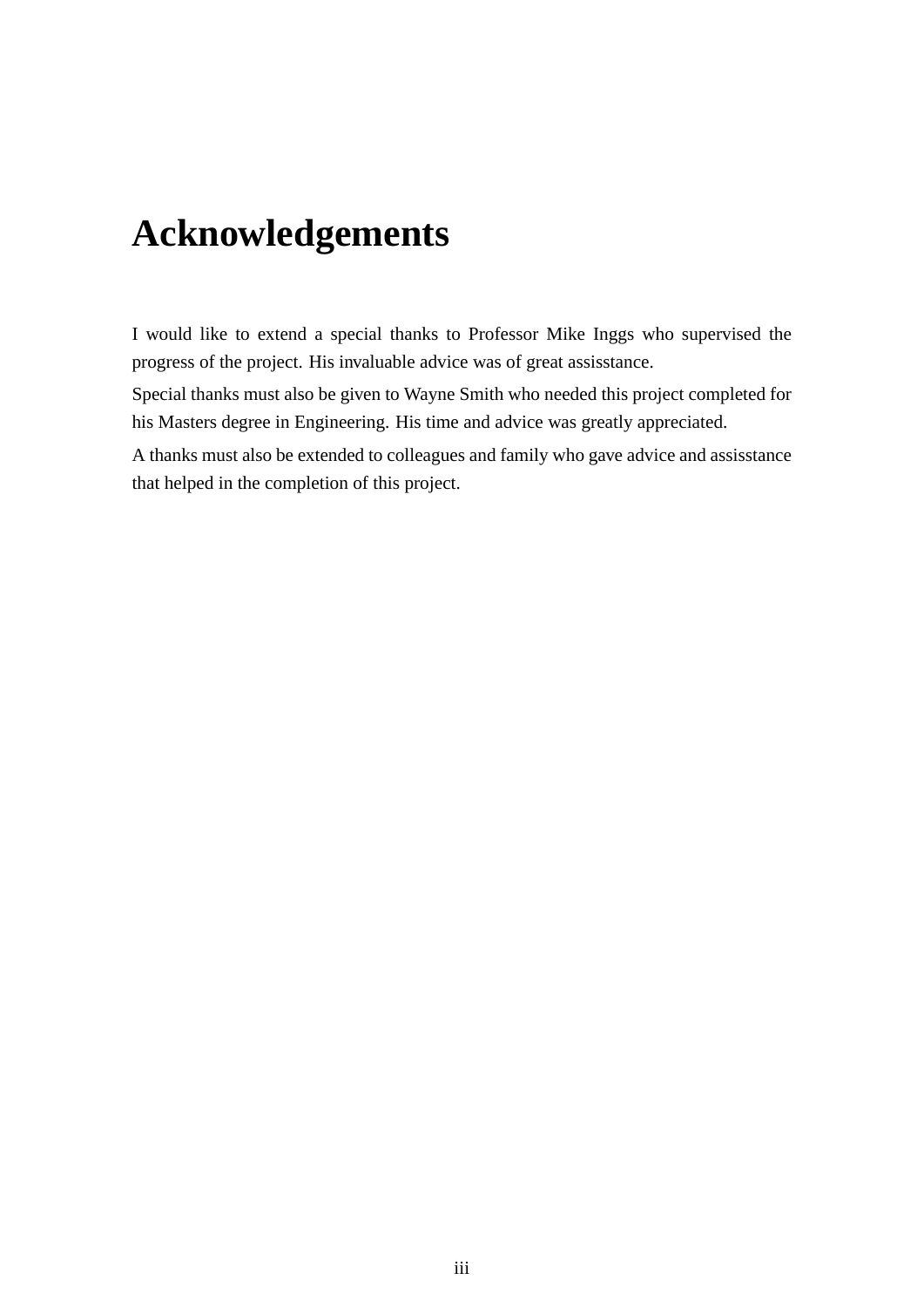## **Acknowledgements**

I would like to extend a special thanks to Professor Mike Inggs who supervised the progress of the project. His invaluable advice was of great assisstance.

Special thanks must also be given to Wayne Smith who needed this project completed for his Masters degree in Engineering. His time and advice was greatly appreciated.

A thanks must also be extended to colleagues and family who gave advice and assisstance that helped in the completion of this project.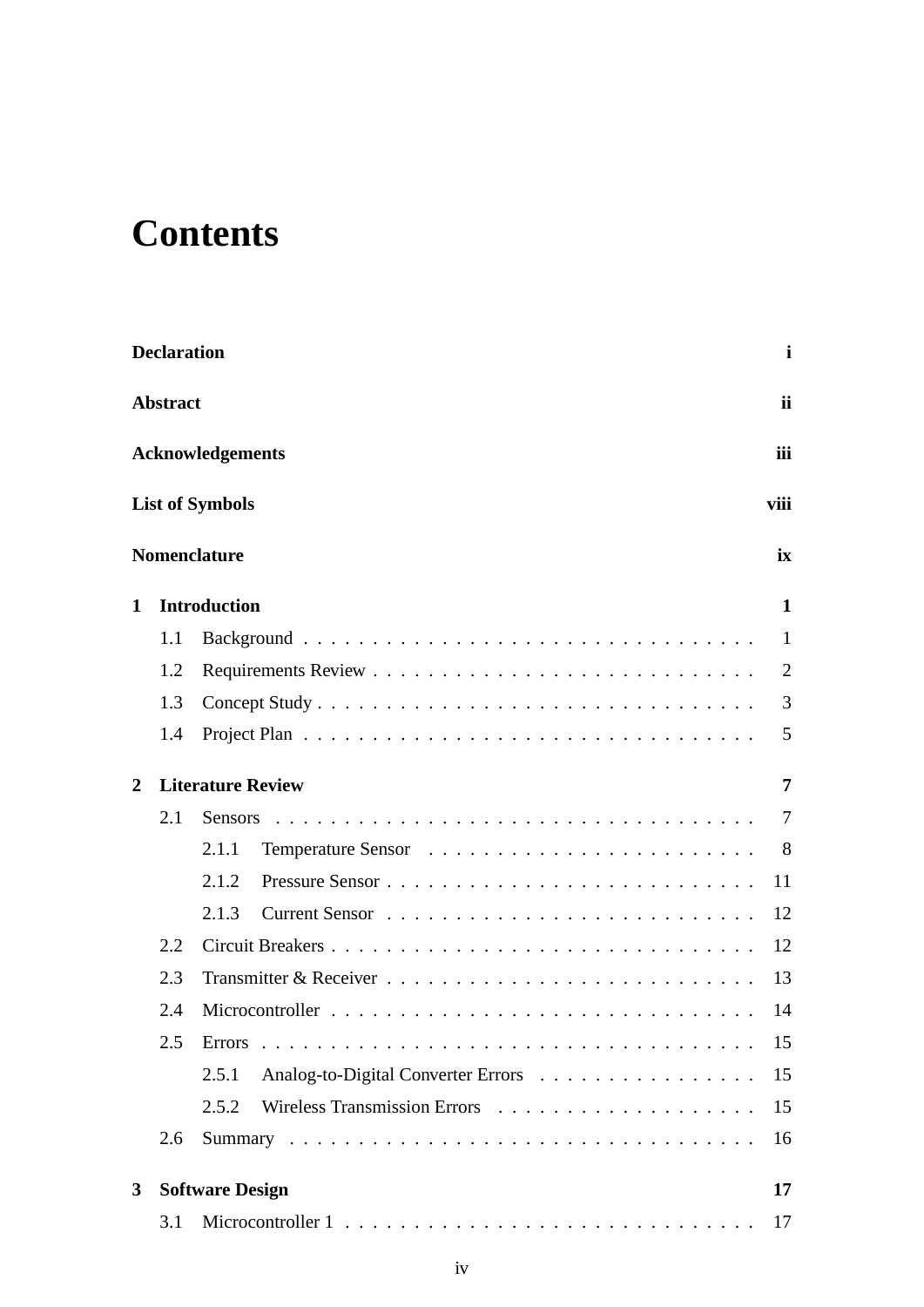# **Contents**

|              | <b>Declaration</b> |                                                   | i              |
|--------------|--------------------|---------------------------------------------------|----------------|
|              | <b>Abstract</b>    |                                                   | <i>ii</i>      |
|              |                    | iii<br><b>Acknowledgements</b>                    |                |
|              |                    | <b>List of Symbols</b><br>viii                    |                |
|              |                    | <b>Nomenclature</b><br>ix                         |                |
| $\mathbf{1}$ |                    | <b>Introduction</b>                               | 1              |
|              | 1.1                |                                                   | 1              |
|              | 1.2                |                                                   | $\overline{2}$ |
|              | 1.3                |                                                   | 3              |
|              | 1.4                |                                                   | 5              |
| 2            |                    | <b>Literature Review</b>                          | 7              |
|              | 2.1                | <b>Sensors</b>                                    | 7              |
|              |                    | 2.1.1                                             | 8              |
|              |                    | 2.1.2<br>11                                       |                |
|              |                    | 2.1.3<br>12                                       |                |
|              | 2.2                | Circuit Breakers<br>12                            |                |
|              | 2.3                | 13                                                |                |
|              | 2.4                | 14                                                |                |
|              | 2.5                | 15                                                |                |
|              |                    | Analog-to-Digital Converter Errors<br>15<br>2.5.1 |                |
|              |                    | 2.5.2<br>15                                       |                |
|              | 2.6                | 16                                                |                |
| 3            |                    | <b>Software Design</b><br>17                      |                |
|              | 3.1                | 17                                                |                |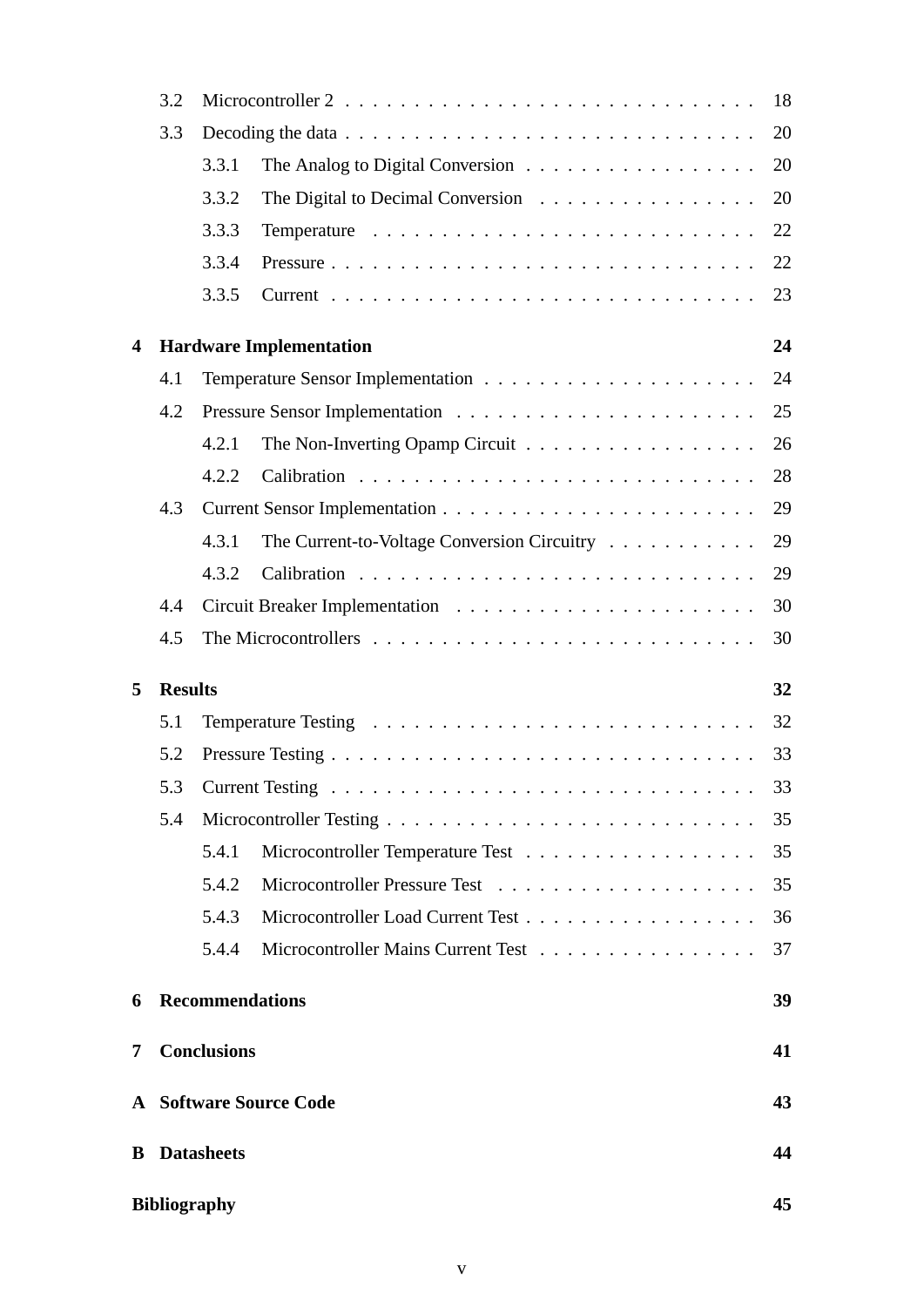|                         | 3.2            |                                                                                 | 18 |
|-------------------------|----------------|---------------------------------------------------------------------------------|----|
|                         | 3.3            |                                                                                 | 20 |
|                         |                | The Analog to Digital Conversion $\dots \dots \dots \dots \dots \dots$<br>3.3.1 | 20 |
|                         |                | 3.3.2<br>The Digital to Decimal Conversion $\ldots \ldots \ldots \ldots \ldots$ | 20 |
|                         |                | 3.3.3                                                                           | 22 |
|                         |                | 3.3.4                                                                           | 22 |
|                         |                | 3.3.5                                                                           | 23 |
| $\overline{\mathbf{4}}$ |                | <b>Hardware Implementation</b>                                                  | 24 |
|                         | 4.1            |                                                                                 | 24 |
|                         | 4.2            |                                                                                 | 25 |
|                         |                | 4.2.1                                                                           | 26 |
|                         |                | 4.2.2                                                                           | 28 |
|                         | 4.3            |                                                                                 | 29 |
|                         |                | The Current-to-Voltage Conversion Circuitry<br>4.3.1                            | 29 |
|                         |                | 4.3.2                                                                           | 29 |
|                         | 4.4            |                                                                                 | 30 |
|                         | 4.5            |                                                                                 | 30 |
| 5                       | <b>Results</b> |                                                                                 | 32 |
|                         | 5.1            |                                                                                 | 32 |
|                         | 5.2            |                                                                                 | 33 |
|                         |                |                                                                                 | 33 |
|                         | 5.4            |                                                                                 | 35 |
|                         |                | 5.4.1                                                                           | 35 |
|                         |                | 5.4.2                                                                           | 35 |
|                         |                | 5.4.3                                                                           | 36 |
|                         |                | 5.4.4<br>Microcontroller Mains Current Test                                     | 37 |
| 6                       |                | <b>Recommendations</b>                                                          | 39 |
| 7                       |                | <b>Conclusions</b>                                                              | 41 |
|                         |                |                                                                                 |    |
|                         |                | <b>A</b> Software Source Code                                                   | 43 |
| B.                      |                | <b>Datasheets</b>                                                               | 44 |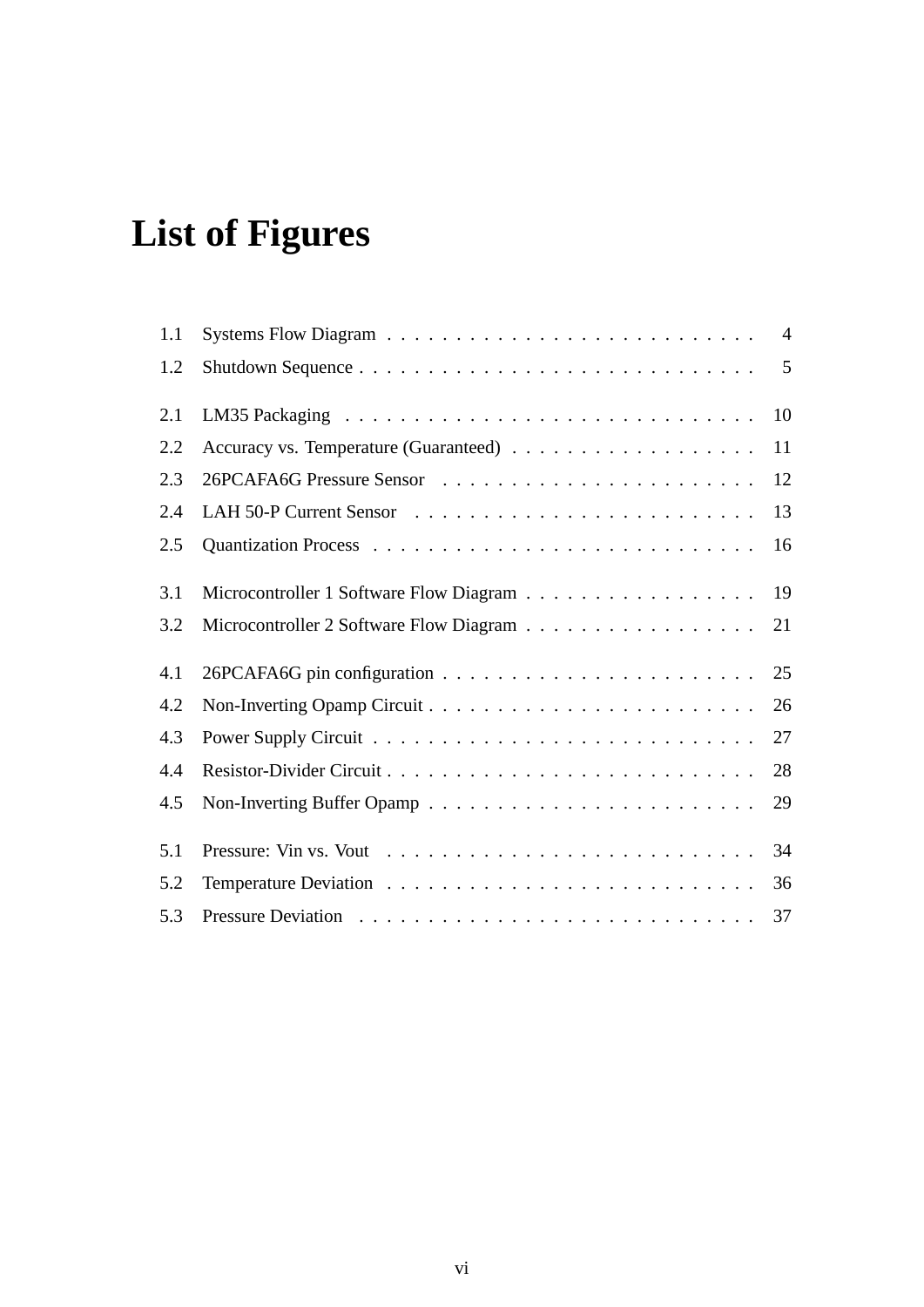# **List of Figures**

| 1.1 |                                            |    |
|-----|--------------------------------------------|----|
| 1.2 |                                            |    |
| 2.1 |                                            | 10 |
| 2.2 |                                            | 11 |
| 2.3 |                                            | 12 |
| 2.4 |                                            | 13 |
| 2.5 |                                            | 16 |
| 3.1 | Microcontroller 1 Software Flow Diagram 19 |    |
| 3.2 |                                            | 21 |
| 4.1 |                                            |    |
| 4.2 |                                            | 26 |
| 4.3 |                                            | 27 |
| 4.4 |                                            | 28 |
| 4.5 |                                            | 29 |
| 5.1 |                                            | 34 |
| 5.2 |                                            | 36 |
| 5.3 |                                            |    |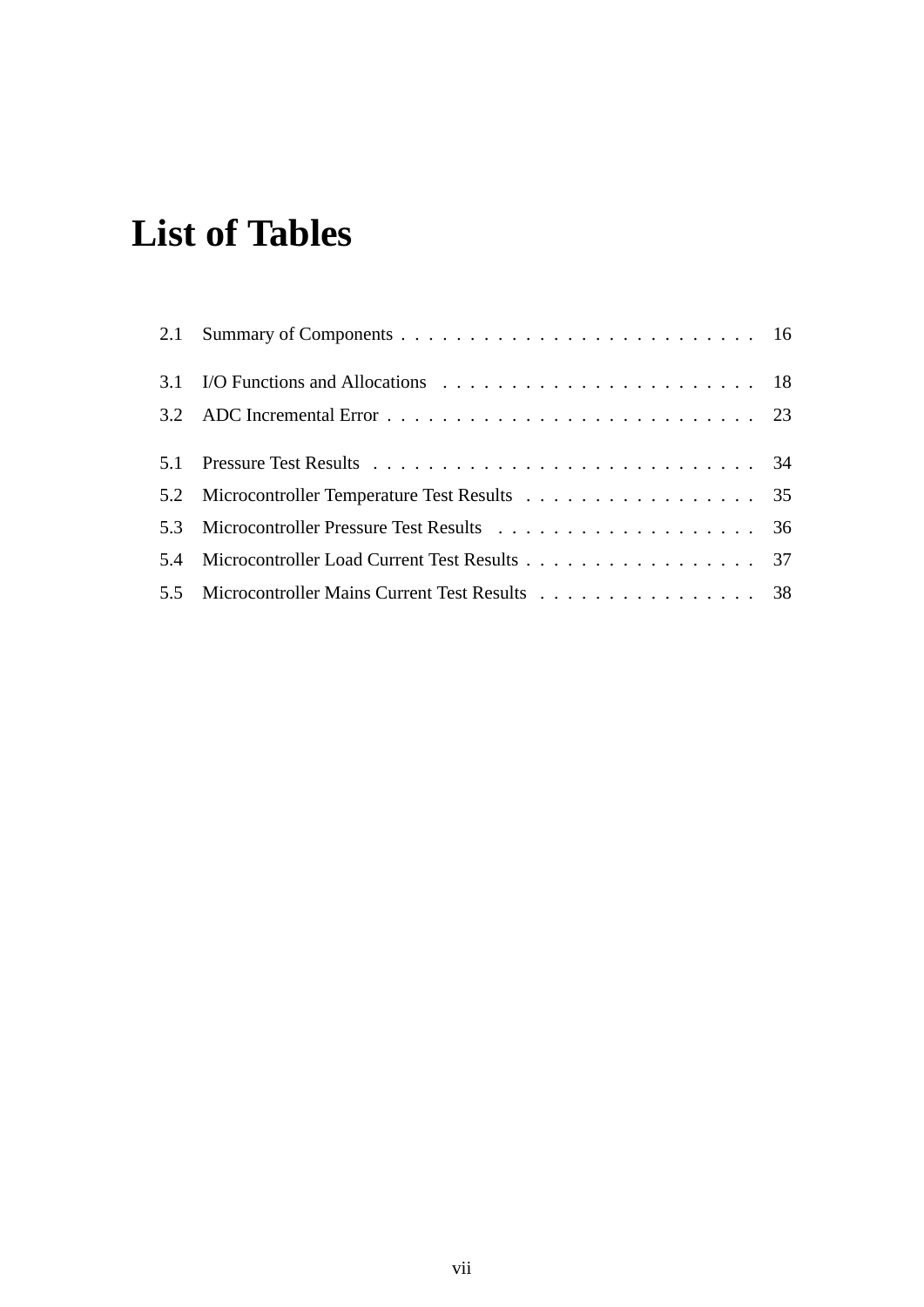# **List of Tables**

| 5.2 Microcontroller Temperature Test Results 35   |  |
|---------------------------------------------------|--|
|                                                   |  |
| 5.4 Microcontroller Load Current Test Results 37  |  |
| 5.5 Microcontroller Mains Current Test Results 38 |  |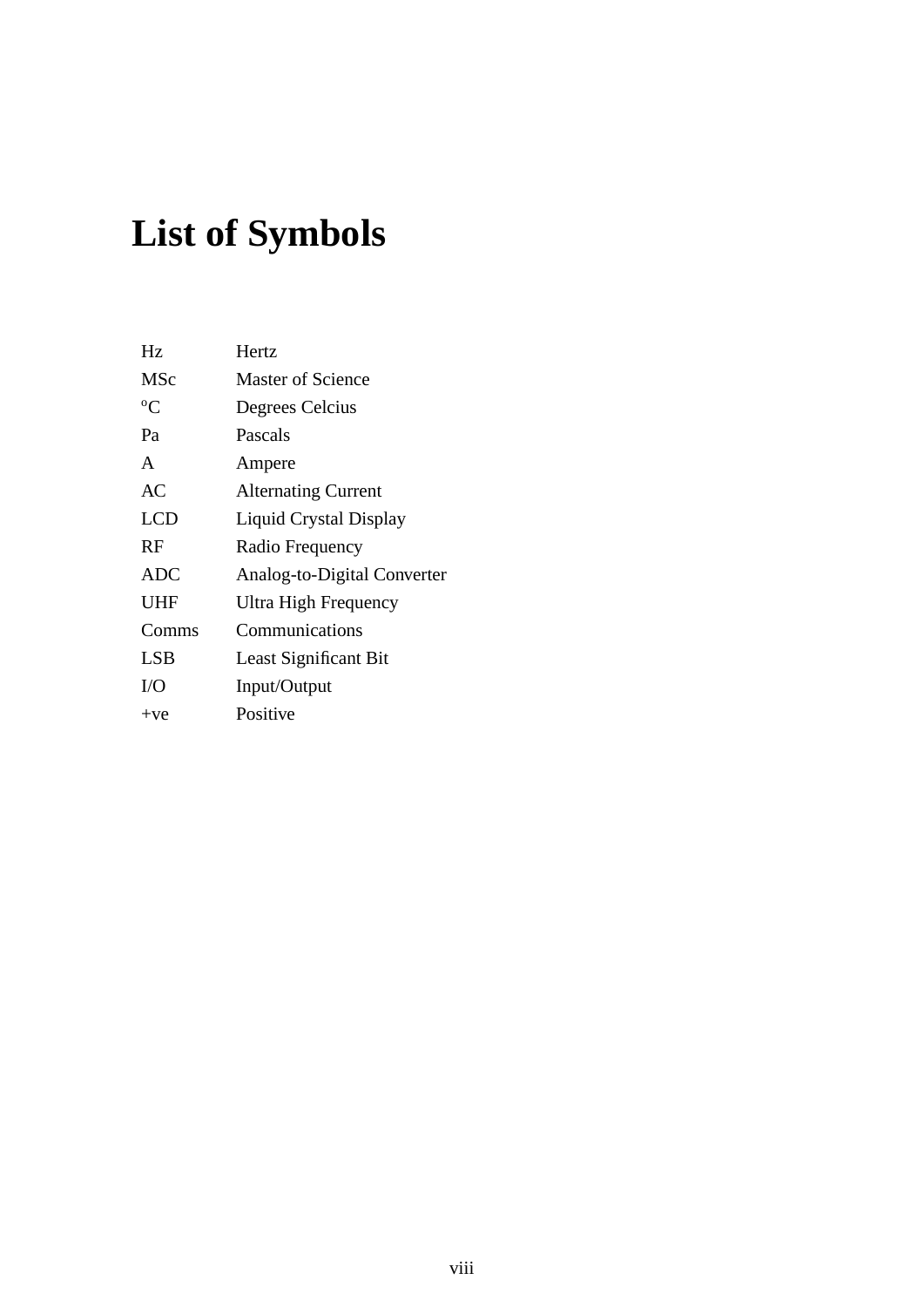# **List of Symbols**

| Hz            | Hertz                       |
|---------------|-----------------------------|
| MSc           | Master of Science           |
| ${}^{\circ}C$ | Degrees Celcius             |
| Pa            | Pascals                     |
| A             | Ampere                      |
| AC            | <b>Alternating Current</b>  |
| <b>LCD</b>    | Liquid Crystal Display      |
| RF            | Radio Frequency             |
| <b>ADC</b>    | Analog-to-Digital Converter |
| <b>UHF</b>    | Ultra High Frequency        |
| Comms         | Communications              |
| <b>LSB</b>    | Least Significant Bit       |
| I/O           | Input/Output                |
| $+ve$         | Positive                    |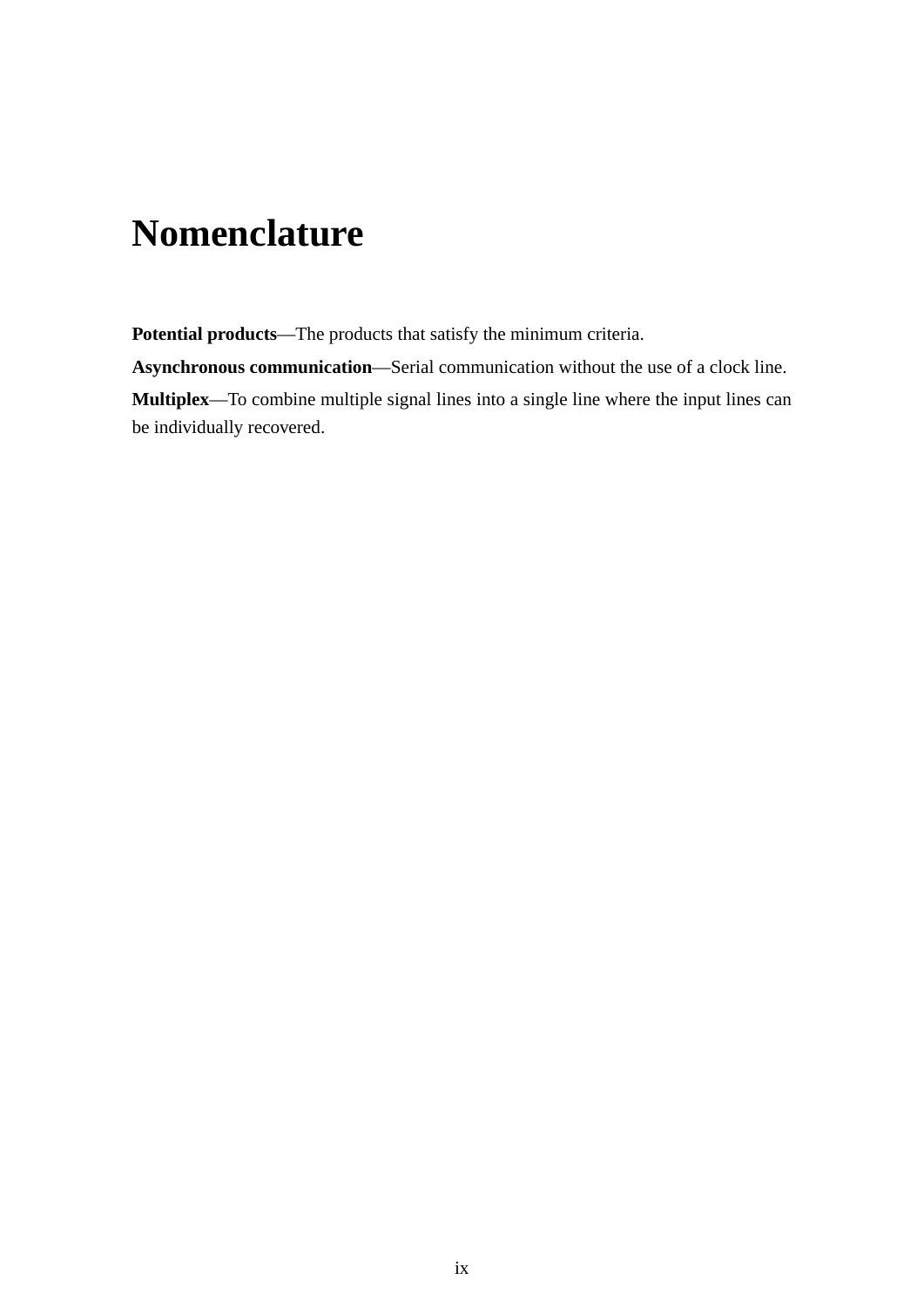## **Nomenclature**

**Potential products**—The products that satisfy the minimum criteria.

**Asynchronous communication**—Serial communication without the use of a clock line.

**Multiplex**—To combine multiple signal lines into a single line where the input lines can be individually recovered.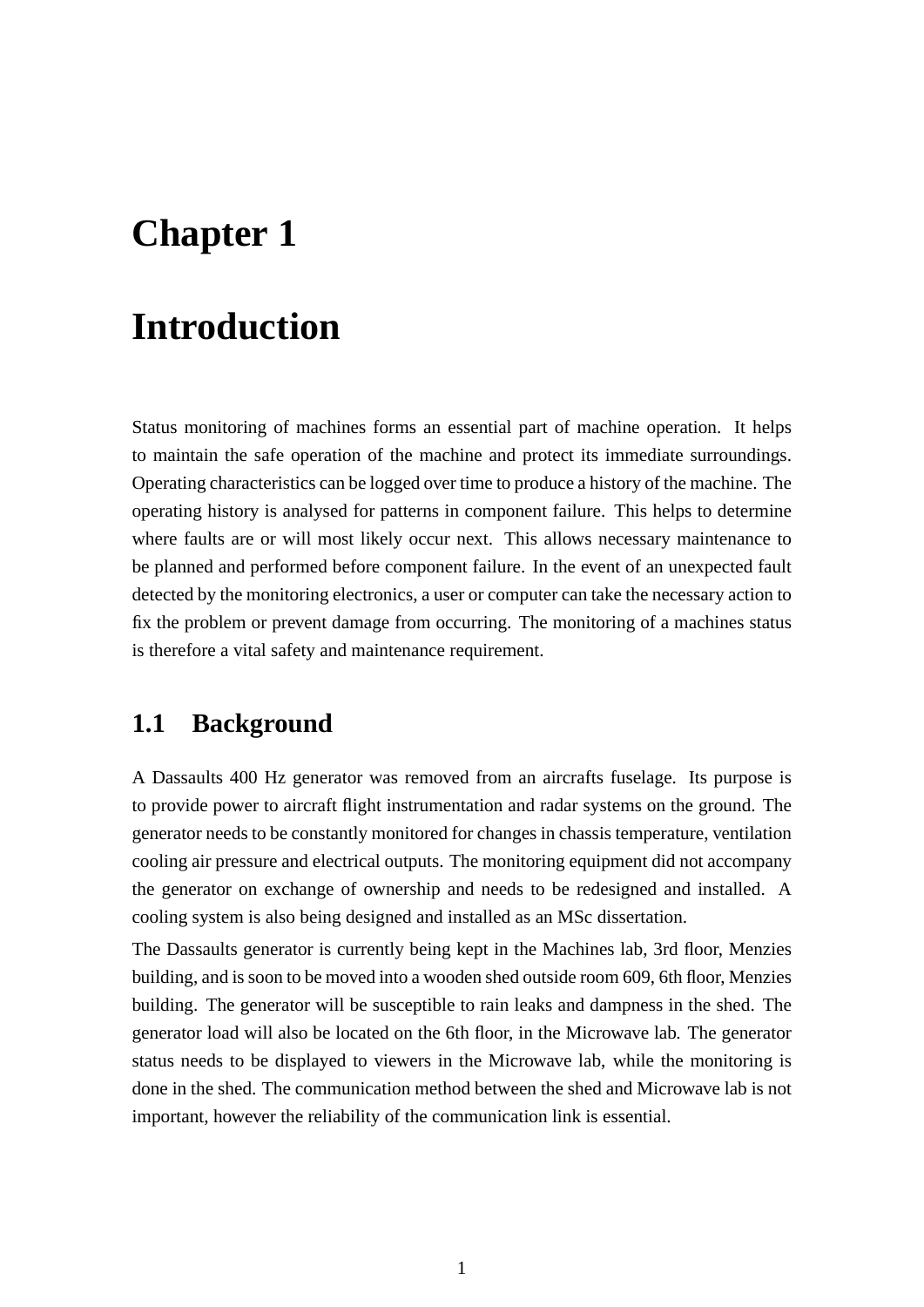## **Chapter 1**

## **Introduction**

Status monitoring of machines forms an essential part of machine operation. It helps to maintain the safe operation of the machine and protect its immediate surroundings. Operating characteristics can be logged over time to produce a history of the machine. The operating history is analysed for patterns in component failure. This helps to determine where faults are or will most likely occur next. This allows necessary maintenance to be planned and performed before component failure. In the event of an unexpected fault detected by the monitoring electronics, a user or computer can take the necessary action to fix the problem or prevent damage from occurring. The monitoring of a machines status is therefore a vital safety and maintenance requirement.

### **1.1 Background**

A Dassaults 400 Hz generator was removed from an aircrafts fuselage. Its purpose is to provide power to aircraft flight instrumentation and radar systems on the ground. The generator needs to be constantly monitored for changes in chassis temperature, ventilation cooling air pressure and electrical outputs. The monitoring equipment did not accompany the generator on exchange of ownership and needs to be redesigned and installed. A cooling system is also being designed and installed as an MSc dissertation.

The Dassaults generator is currently being kept in the Machines lab, 3rd floor, Menzies building, and is soon to be moved into a wooden shed outside room 609, 6th floor, Menzies building. The generator will be susceptible to rain leaks and dampness in the shed. The generator load will also be located on the 6th floor, in the Microwave lab. The generator status needs to be displayed to viewers in the Microwave lab, while the monitoring is done in the shed. The communication method between the shed and Microwave lab is not important, however the reliability of the communication link is essential.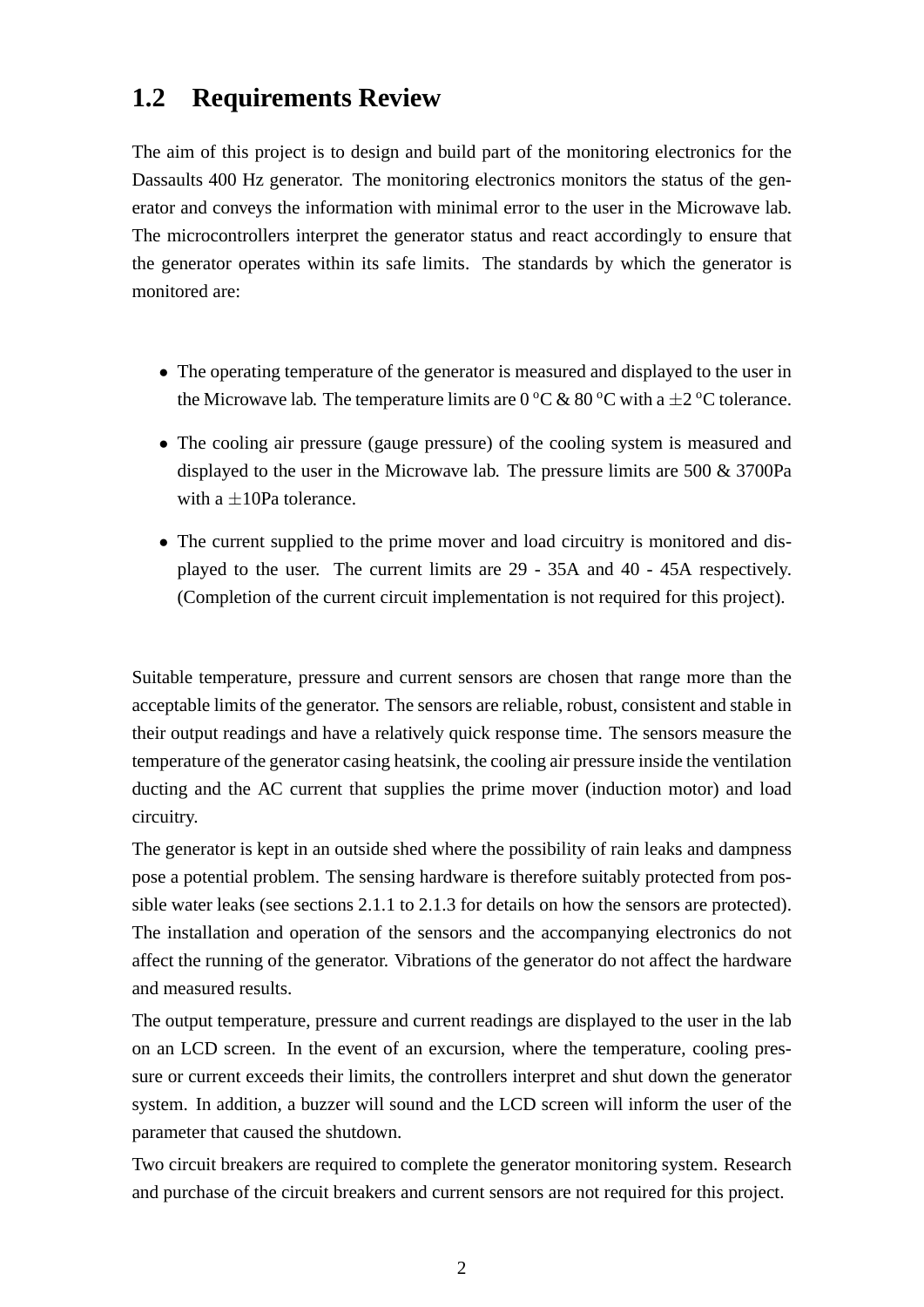### **1.2 Requirements Review**

The aim of this project is to design and build part of the monitoring electronics for the Dassaults 400 Hz generator. The monitoring electronics monitors the status of the generator and conveys the information with minimal error to the user in the Microwave lab. The microcontrollers interpret the generator status and react accordingly to ensure that the generator operates within its safe limits. The standards by which the generator is monitored are:

- The operating temperature of the generator is measured and displayed to the user in the Microwave lab. The temperature limits are  $0\,^{\circ}\text{C} \& 80\,^{\circ}\text{C}$  with a  $\pm 2\,^{\circ}\text{C}$  tolerance.
- The cooling air pressure (gauge pressure) of the cooling system is measured and displayed to the user in the Microwave lab. The pressure limits are 500 & 3700Pa with a  $\pm 10$ Pa tolerance.
- The current supplied to the prime mover and load circuitry is monitored and displayed to the user. The current limits are 29 - 35A and 40 - 45A respectively. (Completion of the current circuit implementation is not required for this project).

Suitable temperature, pressure and current sensors are chosen that range more than the acceptable limits of the generator. The sensors are reliable, robust, consistent and stable in their output readings and have a relatively quick response time. The sensors measure the temperature of the generator casing heatsink, the cooling air pressure inside the ventilation ducting and the AC current that supplies the prime mover (induction motor) and load circuitry.

The generator is kept in an outside shed where the possibility of rain leaks and dampness pose a potential problem. The sensing hardware is therefore suitably protected from possible water leaks (see sections 2.1.1 to 2.1.3 for details on how the sensors are protected). The installation and operation of the sensors and the accompanying electronics do not affect the running of the generator. Vibrations of the generator do not affect the hardware and measured results.

The output temperature, pressure and current readings are displayed to the user in the lab on an LCD screen. In the event of an excursion, where the temperature, cooling pressure or current exceeds their limits, the controllers interpret and shut down the generator system. In addition, a buzzer will sound and the LCD screen will inform the user of the parameter that caused the shutdown.

Two circuit breakers are required to complete the generator monitoring system. Research and purchase of the circuit breakers and current sensors are not required for this project.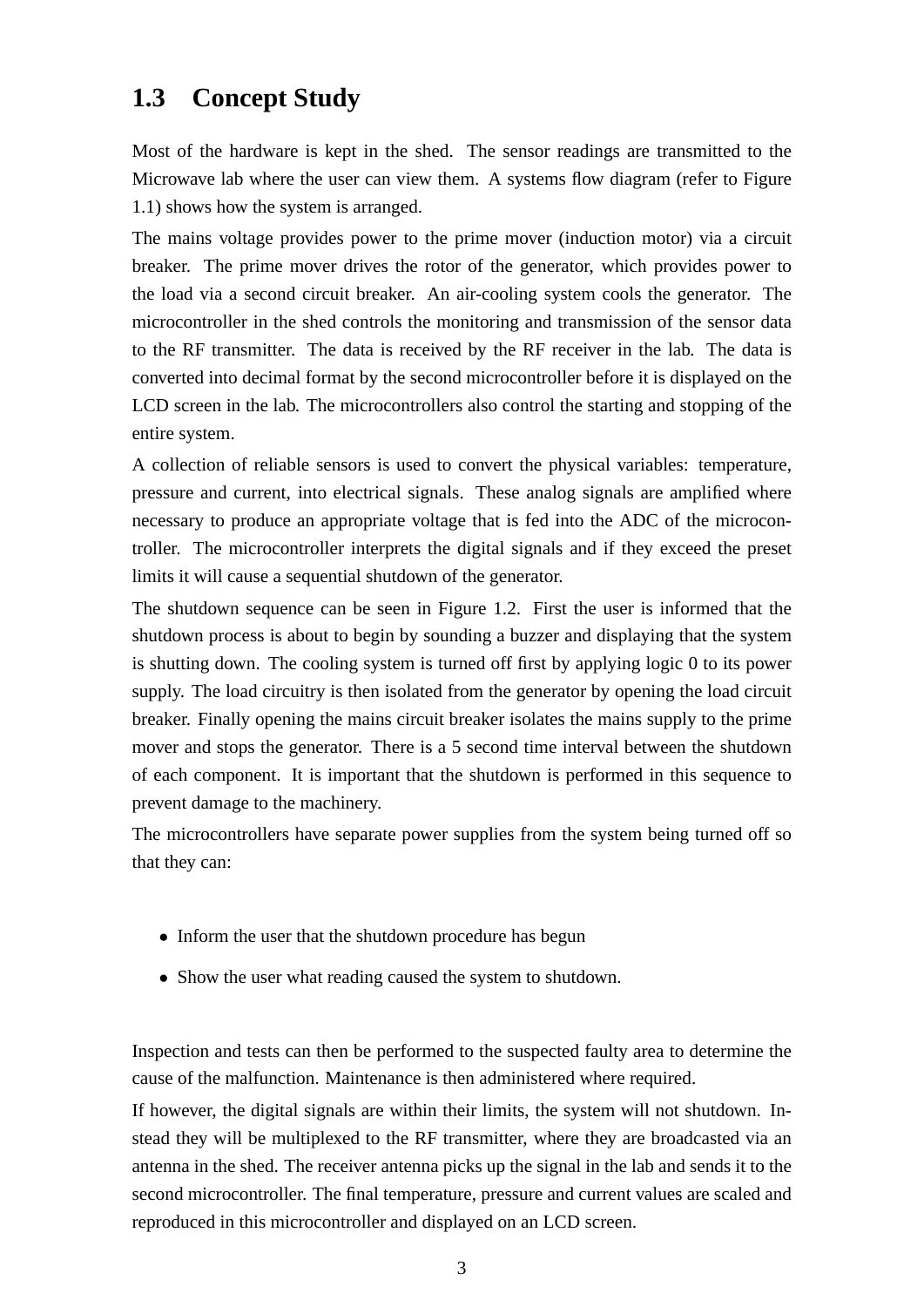### **1.3 Concept Study**

Most of the hardware is kept in the shed. The sensor readings are transmitted to the Microwave lab where the user can view them. A systems flow diagram (refer to Figure 1.1) shows how the system is arranged.

The mains voltage provides power to the prime mover (induction motor) via a circuit breaker. The prime mover drives the rotor of the generator, which provides power to the load via a second circuit breaker. An air-cooling system cools the generator. The microcontroller in the shed controls the monitoring and transmission of the sensor data to the RF transmitter. The data is received by the RF receiver in the lab. The data is converted into decimal format by the second microcontroller before it is displayed on the LCD screen in the lab. The microcontrollers also control the starting and stopping of the entire system.

A collection of reliable sensors is used to convert the physical variables: temperature, pressure and current, into electrical signals. These analog signals are amplified where necessary to produce an appropriate voltage that is fed into the ADC of the microcontroller. The microcontroller interprets the digital signals and if they exceed the preset limits it will cause a sequential shutdown of the generator.

The shutdown sequence can be seen in Figure 1.2. First the user is informed that the shutdown process is about to begin by sounding a buzzer and displaying that the system is shutting down. The cooling system is turned off first by applying logic 0 to its power supply. The load circuitry is then isolated from the generator by opening the load circuit breaker. Finally opening the mains circuit breaker isolates the mains supply to the prime mover and stops the generator. There is a 5 second time interval between the shutdown of each component. It is important that the shutdown is performed in this sequence to prevent damage to the machinery.

The microcontrollers have separate power supplies from the system being turned off so that they can:

- Inform the user that the shutdown procedure has begun
- Show the user what reading caused the system to shutdown.

Inspection and tests can then be performed to the suspected faulty area to determine the cause of the malfunction. Maintenance is then administered where required.

If however, the digital signals are within their limits, the system will not shutdown. Instead they will be multiplexed to the RF transmitter, where they are broadcasted via an antenna in the shed. The receiver antenna picks up the signal in the lab and sends it to the second microcontroller. The final temperature, pressure and current values are scaled and reproduced in this microcontroller and displayed on an LCD screen.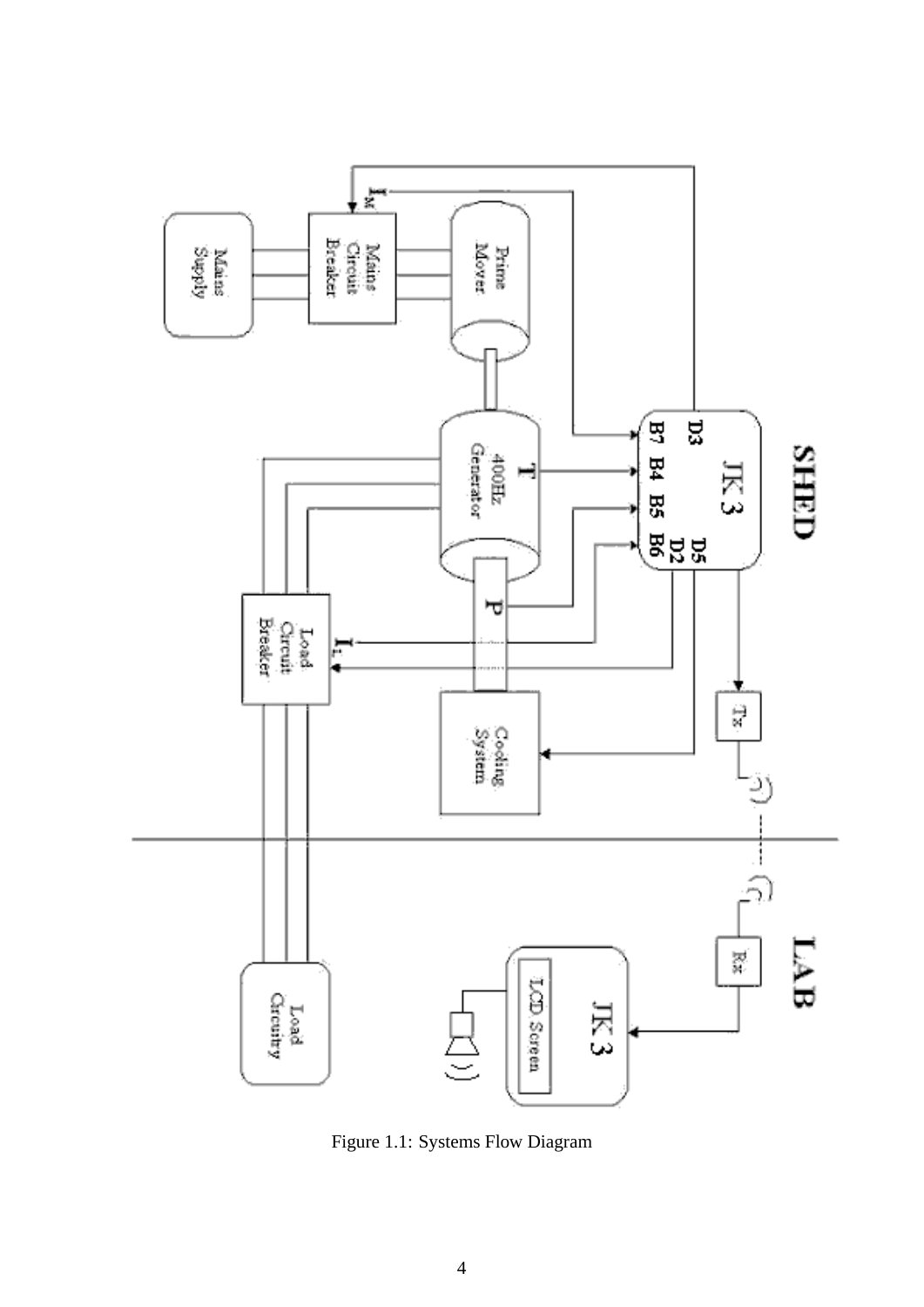

Figure 1.1: Systems Flow Diagram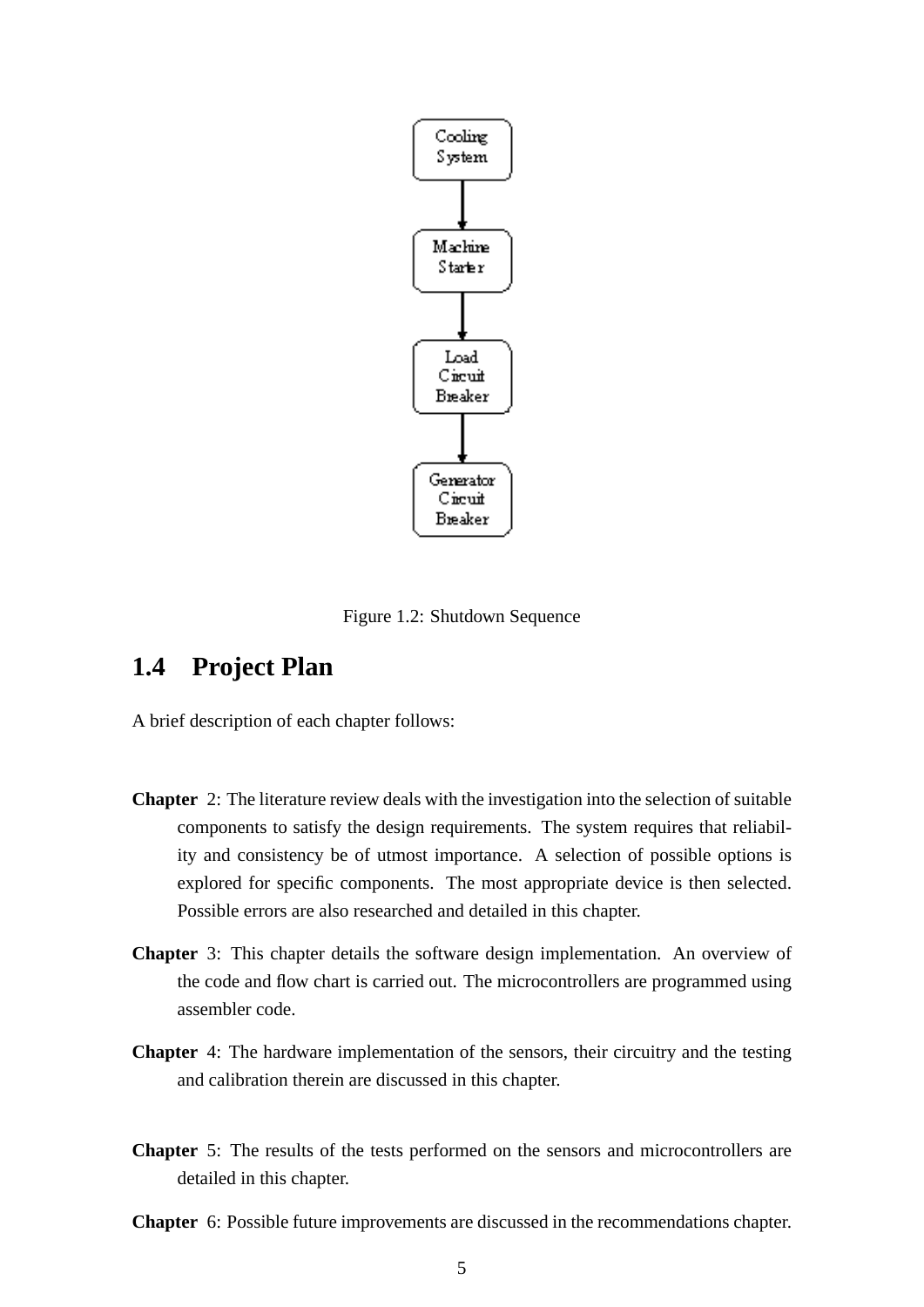

Figure 1.2: Shutdown Sequence

### **1.4 Project Plan**

A brief description of each chapter follows:

- **Chapter** 2: The literature review deals with the investigation into the selection of suitable components to satisfy the design requirements. The system requires that reliability and consistency be of utmost importance. A selection of possible options is explored for specific components. The most appropriate device is then selected. Possible errors are also researched and detailed in this chapter.
- **Chapter** 3: This chapter details the software design implementation. An overview of the code and flow chart is carried out. The microcontrollers are programmed using assembler code.
- **Chapter** 4: The hardware implementation of the sensors, their circuitry and the testing and calibration therein are discussed in this chapter.
- **Chapter** 5: The results of the tests performed on the sensors and microcontrollers are detailed in this chapter.
- **Chapter** 6: Possible future improvements are discussed in the recommendations chapter.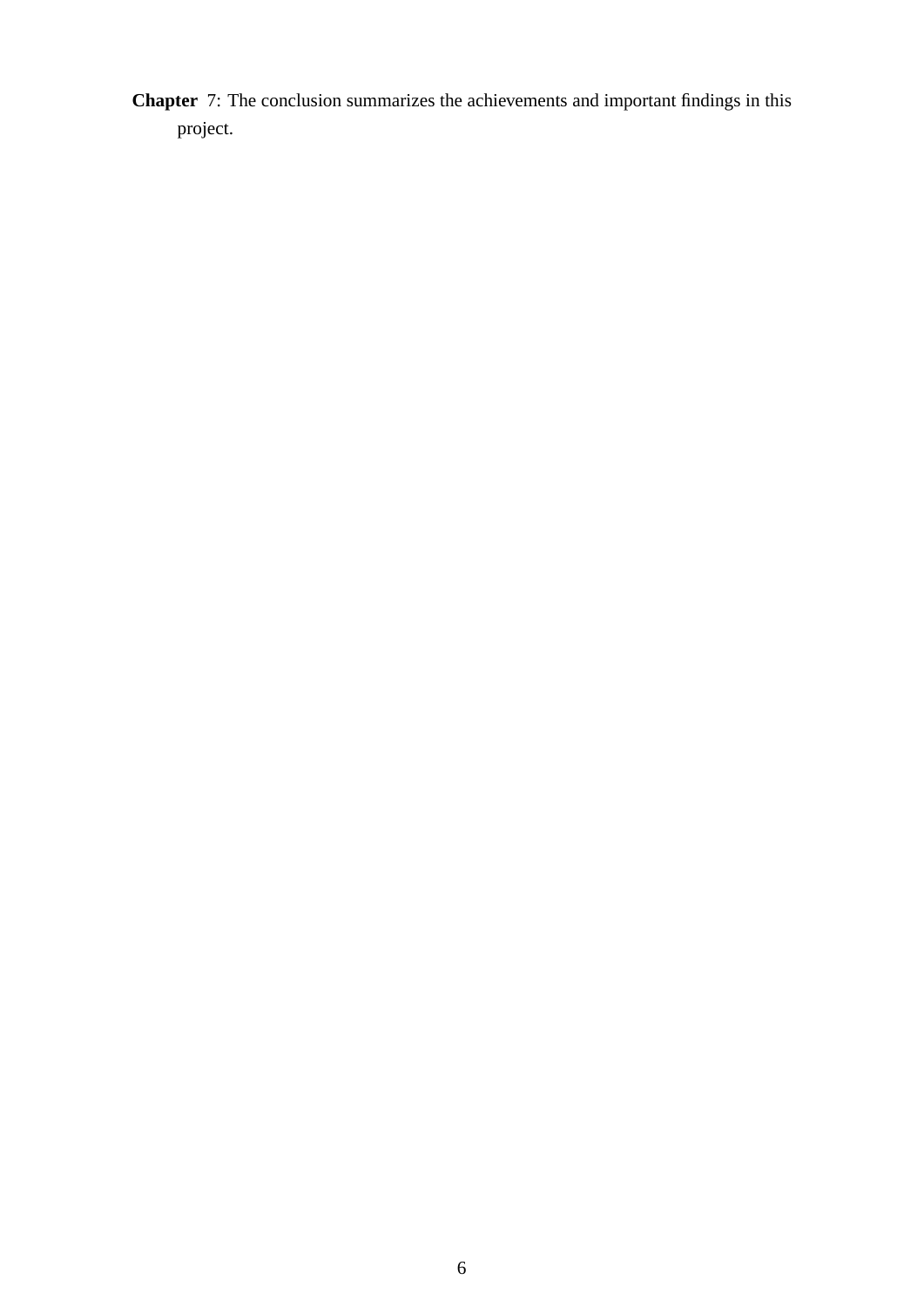**Chapter** 7: The conclusion summarizes the achievements and important findings in this project.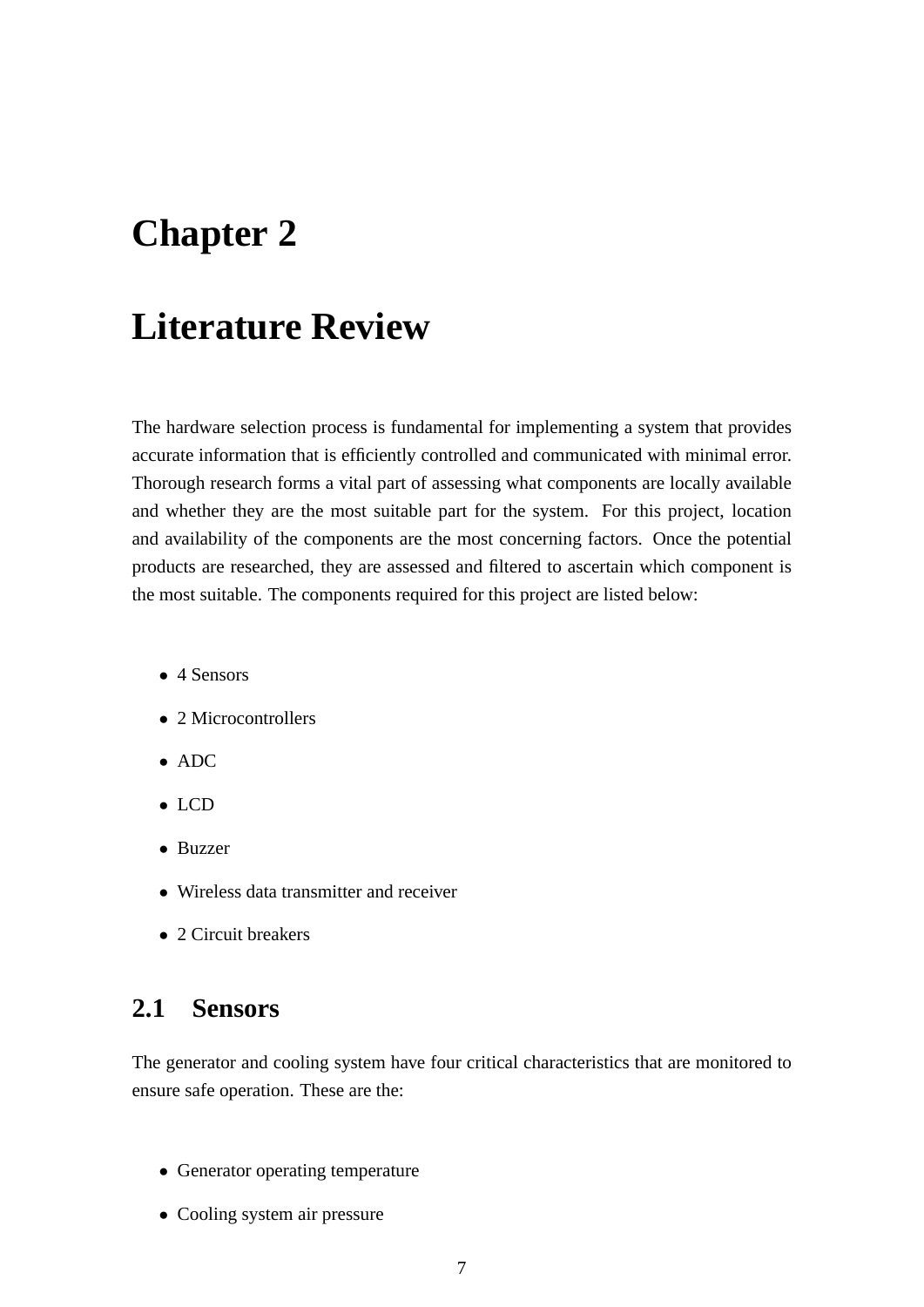## **Chapter 2**

## **Literature Review**

The hardware selection process is fundamental for implementing a system that provides accurate information that is efficiently controlled and communicated with minimal error. Thorough research forms a vital part of assessing what components are locally available and whether they are the most suitable part for the system. For this project, location and availability of the components are the most concerning factors. Once the potential products are researched, they are assessed and filtered to ascertain which component is the most suitable. The components required for this project are listed below:

- 4 Sensors
- 2 Microcontrollers
- ADC
- LCD
- Buzzer
- Wireless data transmitter and receiver
- 2 Circuit breakers

### **2.1 Sensors**

The generator and cooling system have four critical characteristics that are monitored to ensure safe operation. These are the:

- Generator operating temperature
- Cooling system air pressure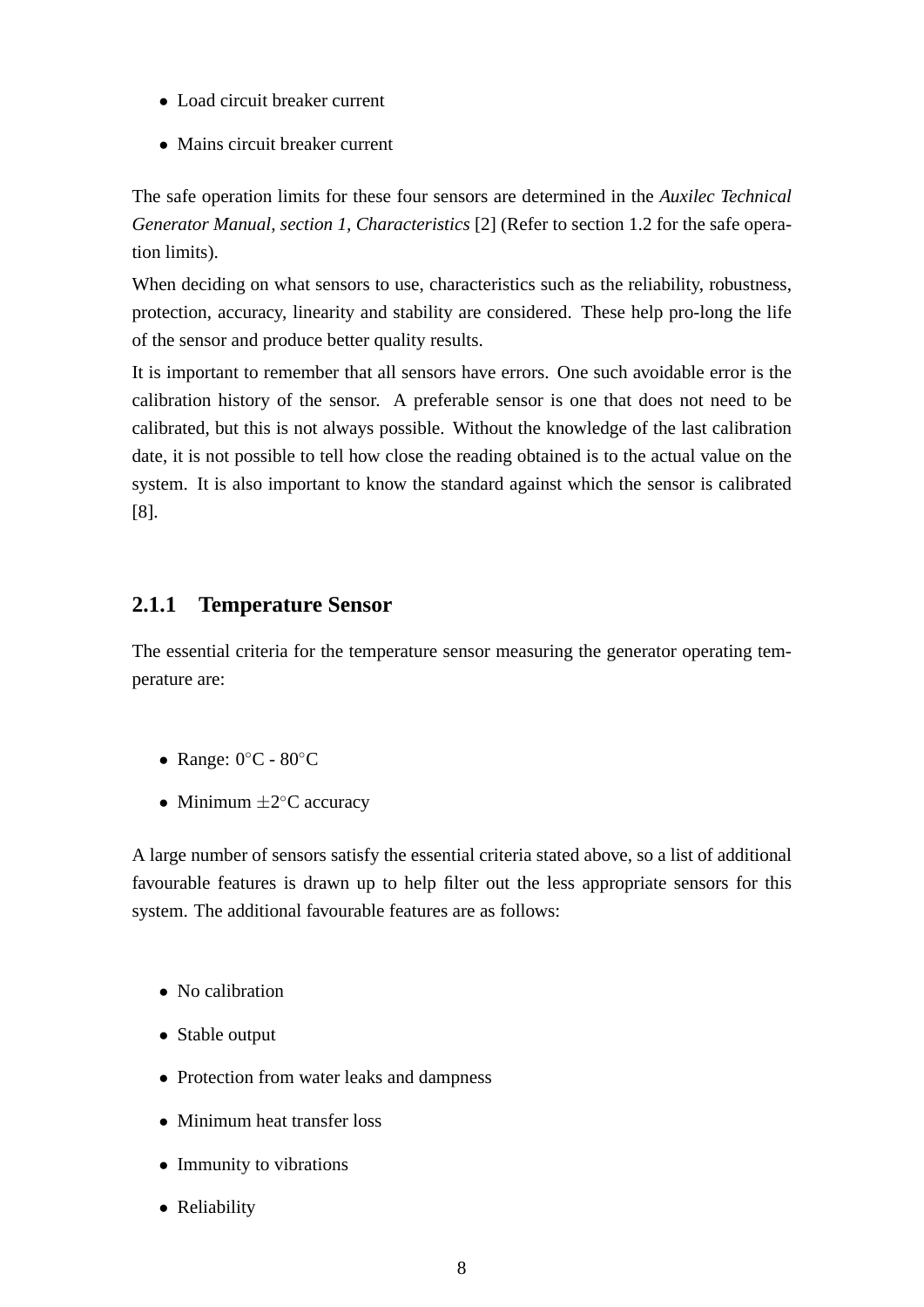- Load circuit breaker current
- Mains circuit breaker current

The safe operation limits for these four sensors are determined in the *Auxilec Technical Generator Manual, section 1, Characteristics* [2] (Refer to section 1.2 for the safe operation limits).

When deciding on what sensors to use, characteristics such as the reliability, robustness, protection, accuracy, linearity and stability are considered. These help pro-long the life of the sensor and produce better quality results.

It is important to remember that all sensors have errors. One such avoidable error is the calibration history of the sensor. A preferable sensor is one that does not need to be calibrated, but this is not always possible. Without the knowledge of the last calibration date, it is not possible to tell how close the reading obtained is to the actual value on the system. It is also important to know the standard against which the sensor is calibrated [8].

#### **2.1.1 Temperature Sensor**

The essential criteria for the temperature sensor measuring the generator operating temperature are:

- Range: 0◦C 80◦C
- Minimum  $\pm 2^{\circ}$ C accuracy

A large number of sensors satisfy the essential criteria stated above, so a list of additional favourable features is drawn up to help filter out the less appropriate sensors for this system. The additional favourable features are as follows:

- No calibration
- Stable output
- Protection from water leaks and dampness
- Minimum heat transfer loss
- Immunity to vibrations
- Reliability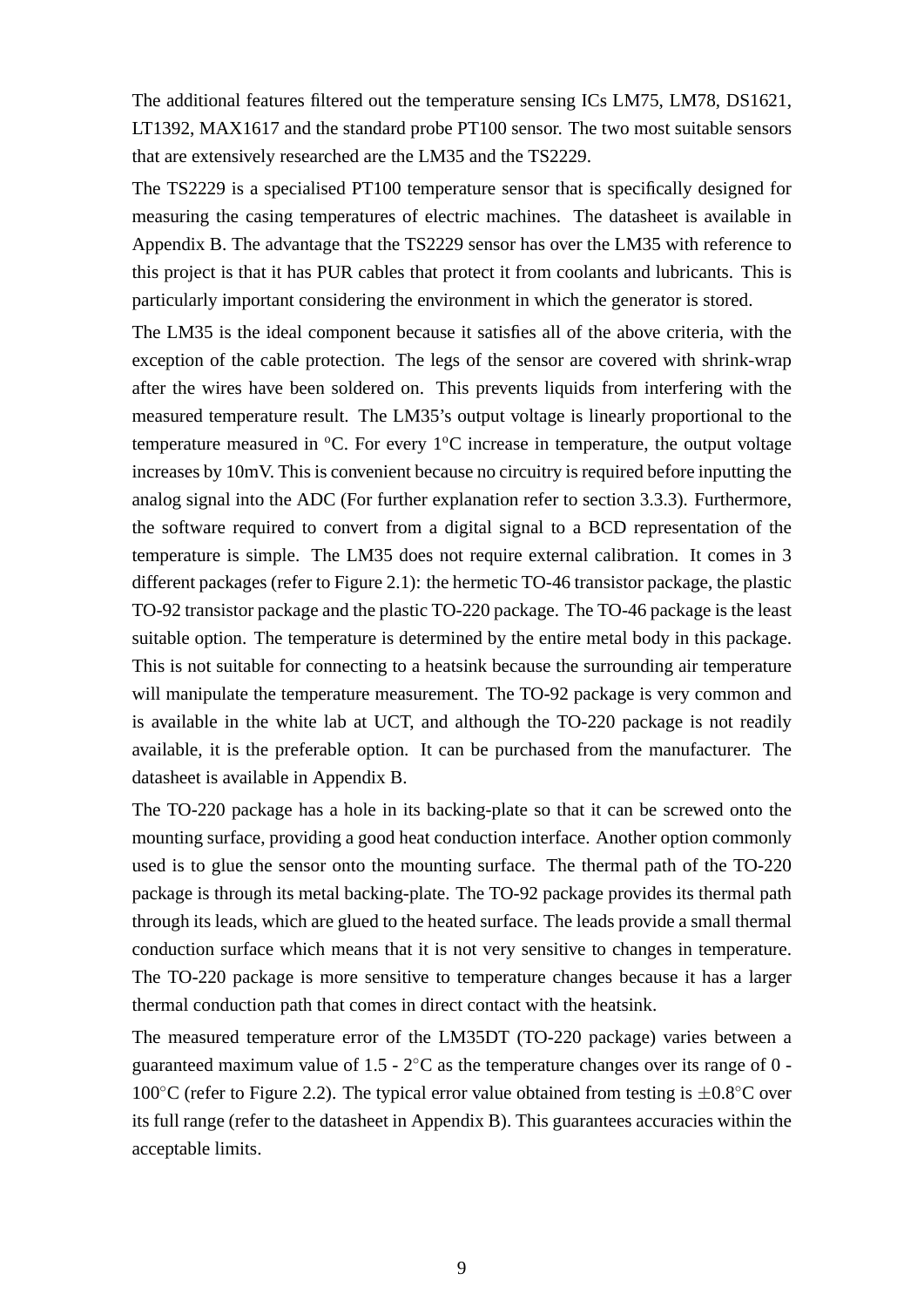The additional features filtered out the temperature sensing ICs LM75, LM78, DS1621, LT1392, MAX1617 and the standard probe PT100 sensor. The two most suitable sensors that are extensively researched are the LM35 and the TS2229.

The TS2229 is a specialised PT100 temperature sensor that is specifically designed for measuring the casing temperatures of electric machines. The datasheet is available in Appendix B. The advantage that the TS2229 sensor has over the LM35 with reference to this project is that it has PUR cables that protect it from coolants and lubricants. This is particularly important considering the environment in which the generator is stored.

The LM35 is the ideal component because it satisfies all of the above criteria, with the exception of the cable protection. The legs of the sensor are covered with shrink-wrap after the wires have been soldered on. This prevents liquids from interfering with the measured temperature result. The LM35's output voltage is linearly proportional to the temperature measured in  ${}^{\circ}C$ . For every 1 ${}^{\circ}C$  increase in temperature, the output voltage increases by 10mV. This is convenient because no circuitry is required before inputting the analog signal into the ADC (For further explanation refer to section 3.3.3). Furthermore, the software required to convert from a digital signal to a BCD representation of the temperature is simple. The LM35 does not require external calibration. It comes in 3 different packages (refer to Figure 2.1): the hermetic TO-46 transistor package, the plastic TO-92 transistor package and the plastic TO-220 package. The TO-46 package is the least suitable option. The temperature is determined by the entire metal body in this package. This is not suitable for connecting to a heatsink because the surrounding air temperature will manipulate the temperature measurement. The TO-92 package is very common and is available in the white lab at UCT, and although the TO-220 package is not readily available, it is the preferable option. It can be purchased from the manufacturer. The datasheet is available in Appendix B.

The TO-220 package has a hole in its backing-plate so that it can be screwed onto the mounting surface, providing a good heat conduction interface. Another option commonly used is to glue the sensor onto the mounting surface. The thermal path of the TO-220 package is through its metal backing-plate. The TO-92 package provides its thermal path through its leads, which are glued to the heated surface. The leads provide a small thermal conduction surface which means that it is not very sensitive to changes in temperature. The TO-220 package is more sensitive to temperature changes because it has a larger thermal conduction path that comes in direct contact with the heatsink.

The measured temperature error of the LM35DT (TO-220 package) varies between a guaranteed maximum value of  $1.5 - 2$ <sup>o</sup>C as the temperature changes over its range of 0 -100 $°C$  (refer to Figure 2.2). The typical error value obtained from testing is  $±0.8°C$  over its full range (refer to the datasheet in Appendix B). This guarantees accuracies within the acceptable limits.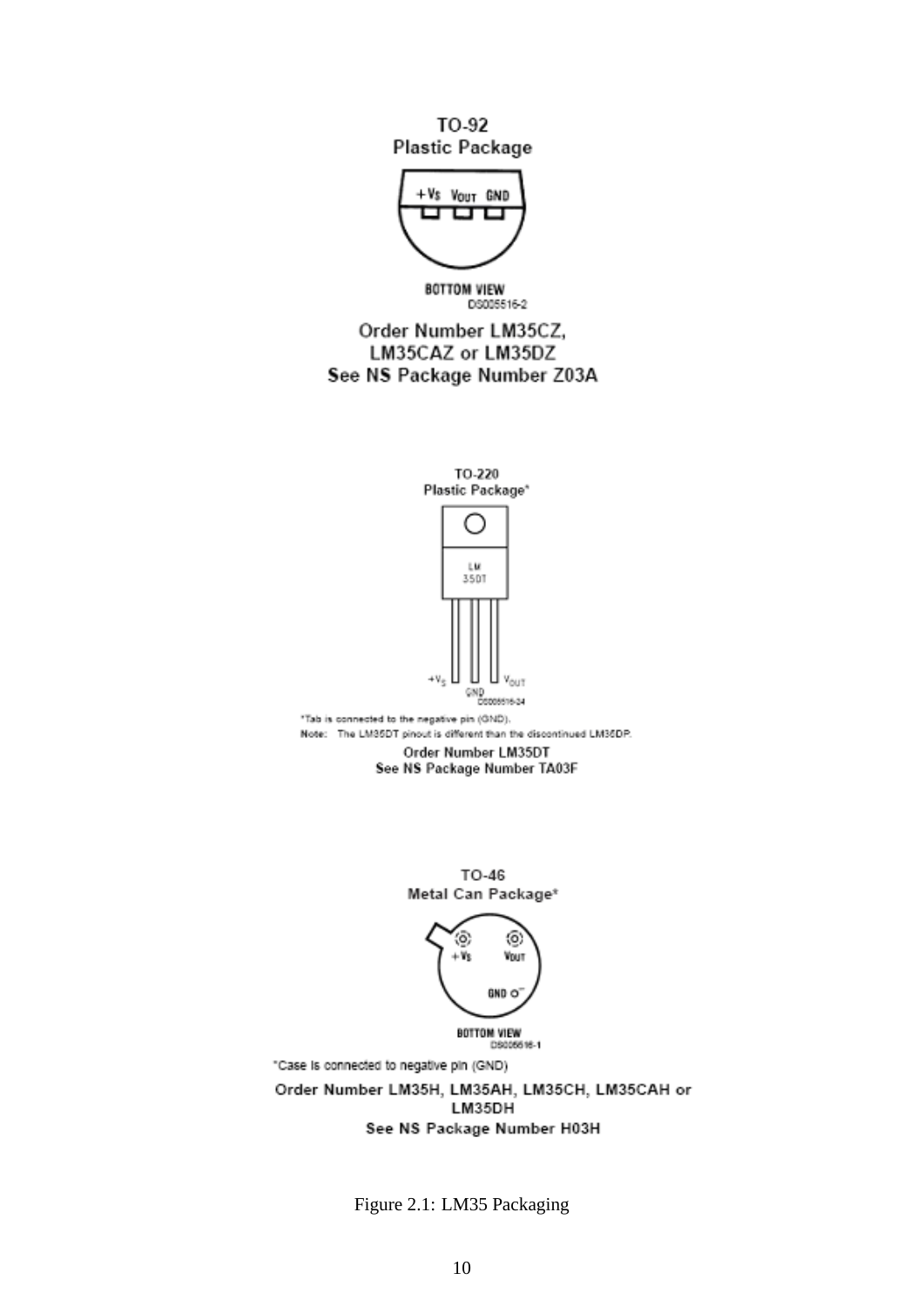TO-92 Plastic Package



**BOTTOM VIEW** DS005516-2

Order Number LM35CZ, LM35CAZ or LM35DZ See NS Package Number Z03A



Figure 2.1: LM35 Packaging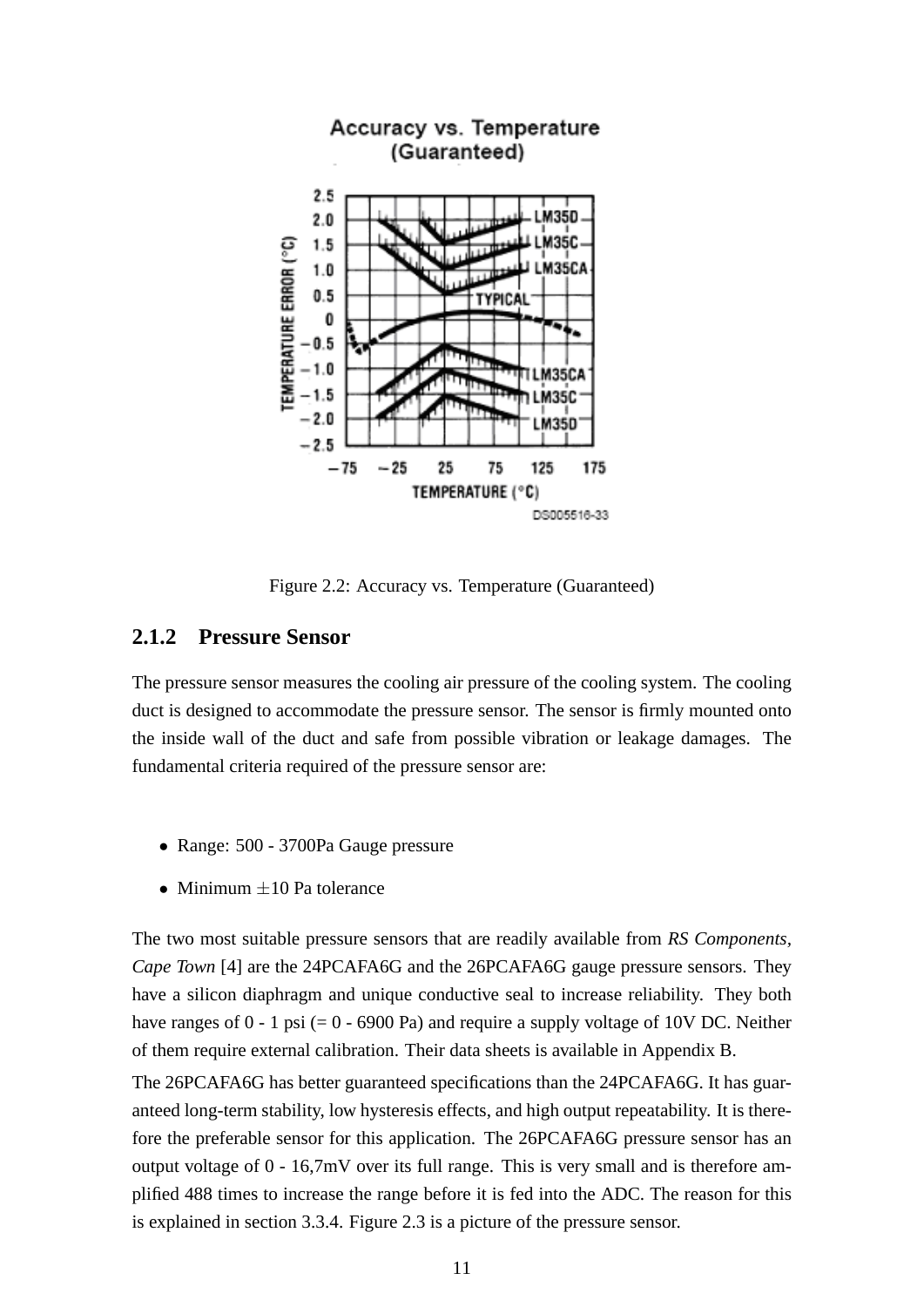

Figure 2.2: Accuracy vs. Temperature (Guaranteed)

#### **2.1.2 Pressure Sensor**

The pressure sensor measures the cooling air pressure of the cooling system. The cooling duct is designed to accommodate the pressure sensor. The sensor is firmly mounted onto the inside wall of the duct and safe from possible vibration or leakage damages. The fundamental criteria required of the pressure sensor are:

- Range: 500 3700Pa Gauge pressure
- Minimum  $+10$  Pa tolerance

The two most suitable pressure sensors that are readily available from *RS Components, Cape Town* [4] are the 24PCAFA6G and the 26PCAFA6G gauge pressure sensors. They have a silicon diaphragm and unique conductive seal to increase reliability. They both have ranges of  $0 - 1$  psi (=  $0 - 6900$  Pa) and require a supply voltage of 10V DC. Neither of them require external calibration. Their data sheets is available in Appendix B.

The 26PCAFA6G has better guaranteed specifications than the 24PCAFA6G. It has guaranteed long-term stability, low hysteresis effects, and high output repeatability. It is therefore the preferable sensor for this application. The 26PCAFA6G pressure sensor has an output voltage of 0 - 16,7mV over its full range. This is very small and is therefore amplified 488 times to increase the range before it is fed into the ADC. The reason for this is explained in section 3.3.4. Figure 2.3 is a picture of the pressure sensor.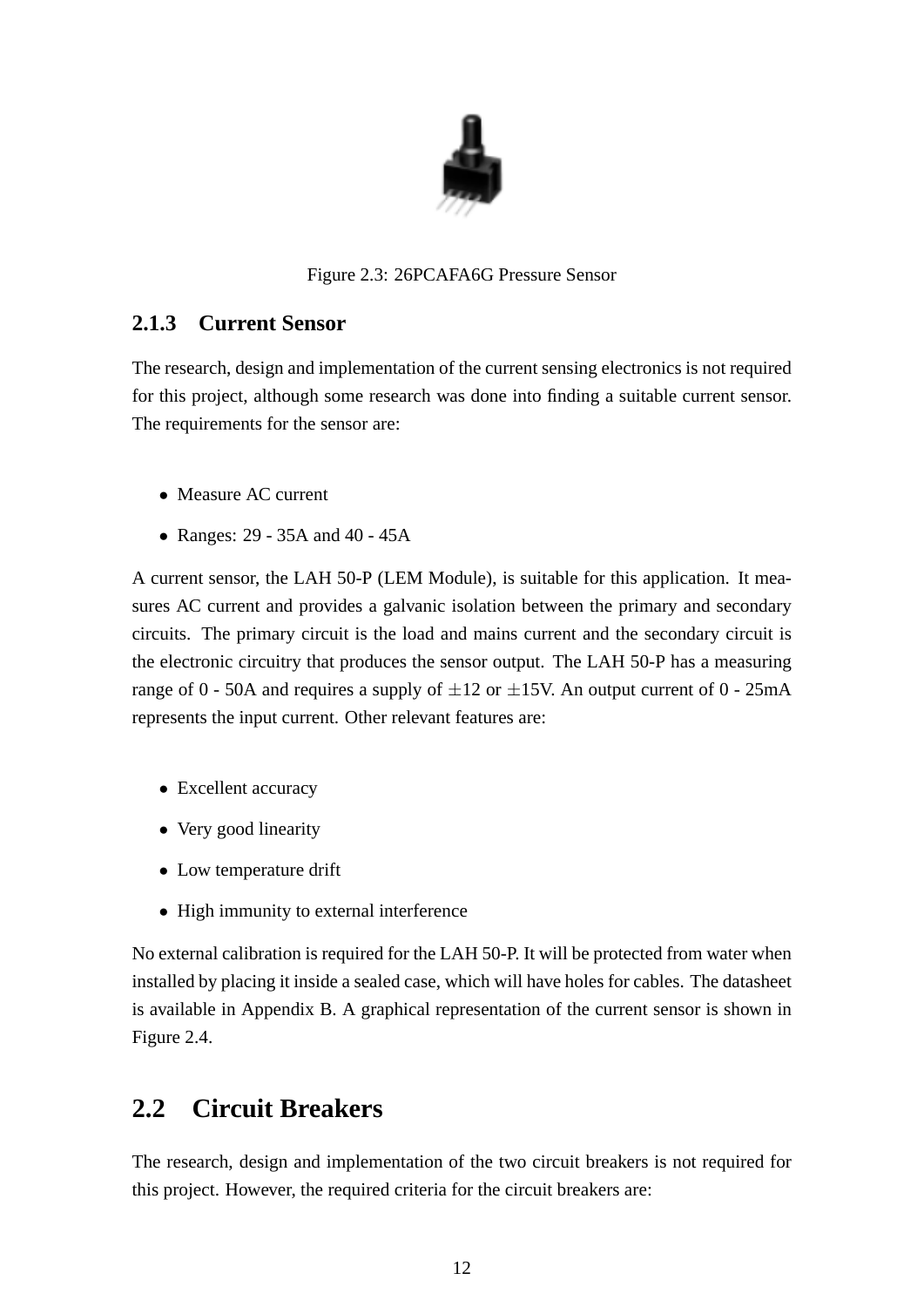

#### Figure 2.3: 26PCAFA6G Pressure Sensor

#### **2.1.3 Current Sensor**

The research, design and implementation of the current sensing electronics is not required for this project, although some research was done into finding a suitable current sensor. The requirements for the sensor are:

- Measure AC current
- Ranges: 29 35A and 40 45A

A current sensor, the LAH 50-P (LEM Module), is suitable for this application. It measures AC current and provides a galvanic isolation between the primary and secondary circuits. The primary circuit is the load and mains current and the secondary circuit is the electronic circuitry that produces the sensor output. The LAH 50-P has a measuring range of 0 - 50A and requires a supply of  $\pm 12$  or  $\pm 15V$ . An output current of 0 - 25mA represents the input current. Other relevant features are:

- Excellent accuracy
- Very good linearity
- Low temperature drift
- High immunity to external interference

No external calibration is required for the LAH 50-P. It will be protected from water when installed by placing it inside a sealed case, which will have holes for cables. The datasheet is available in Appendix B. A graphical representation of the current sensor is shown in Figure 2.4.

### **2.2 Circuit Breakers**

The research, design and implementation of the two circuit breakers is not required for this project. However, the required criteria for the circuit breakers are: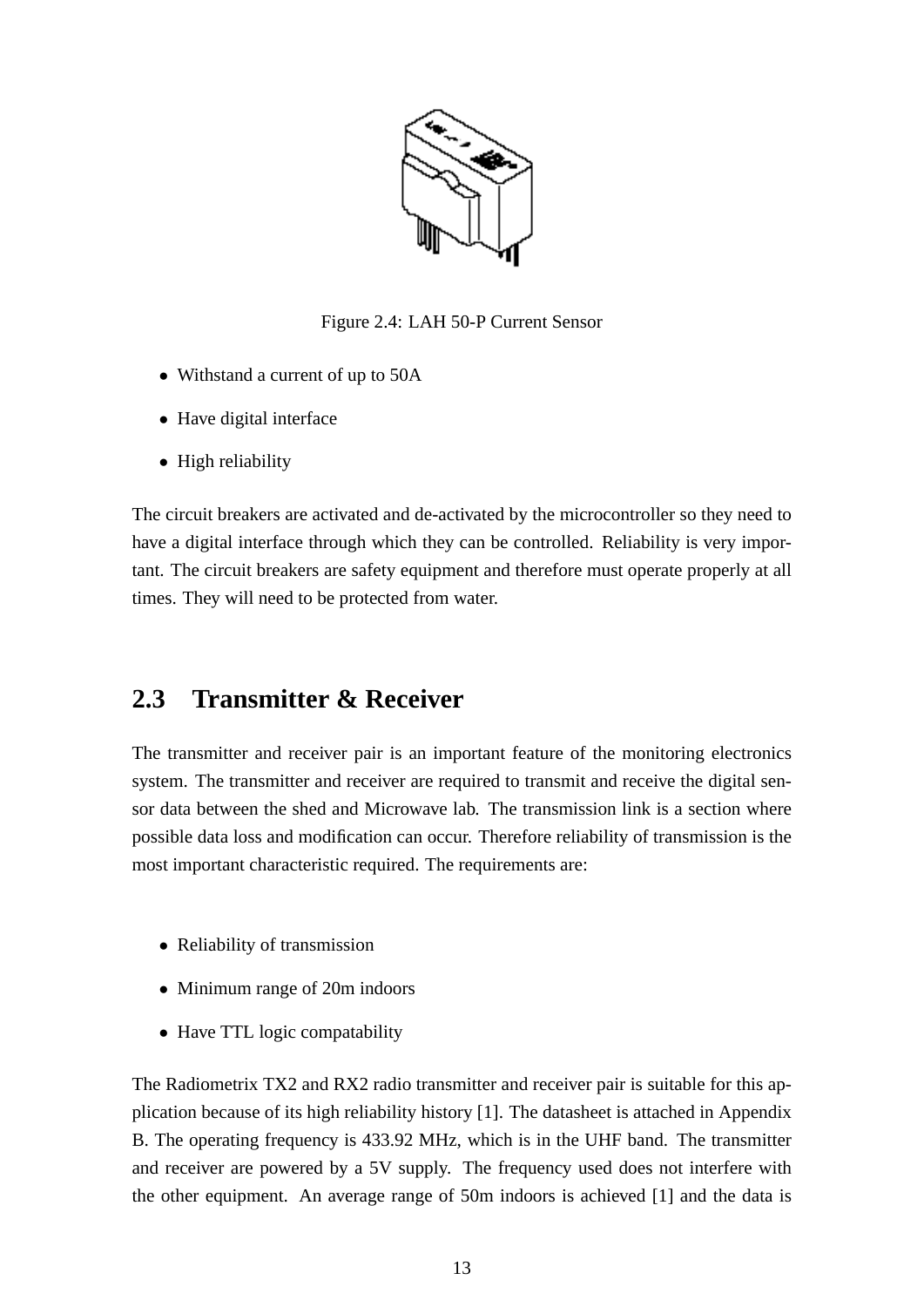

Figure 2.4: LAH 50-P Current Sensor

- Withstand a current of up to 50A
- Have digital interface
- High reliability

The circuit breakers are activated and de-activated by the microcontroller so they need to have a digital interface through which they can be controlled. Reliability is very important. The circuit breakers are safety equipment and therefore must operate properly at all times. They will need to be protected from water.

### **2.3 Transmitter & Receiver**

The transmitter and receiver pair is an important feature of the monitoring electronics system. The transmitter and receiver are required to transmit and receive the digital sensor data between the shed and Microwave lab. The transmission link is a section where possible data loss and modification can occur. Therefore reliability of transmission is the most important characteristic required. The requirements are:

- Reliability of transmission
- Minimum range of 20m indoors
- Have TTL logic compatability

The Radiometrix TX2 and RX2 radio transmitter and receiver pair is suitable for this application because of its high reliability history [1]. The datasheet is attached in Appendix B. The operating frequency is 433.92 MHz, which is in the UHF band. The transmitter and receiver are powered by a 5V supply. The frequency used does not interfere with the other equipment. An average range of 50m indoors is achieved [1] and the data is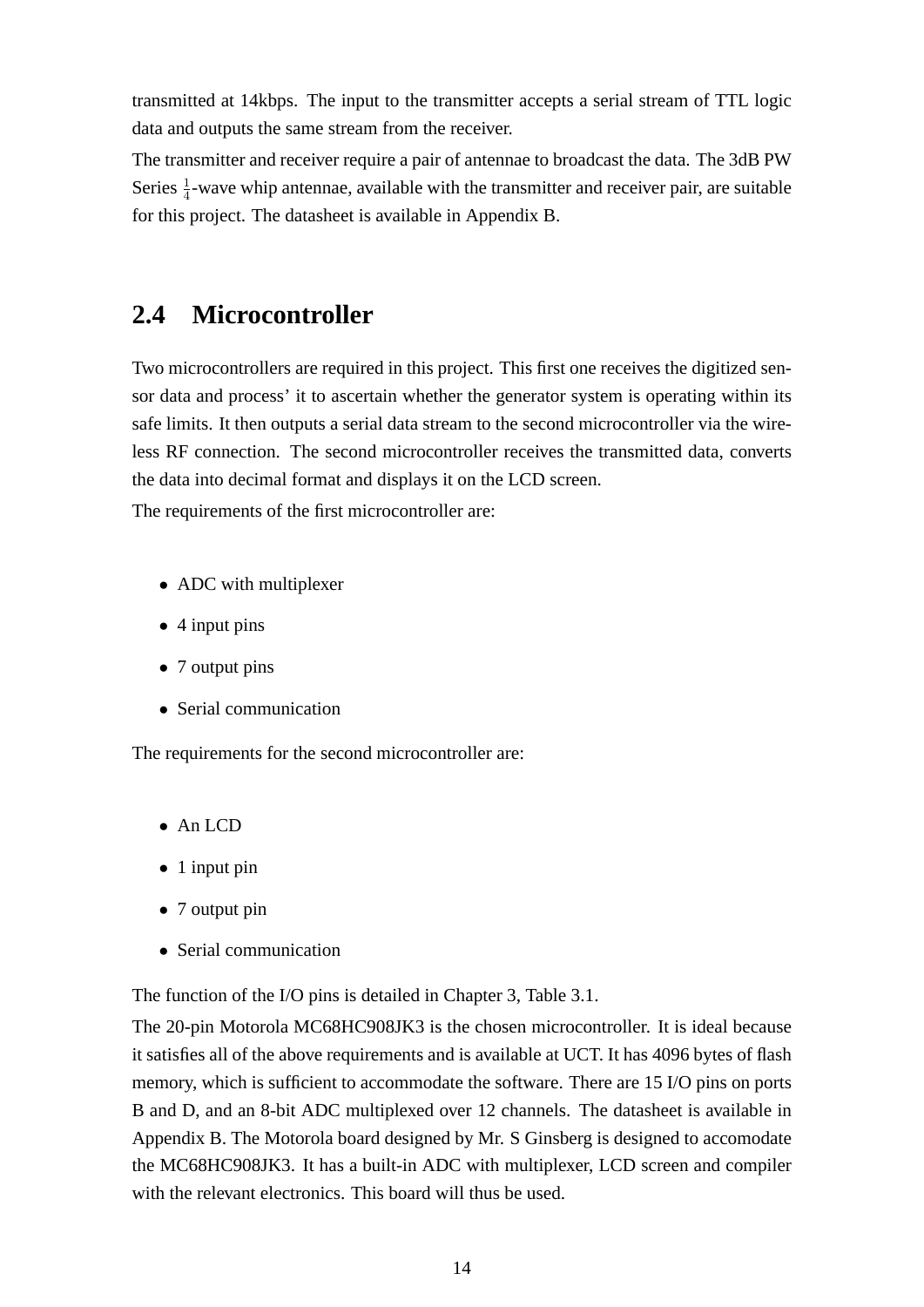transmitted at 14kbps. The input to the transmitter accepts a serial stream of TTL logic data and outputs the same stream from the receiver.

The transmitter and receiver require a pair of antennae to broadcast the data. The 3dB PW Series  $\frac{1}{4}$ -wave whip antennae, available with the transmitter and receiver pair, are suitable for this project. The datasheet is available in Appendix B.

### **2.4 Microcontroller**

Two microcontrollers are required in this project. This first one receives the digitized sensor data and process' it to ascertain whether the generator system is operating within its safe limits. It then outputs a serial data stream to the second microcontroller via the wireless RF connection. The second microcontroller receives the transmitted data, converts the data into decimal format and displays it on the LCD screen.

The requirements of the first microcontroller are:

- ADC with multiplexer
- 4 input pins
- 7 output pins
- Serial communication

The requirements for the second microcontroller are:

- An LCD
- 1 input pin
- 7 output pin
- Serial communication

The function of the I/O pins is detailed in Chapter 3, Table 3.1.

The 20-pin Motorola MC68HC908JK3 is the chosen microcontroller. It is ideal because it satisfies all of the above requirements and is available at UCT. It has 4096 bytes of flash memory, which is sufficient to accommodate the software. There are 15 I/O pins on ports B and D, and an 8-bit ADC multiplexed over 12 channels. The datasheet is available in Appendix B. The Motorola board designed by Mr. S Ginsberg is designed to accomodate the MC68HC908JK3. It has a built-in ADC with multiplexer, LCD screen and compiler with the relevant electronics. This board will thus be used.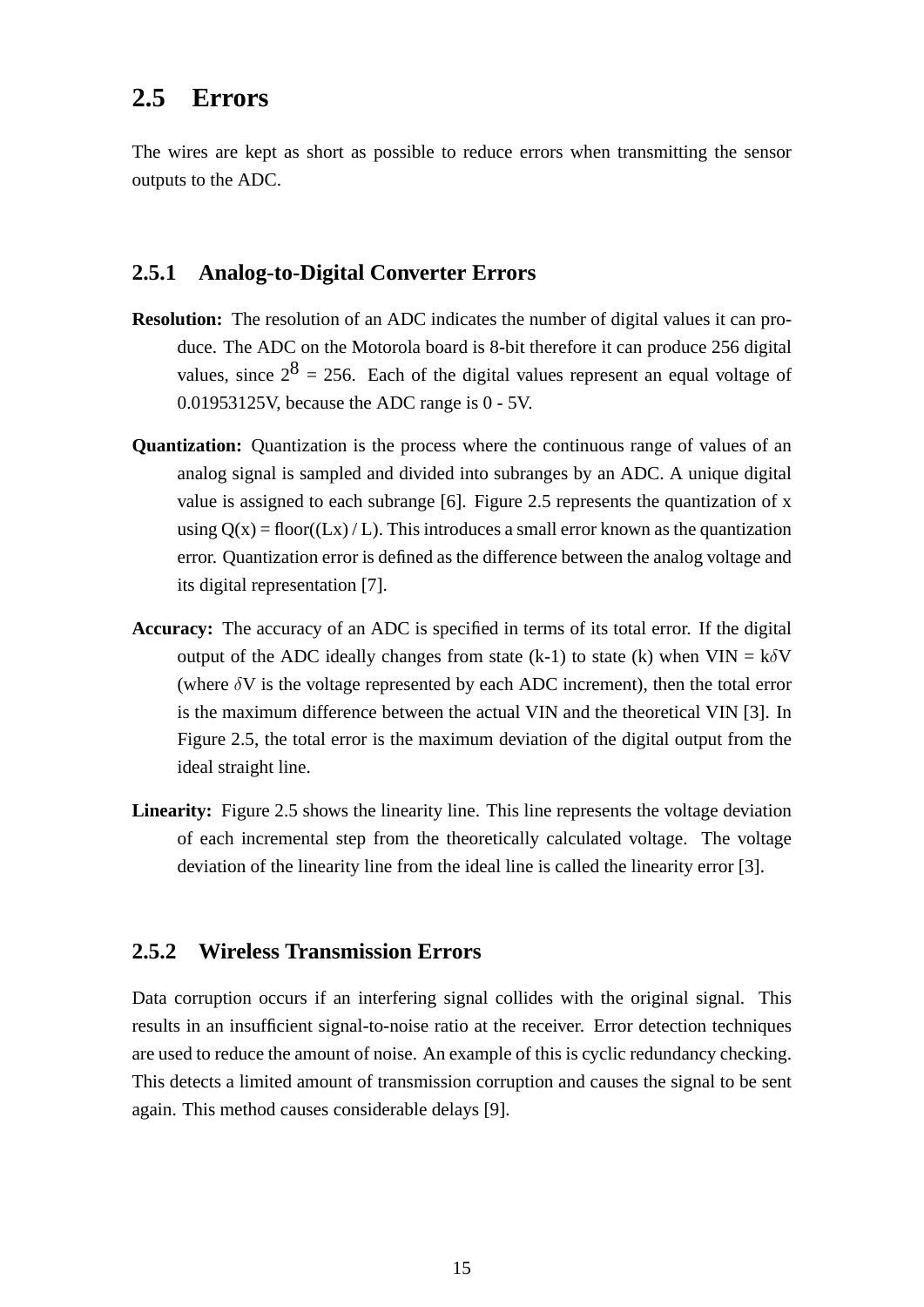### **2.5 Errors**

The wires are kept as short as possible to reduce errors when transmitting the sensor outputs to the ADC.

#### **2.5.1 Analog-to-Digital Converter Errors**

- **Resolution:** The resolution of an ADC indicates the number of digital values it can produce. The ADC on the Motorola board is 8-bit therefore it can produce 256 digital values, since  $2^8 = 256$ . Each of the digital values represent an equal voltage of 0.01953125V, because the ADC range is 0 - 5V.
- **Quantization:** Quantization is the process where the continuous range of values of an analog signal is sampled and divided into subranges by an ADC. A unique digital value is assigned to each subrange [6]. Figure 2.5 represents the quantization of x using  $Q(x) = floor((Lx) / L)$ . This introduces a small error known as the quantization error. Quantization error is defined as the difference between the analog voltage and its digital representation [7].
- **Accuracy:** The accuracy of an ADC is specified in terms of its total error. If the digital output of the ADC ideally changes from state (k-1) to state (k) when  $VIN = k\delta V$ (where  $\delta V$  is the voltage represented by each ADC increment), then the total error is the maximum difference between the actual VIN and the theoretical VIN [3]. In Figure 2.5, the total error is the maximum deviation of the digital output from the ideal straight line.
- Linearity: Figure 2.5 shows the linearity line. This line represents the voltage deviation of each incremental step from the theoretically calculated voltage. The voltage deviation of the linearity line from the ideal line is called the linearity error [3].

#### **2.5.2 Wireless Transmission Errors**

Data corruption occurs if an interfering signal collides with the original signal. This results in an insufficient signal-to-noise ratio at the receiver. Error detection techniques are used to reduce the amount of noise. An example of this is cyclic redundancy checking. This detects a limited amount of transmission corruption and causes the signal to be sent again. This method causes considerable delays [9].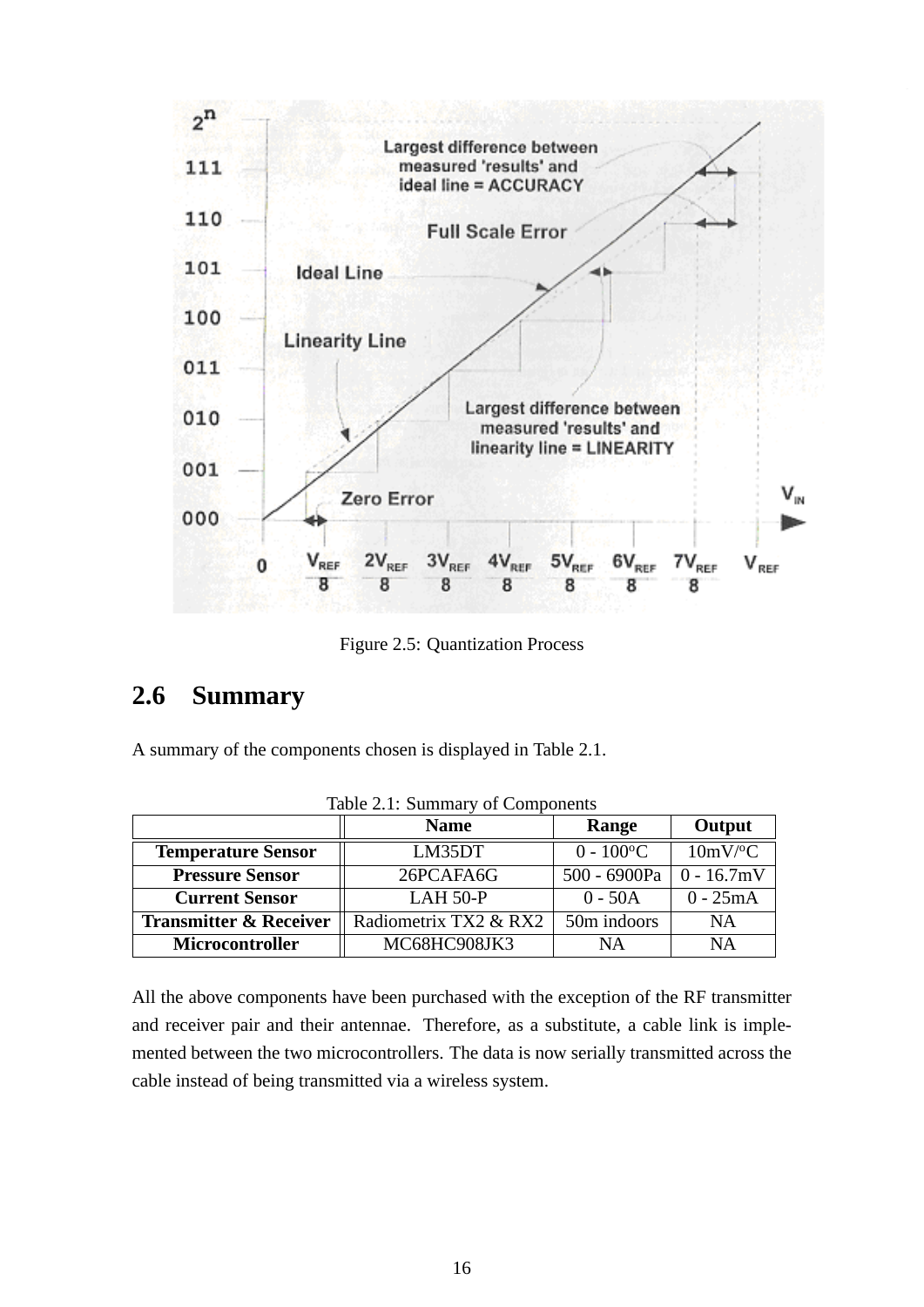

Figure 2.5: Quantization Process

### **2.6 Summary**

A summary of the components chosen is displayed in Table 2.1.

| rapid $\mathbb{Z}$ .1. Dummary or Components |                       |                          |                       |  |
|----------------------------------------------|-----------------------|--------------------------|-----------------------|--|
|                                              | <b>Name</b>           | Range                    | Output                |  |
| <b>Temperature Sensor</b>                    | LM35DT                | $0 - 100$ <sup>o</sup> C | $10mV$ <sup>o</sup> C |  |
| <b>Pressure Sensor</b>                       | 26PCAFA6G             | 500 - 6900Pa             | $0 - 16.7$ mV         |  |
| <b>Current Sensor</b>                        | $LAH$ 50- $P$         | $0 - 50A$                | $0 - 25mA$            |  |
| <b>Transmitter &amp; Receiver</b>            | Radiometrix TX2 & RX2 | 50m indoors              | <b>NA</b>             |  |
| <b>Microcontroller</b>                       | MC68HC908JK3          | NA                       | <b>NA</b>             |  |

Table 2.1: Summary of Components

All the above components have been purchased with the exception of the RF transmitter and receiver pair and their antennae. Therefore, as a substitute, a cable link is implemented between the two microcontrollers. The data is now serially transmitted across the cable instead of being transmitted via a wireless system.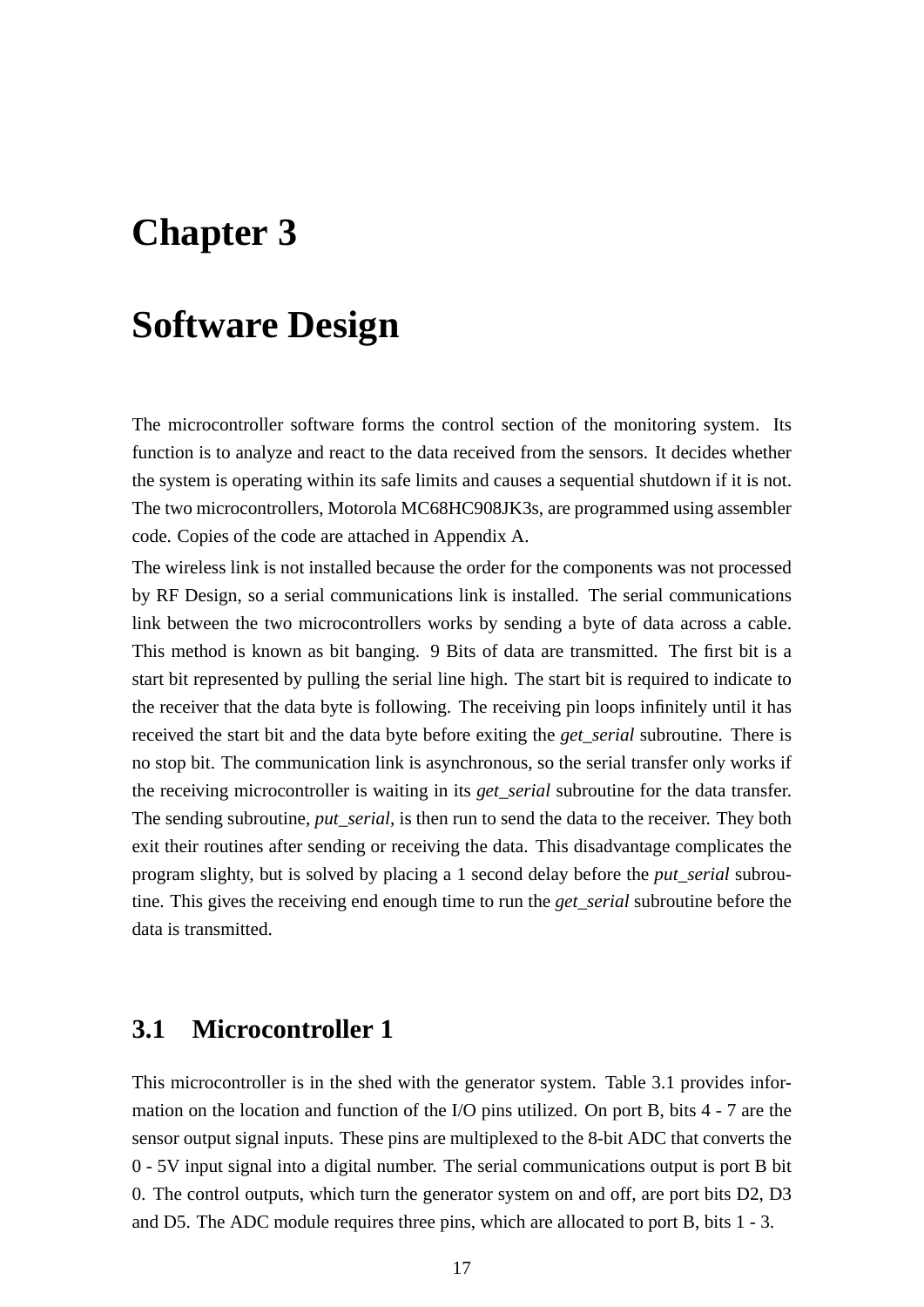## **Chapter 3**

## **Software Design**

The microcontroller software forms the control section of the monitoring system. Its function is to analyze and react to the data received from the sensors. It decides whether the system is operating within its safe limits and causes a sequential shutdown if it is not. The two microcontrollers, Motorola MC68HC908JK3s, are programmed using assembler code. Copies of the code are attached in Appendix A.

The wireless link is not installed because the order for the components was not processed by RF Design, so a serial communications link is installed. The serial communications link between the two microcontrollers works by sending a byte of data across a cable. This method is known as bit banging. 9 Bits of data are transmitted. The first bit is a start bit represented by pulling the serial line high. The start bit is required to indicate to the receiver that the data byte is following. The receiving pin loops infinitely until it has received the start bit and the data byte before exiting the *get\_serial* subroutine. There is no stop bit. The communication link is asynchronous, so the serial transfer only works if the receiving microcontroller is waiting in its *get\_serial* subroutine for the data transfer. The sending subroutine, *put\_serial*, is then run to send the data to the receiver. They both exit their routines after sending or receiving the data. This disadvantage complicates the program slighty, but is solved by placing a 1 second delay before the *put\_serial* subroutine. This gives the receiving end enough time to run the *get\_serial* subroutine before the data is transmitted.

### **3.1 Microcontroller 1**

This microcontroller is in the shed with the generator system. Table 3.1 provides information on the location and function of the I/O pins utilized. On port B, bits 4 - 7 are the sensor output signal inputs. These pins are multiplexed to the 8-bit ADC that converts the 0 - 5V input signal into a digital number. The serial communications output is port B bit 0. The control outputs, which turn the generator system on and off, are port bits D2, D3 and D5. The ADC module requires three pins, which are allocated to port B, bits 1 - 3.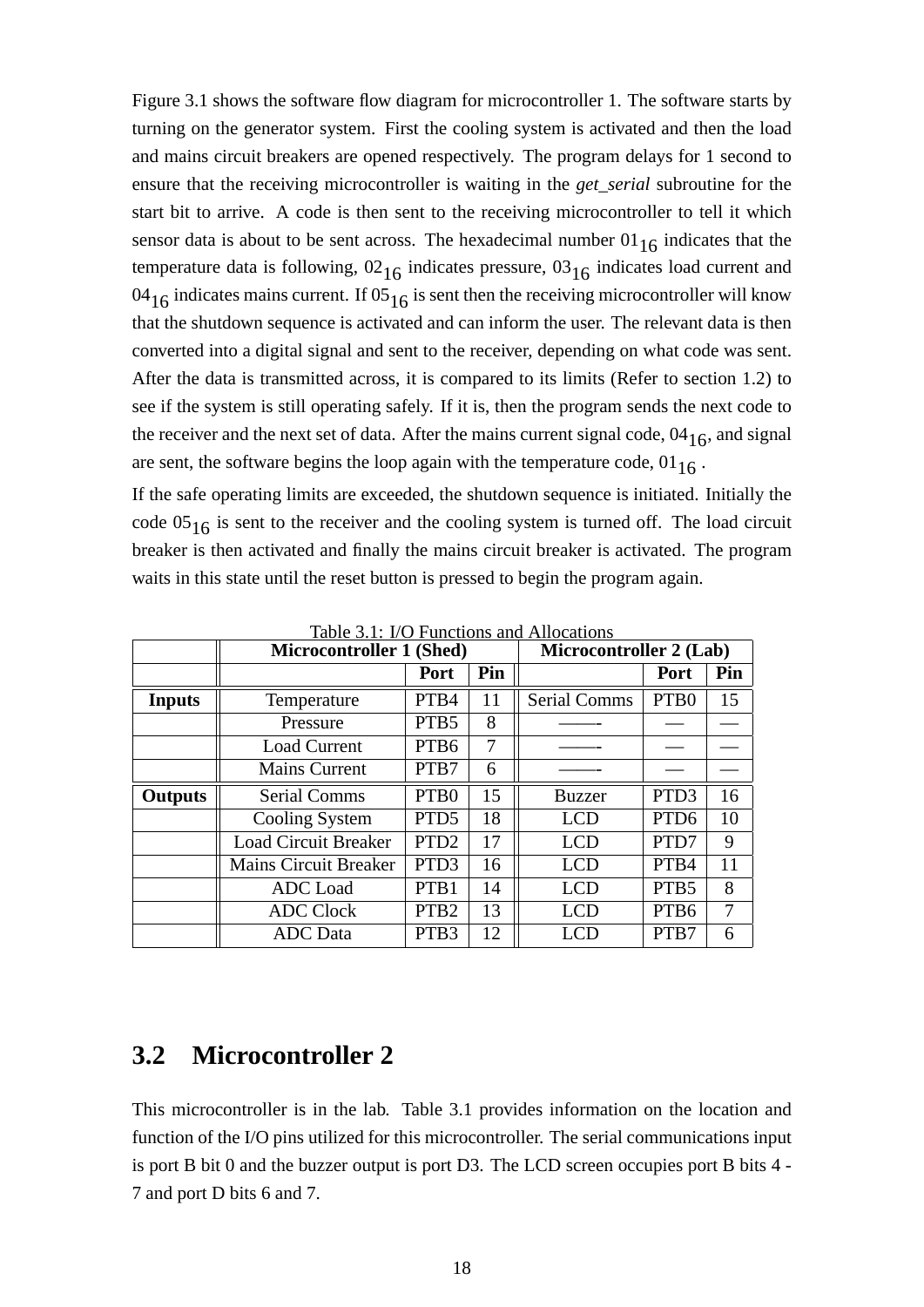Figure 3.1 shows the software flow diagram for microcontroller 1. The software starts by turning on the generator system. First the cooling system is activated and then the load and mains circuit breakers are opened respectively. The program delays for 1 second to ensure that the receiving microcontroller is waiting in the *get\_serial* subroutine for the start bit to arrive. A code is then sent to the receiving microcontroller to tell it which sensor data is about to be sent across. The hexadecimal number  $01_{16}$  indicates that the temperature data is following,  $02_{16}$  indicates pressure,  $03_{16}$  indicates load current and 04<sub>16</sub> indicates mains current. If 05<sub>16</sub> is sent then the receiving microcontroller will know that the shutdown sequence is activated and can inform the user. The relevant data is then converted into a digital signal and sent to the receiver, depending on what code was sent. After the data is transmitted across, it is compared to its limits (Refer to section 1.2) to see if the system is still operating safely. If it is, then the program sends the next code to the receiver and the next set of data. After the mains current signal code,  $04_{16}$ , and signal are sent, the software begins the loop again with the temperature code,  $01_{16}$ .

If the safe operating limits are exceeded, the shutdown sequence is initiated. Initially the code  $05_{16}$  is sent to the receiver and the cooling system is turned off. The load circuit breaker is then activated and finally the mains circuit breaker is activated. The program waits in this state until the reset button is pressed to begin the program again.

|                | <b>Microcontroller 1 (Shed)</b> |                   |     | Microcontroller 2 (Lab) |                  |     |
|----------------|---------------------------------|-------------------|-----|-------------------------|------------------|-----|
|                |                                 | Port              | Pin |                         | Port             | Pin |
| <b>Inputs</b>  | Temperature                     | PTB4              | 11  | <b>Serial Comms</b>     | PTB <sub>0</sub> | 15  |
|                | Pressure                        | PTB <sub>5</sub>  | 8   |                         |                  |     |
|                | <b>Load Current</b>             | PTB <sub>6</sub>  | 7   |                         |                  |     |
|                | <b>Mains Current</b>            | PTB7              | 6   |                         |                  |     |
| <b>Outputs</b> | <b>Serial Comms</b>             | PT <sub>B</sub> 0 | 15  | <b>Buzzer</b>           | PTD <sub>3</sub> | 16  |
|                | Cooling System                  | PTD <sub>5</sub>  | 18  | LCD                     | PTD <sub>6</sub> | 10  |
|                | <b>Load Circuit Breaker</b>     | PTD <sub>2</sub>  | 17  | <b>LCD</b>              | PTD7             | 9   |
|                | <b>Mains Circuit Breaker</b>    | PTD <sub>3</sub>  | 16  | <b>LCD</b>              | PTB4             | 11  |
|                | <b>ADC</b> Load                 | PTB1              | 14  | LCD                     | PTB <sub>5</sub> | 8   |
|                | <b>ADC Clock</b>                | PTB <sub>2</sub>  | 13  | <b>LCD</b>              | PTB <sub>6</sub> | 7   |
|                | <b>ADC</b> Data                 | PTB <sub>3</sub>  | 12  |                         | PTB7             | 6   |

Table 3.1: I/O Functions and Allocations

### **3.2 Microcontroller 2**

This microcontroller is in the lab. Table 3.1 provides information on the location and function of the I/O pins utilized for this microcontroller. The serial communications input is port B bit 0 and the buzzer output is port D3. The LCD screen occupies port B bits 4 - 7 and port D bits 6 and 7.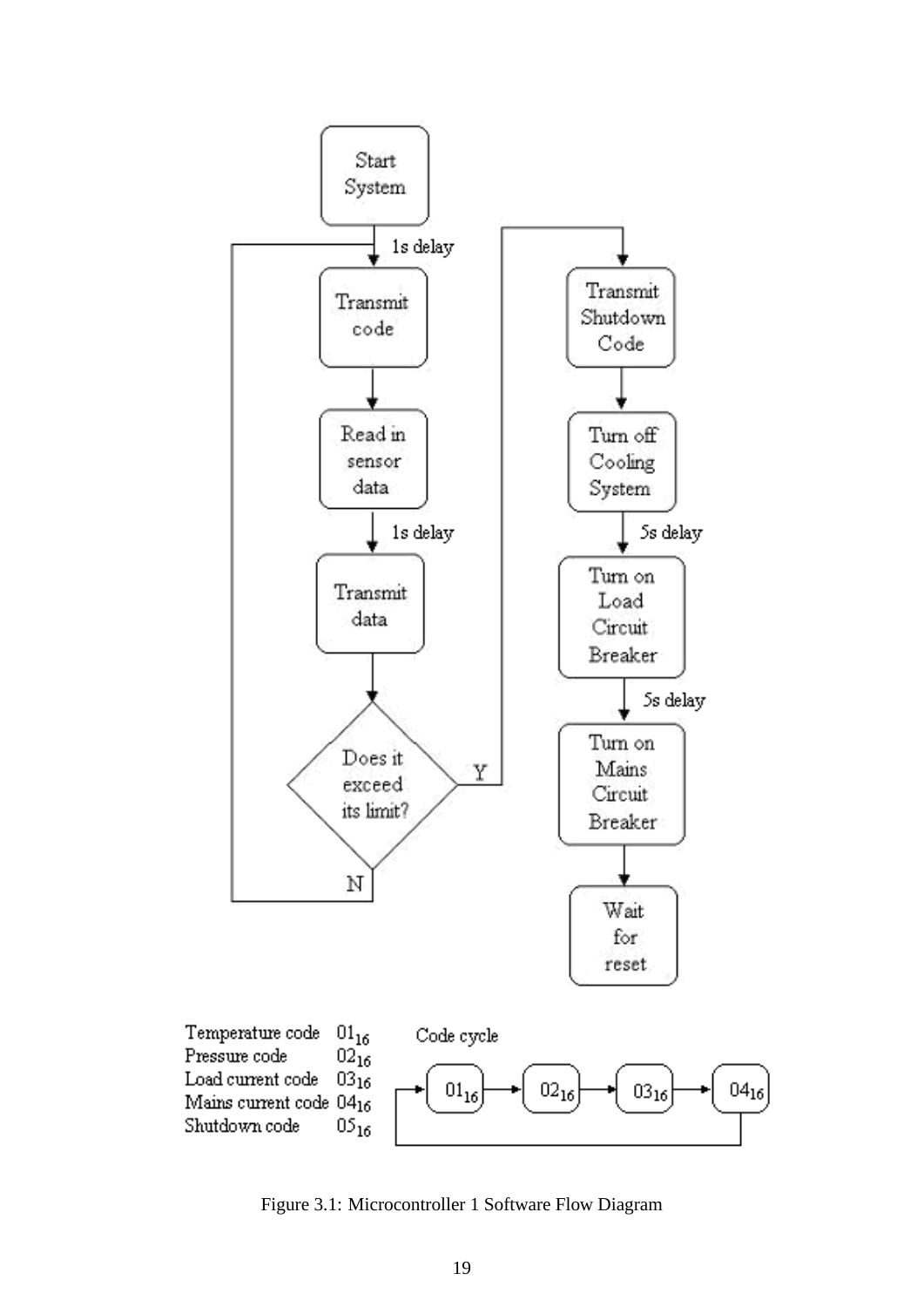

Figure 3.1: Microcontroller 1 Software Flow Diagram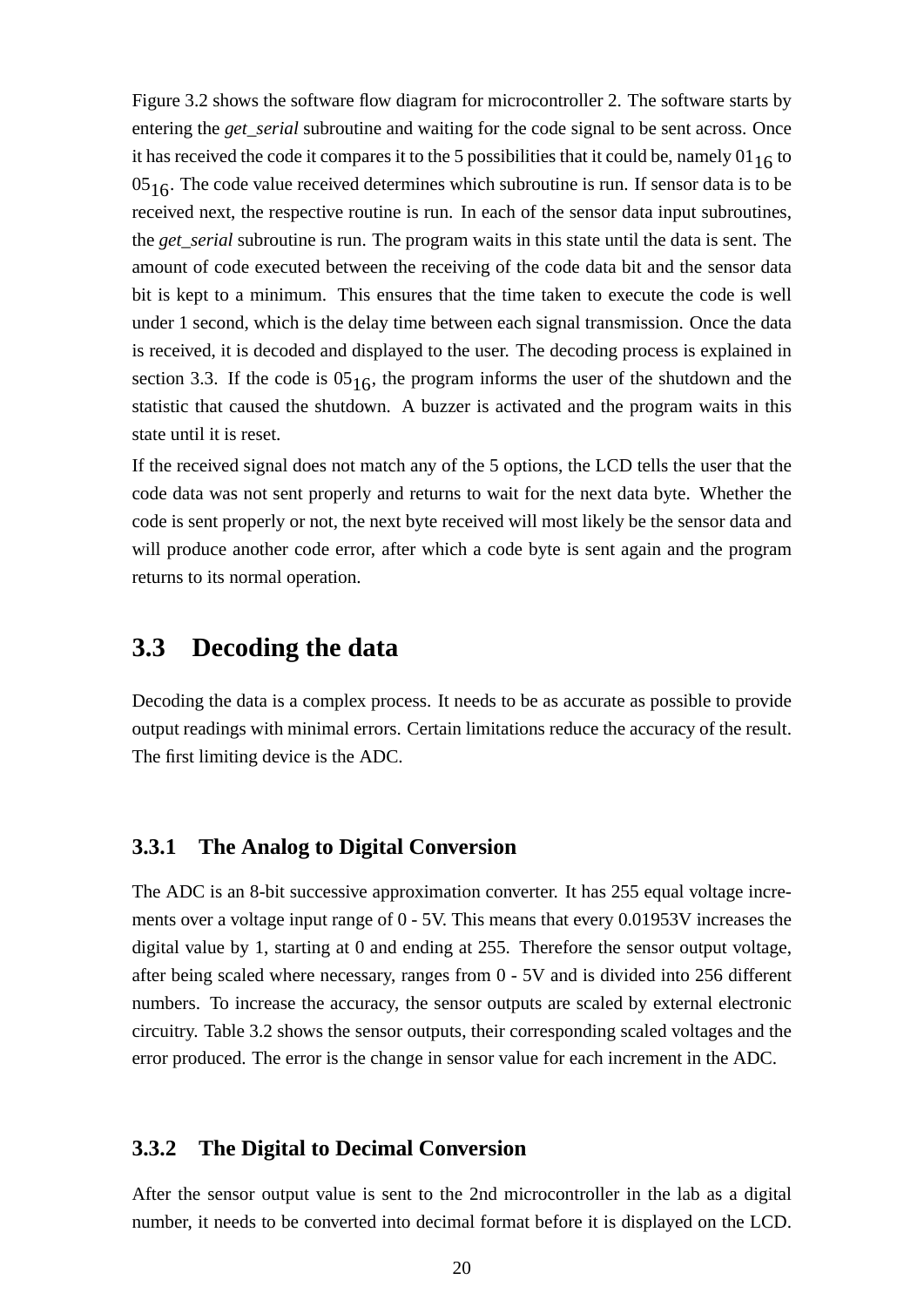Figure 3.2 shows the software flow diagram for microcontroller 2. The software starts by entering the *get serial* subroutine and waiting for the code signal to be sent across. Once it has received the code it compares it to the 5 possibilities that it could be, namely  $01_{16}$  to  $05<sub>16</sub>$ . The code value received determines which subroutine is run. If sensor data is to be received next, the respective routine is run. In each of the sensor data input subroutines, the *get\_serial* subroutine is run. The program waits in this state until the data is sent. The amount of code executed between the receiving of the code data bit and the sensor data bit is kept to a minimum. This ensures that the time taken to execute the code is well under 1 second, which is the delay time between each signal transmission. Once the data is received, it is decoded and displayed to the user. The decoding process is explained in section 3.3. If the code is  $05_{16}$ , the program informs the user of the shutdown and the statistic that caused the shutdown. A buzzer is activated and the program waits in this state until it is reset.

If the received signal does not match any of the 5 options, the LCD tells the user that the code data was not sent properly and returns to wait for the next data byte. Whether the code is sent properly or not, the next byte received will most likely be the sensor data and will produce another code error, after which a code byte is sent again and the program returns to its normal operation.

### **3.3 Decoding the data**

Decoding the data is a complex process. It needs to be as accurate as possible to provide output readings with minimal errors. Certain limitations reduce the accuracy of the result. The first limiting device is the ADC.

#### **3.3.1 The Analog to Digital Conversion**

The ADC is an 8-bit successive approximation converter. It has 255 equal voltage increments over a voltage input range of 0 - 5V. This means that every 0.01953V increases the digital value by 1, starting at 0 and ending at 255. Therefore the sensor output voltage, after being scaled where necessary, ranges from 0 - 5V and is divided into 256 different numbers. To increase the accuracy, the sensor outputs are scaled by external electronic circuitry. Table 3.2 shows the sensor outputs, their corresponding scaled voltages and the error produced. The error is the change in sensor value for each increment in the ADC.

#### **3.3.2 The Digital to Decimal Conversion**

After the sensor output value is sent to the 2nd microcontroller in the lab as a digital number, it needs to be converted into decimal format before it is displayed on the LCD.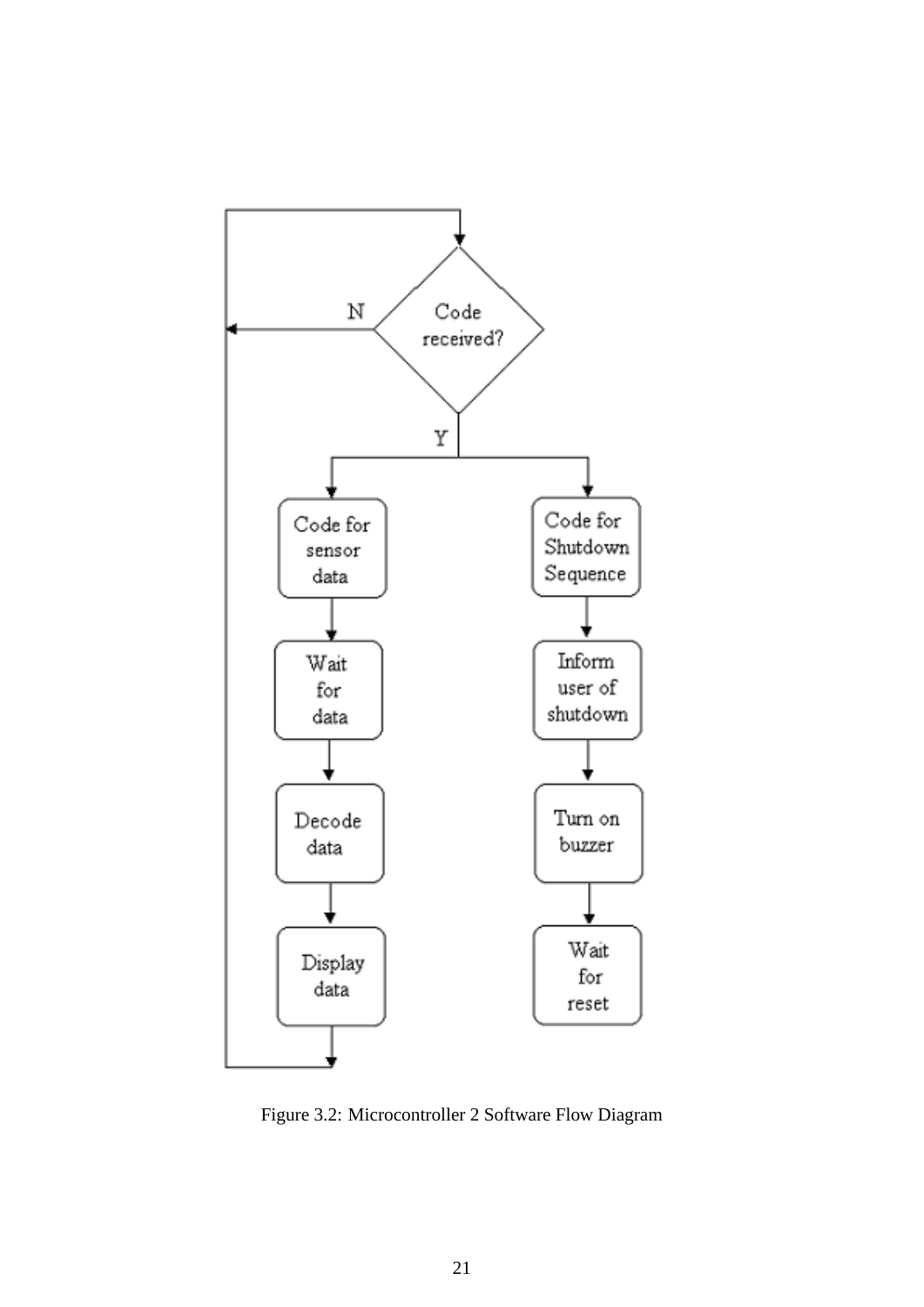

Figure 3.2: Microcontroller 2 Software Flow Diagram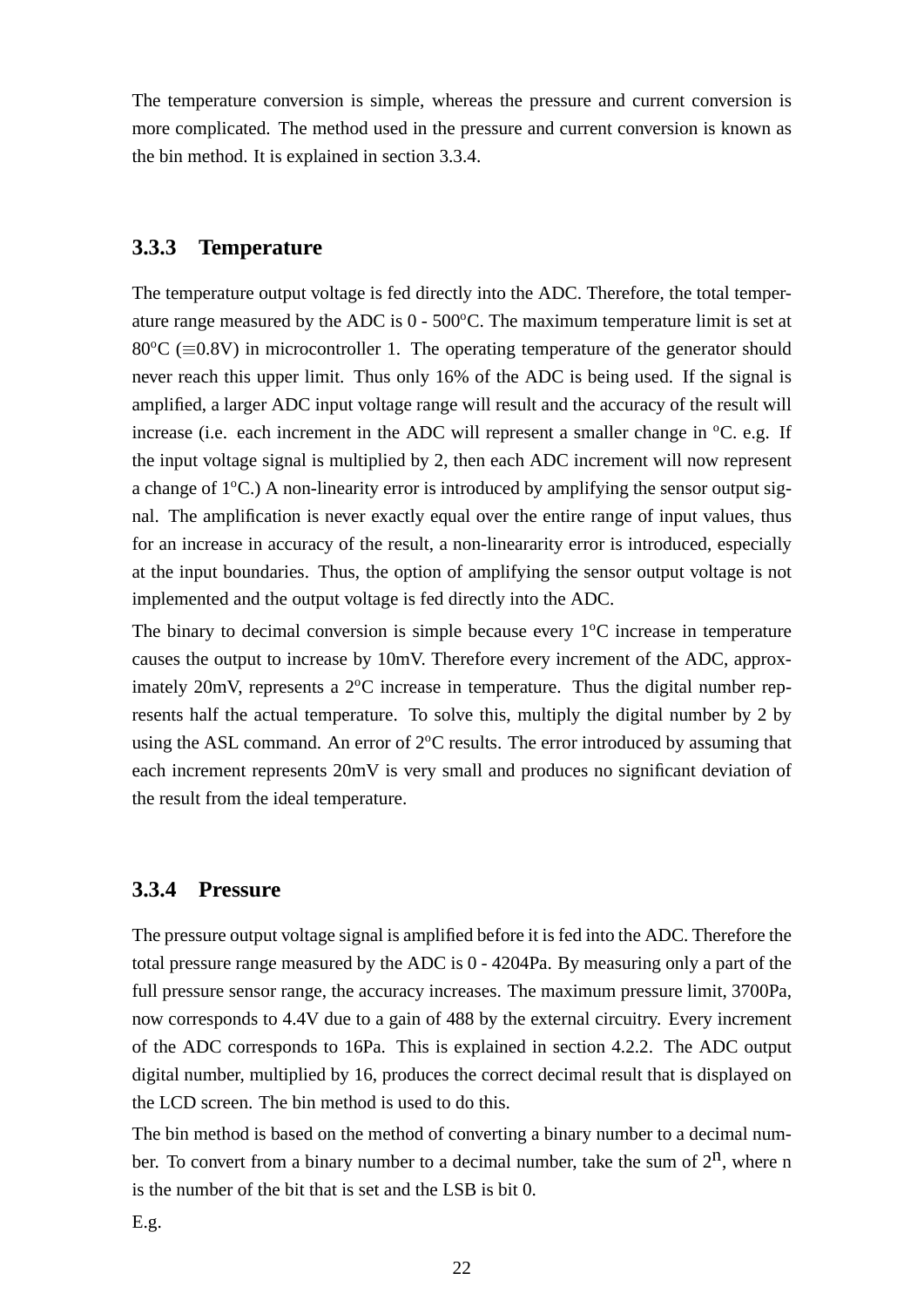The temperature conversion is simple, whereas the pressure and current conversion is more complicated. The method used in the pressure and current conversion is known as the bin method. It is explained in section 3.3.4.

#### **3.3.3 Temperature**

The temperature output voltage is fed directly into the ADC. Therefore, the total temperature range measured by the ADC is  $0 - 500^{\circ}$ C. The maximum temperature limit is set at  $80^{\circ}$ C ( $\equiv$ 0.8V) in microcontroller 1. The operating temperature of the generator should never reach this upper limit. Thus only 16% of the ADC is being used. If the signal is amplified, a larger ADC input voltage range will result and the accuracy of the result will increase (i.e. each increment in the ADC will represent a smaller change in  $^{\circ}C$ . e.g. If the input voltage signal is multiplied by 2, then each ADC increment will now represent a change of  $1^{\circ}$ C.) A non-linearity error is introduced by amplifying the sensor output signal. The amplification is never exactly equal over the entire range of input values, thus for an increase in accuracy of the result, a non-lineararity error is introduced, especially at the input boundaries. Thus, the option of amplifying the sensor output voltage is not implemented and the output voltage is fed directly into the ADC.

The binary to decimal conversion is simple because every  $1^{\circ}$ C increase in temperature causes the output to increase by 10mV. Therefore every increment of the ADC, approximately 20mV, represents a  $2^{\circ}$ C increase in temperature. Thus the digital number represents half the actual temperature. To solve this, multiply the digital number by 2 by using the ASL command. An error of  $2^{\circ}$ C results. The error introduced by assuming that each increment represents 20mV is very small and produces no significant deviation of the result from the ideal temperature.

#### **3.3.4 Pressure**

The pressure output voltage signal is amplified before it is fed into the ADC. Therefore the total pressure range measured by the ADC is 0 - 4204Pa. By measuring only a part of the full pressure sensor range, the accuracy increases. The maximum pressure limit, 3700Pa, now corresponds to 4.4V due to a gain of 488 by the external circuitry. Every increment of the ADC corresponds to 16Pa. This is explained in section 4.2.2. The ADC output digital number, multiplied by 16, produces the correct decimal result that is displayed on the LCD screen. The bin method is used to do this.

The bin method is based on the method of converting a binary number to a decimal number. To convert from a binary number to a decimal number, take the sum of  $2^n$ , where n is the number of the bit that is set and the LSB is bit 0.

E.g.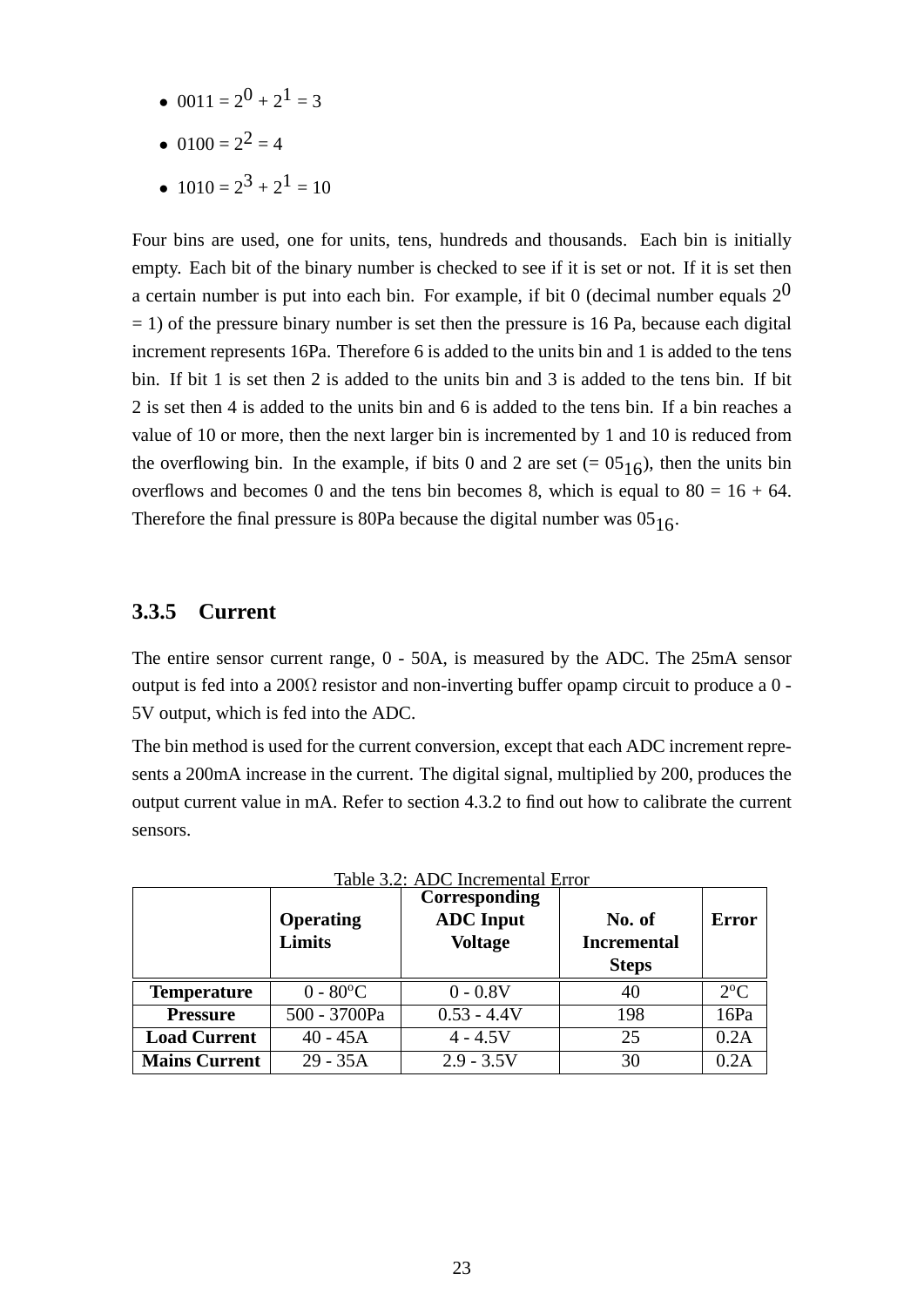- 0011 =  $2^0$  +  $2^1$  = 3
- 0100 =  $2^2$  = 4
- $1010 = 2^3 + 2^1 = 10$

Four bins are used, one for units, tens, hundreds and thousands. Each bin is initially empty. Each bit of the binary number is checked to see if it is set or not. If it is set then a certain number is put into each bin. For example, if bit 0 (decimal number equals  $2<sup>0</sup>$  $= 1$ ) of the pressure binary number is set then the pressure is 16 Pa, because each digital increment represents 16Pa. Therefore 6 is added to the units bin and 1 is added to the tens bin. If bit 1 is set then 2 is added to the units bin and 3 is added to the tens bin. If bit 2 is set then 4 is added to the units bin and 6 is added to the tens bin. If a bin reaches a value of 10 or more, then the next larger bin is incremented by 1 and 10 is reduced from the overflowing bin. In the example, if bits 0 and 2 are set  $(= 05<sub>16</sub>)$ , then the units bin overflows and becomes 0 and the tens bin becomes 8, which is equal to  $80 = 16 + 64$ . Therefore the final pressure is 80Pa because the digital number was  $05_{16}$ .

#### **3.3.5 Current**

The entire sensor current range, 0 - 50A, is measured by the ADC. The 25mA sensor output is fed into a 200Ω resistor and non-inverting buffer opamp circuit to produce a 0 - 5V output, which is fed into the ADC.

The bin method is used for the current conversion, except that each ADC increment represents a 200mA increase in the current. The digital signal, multiplied by 200, produces the output current value in mA. Refer to section 4.3.2 to find out how to calibrate the current sensors.

|                      | Table 3.2: ADC Incremental Error |                  |                    |              |  |  |  |  |
|----------------------|----------------------------------|------------------|--------------------|--------------|--|--|--|--|
|                      |                                  | Corresponding    |                    |              |  |  |  |  |
|                      | <b>Operating</b>                 | <b>ADC</b> Input | No. of             | <b>Error</b> |  |  |  |  |
|                      | <b>Limits</b>                    | <b>Voltage</b>   | <b>Incremental</b> |              |  |  |  |  |
|                      |                                  |                  | <b>Steps</b>       |              |  |  |  |  |
| <b>Temperature</b>   | $0 - 80$ °C                      | $0 - 0.8V$       | 40                 | $2^{\circ}C$ |  |  |  |  |
| <b>Pressure</b>      | 500 - 3700Pa                     | $0.53 - 4.4V$    | 198                | 16Pa         |  |  |  |  |
| <b>Load Current</b>  | $40 - 45A$                       | $4 - 4.5V$       | 25                 | 0.2A         |  |  |  |  |
| <b>Mains Current</b> | $29 - 35A$                       | $2.9 - 3.5V$     | 30                 | 0.2A         |  |  |  |  |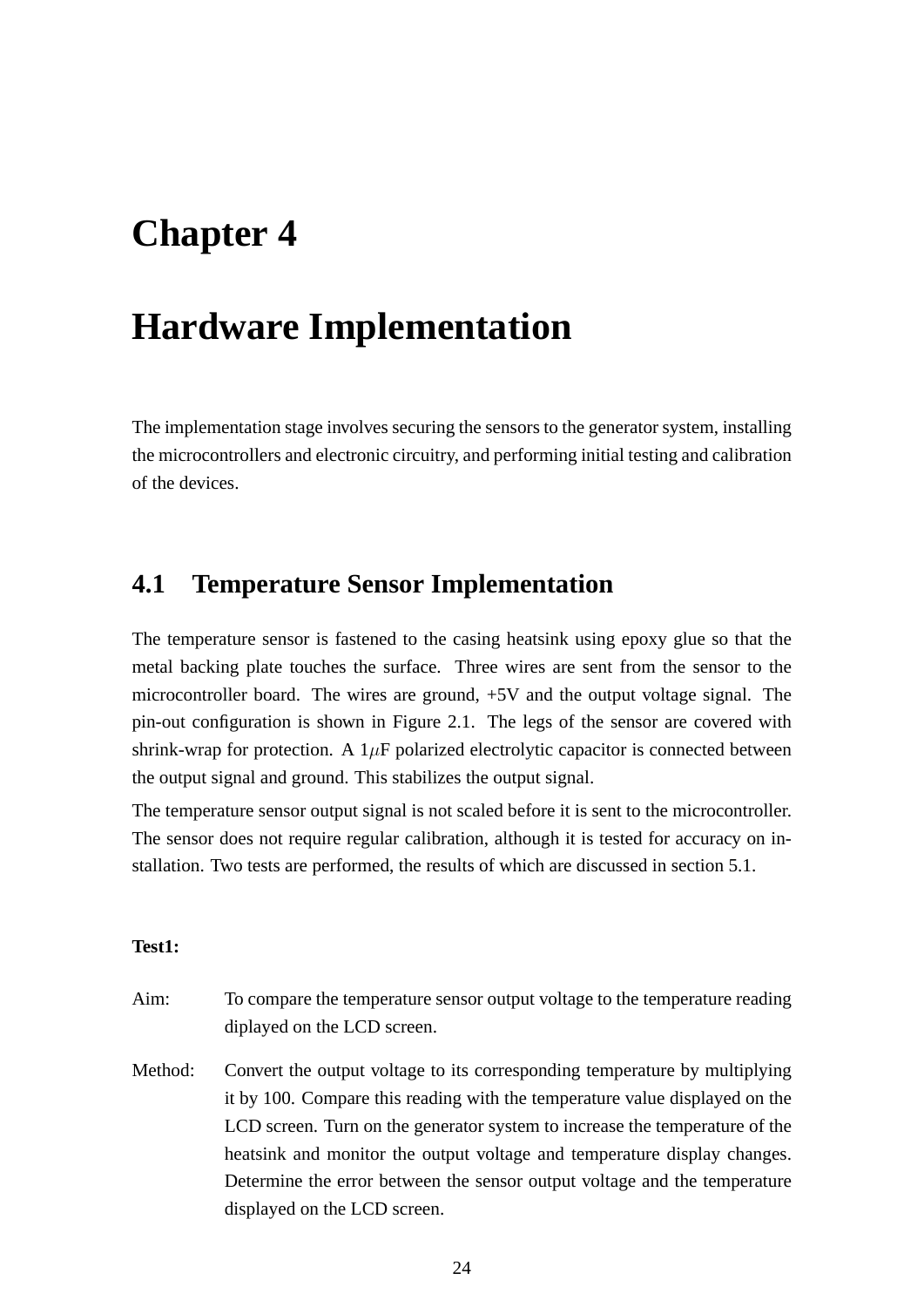## **Chapter 4**

## **Hardware Implementation**

The implementation stage involves securing the sensors to the generator system, installing the microcontrollers and electronic circuitry, and performing initial testing and calibration of the devices.

### **4.1 Temperature Sensor Implementation**

The temperature sensor is fastened to the casing heatsink using epoxy glue so that the metal backing plate touches the surface. Three wires are sent from the sensor to the microcontroller board. The wires are ground, +5V and the output voltage signal. The pin-out configuration is shown in Figure 2.1. The legs of the sensor are covered with shrink-wrap for protection. A  $1\mu$ F polarized electrolytic capacitor is connected between the output signal and ground. This stabilizes the output signal.

The temperature sensor output signal is not scaled before it is sent to the microcontroller. The sensor does not require regular calibration, although it is tested for accuracy on installation. Two tests are performed, the results of which are discussed in section 5.1.

#### **Test1:**

- Aim: To compare the temperature sensor output voltage to the temperature reading diplayed on the LCD screen.
- Method: Convert the output voltage to its corresponding temperature by multiplying it by 100. Compare this reading with the temperature value displayed on the LCD screen. Turn on the generator system to increase the temperature of the heatsink and monitor the output voltage and temperature display changes. Determine the error between the sensor output voltage and the temperature displayed on the LCD screen.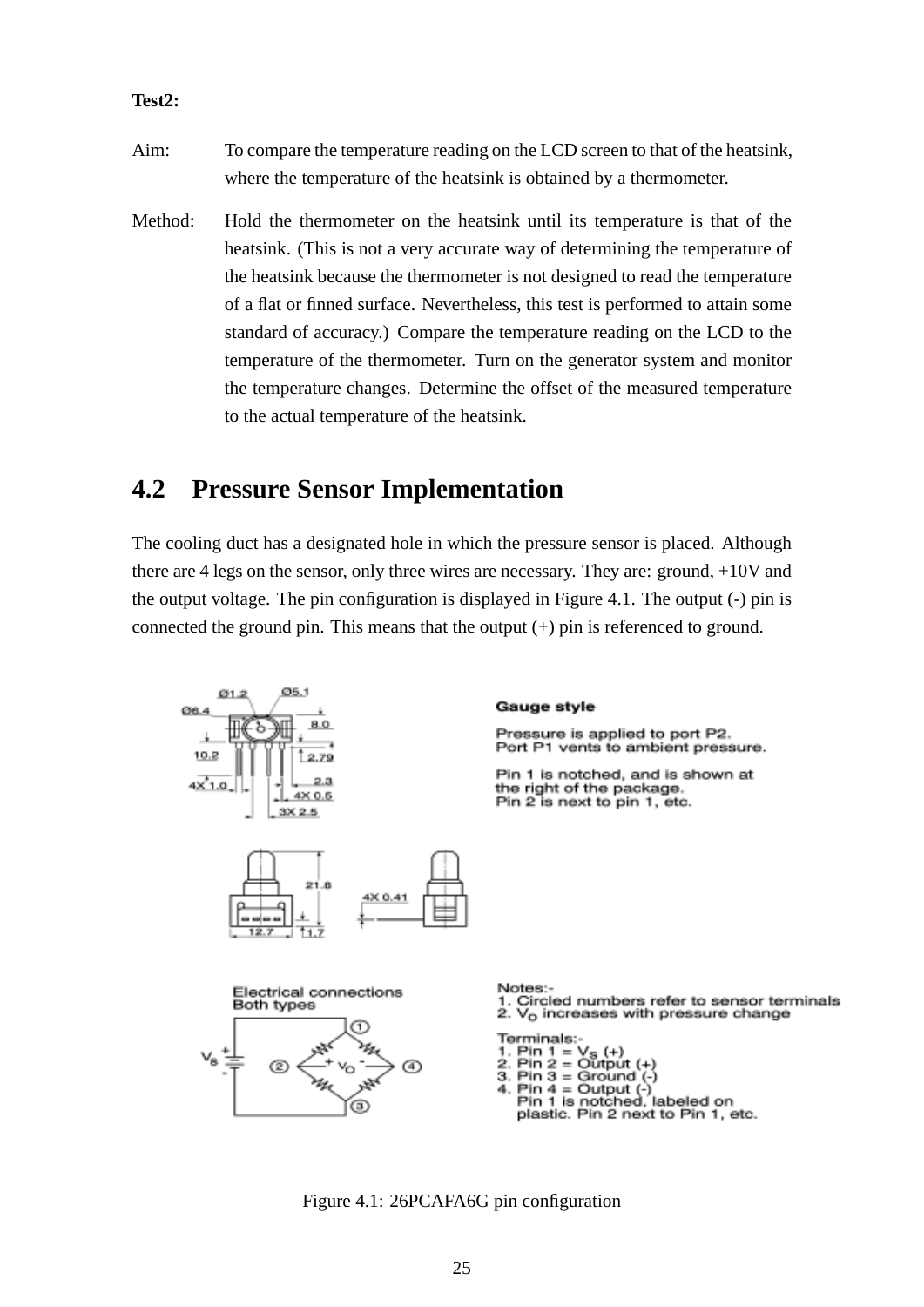#### **Test2:**

- Aim: To compare the temperature reading on the LCD screen to that of the heatsink, where the temperature of the heatsink is obtained by a thermometer.
- Method: Hold the thermometer on the heatsink until its temperature is that of the heatsink. (This is not a very accurate way of determining the temperature of the heatsink because the thermometer is not designed to read the temperature of a flat or finned surface. Nevertheless, this test is performed to attain some standard of accuracy.) Compare the temperature reading on the LCD to the temperature of the thermometer. Turn on the generator system and monitor the temperature changes. Determine the offset of the measured temperature to the actual temperature of the heatsink.

### **4.2 Pressure Sensor Implementation**

The cooling duct has a designated hole in which the pressure sensor is placed. Although there are 4 legs on the sensor, only three wires are necessary. They are: ground, +10V and the output voltage. The pin configuration is displayed in Figure 4.1. The output (-) pin is connected the ground pin. This means that the output  $(+)$  pin is referenced to ground.



Figure 4.1: 26PCAFA6G pin configuration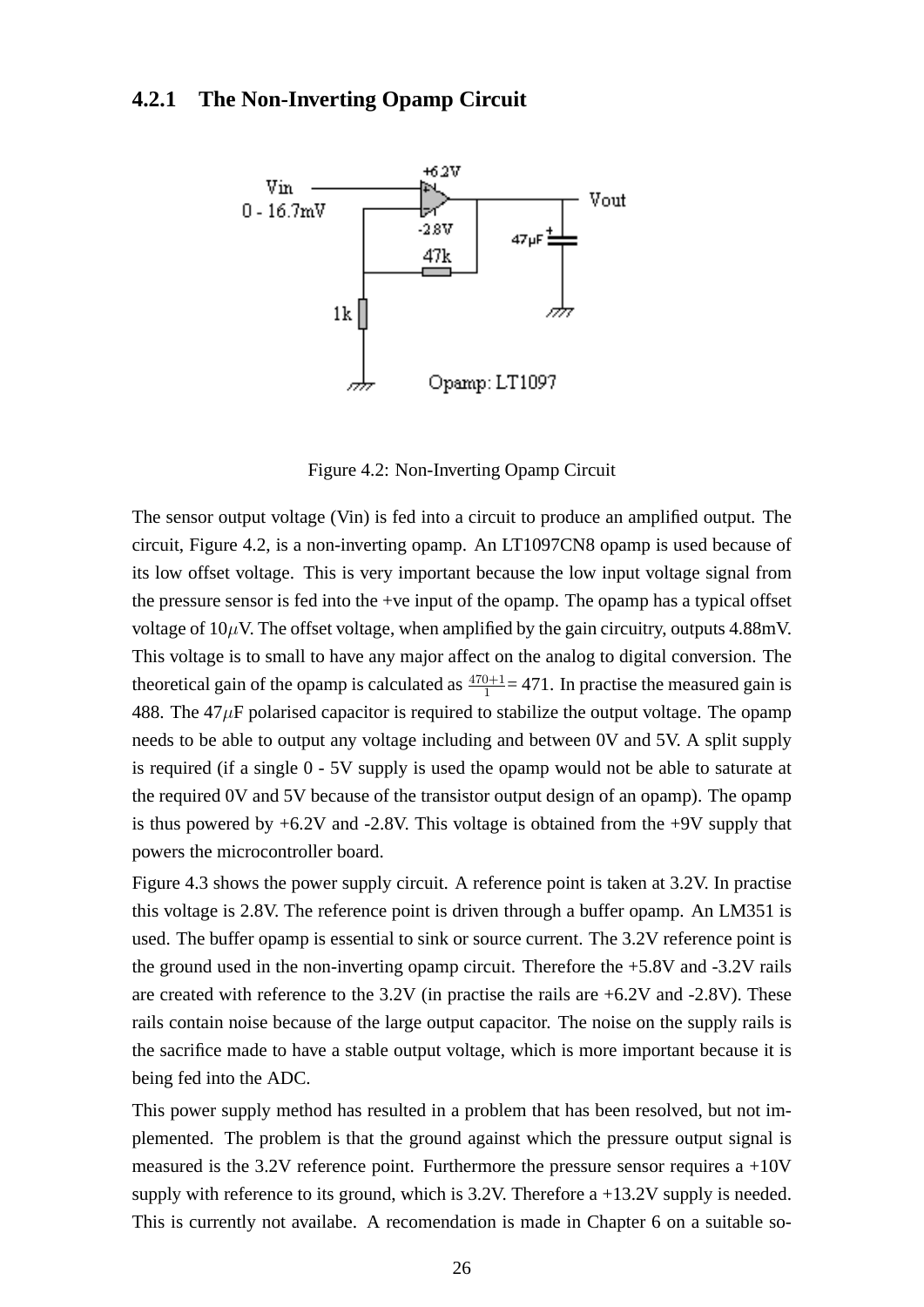#### **4.2.1 The Non-Inverting Opamp Circuit**



Figure 4.2: Non-Inverting Opamp Circuit

The sensor output voltage (Vin) is fed into a circuit to produce an amplified output. The circuit, Figure 4.2, is a non-inverting opamp. An LT1097CN8 opamp is used because of its low offset voltage. This is very important because the low input voltage signal from the pressure sensor is fed into the +ve input of the opamp. The opamp has a typical offset voltage of  $10\mu$ V. The offset voltage, when amplified by the gain circuitry, outputs 4.88mV. This voltage is to small to have any major affect on the analog to digital conversion. The theoretical gain of the opamp is calculated as  $\frac{470+1}{1}$  = 471. In practise the measured gain is 488. The  $47 \mu$ F polarised capacitor is required to stabilize the output voltage. The opamp needs to be able to output any voltage including and between 0V and 5V. A split supply is required (if a single 0 - 5V supply is used the opamp would not be able to saturate at the required 0V and 5V because of the transistor output design of an opamp). The opamp is thus powered by  $+6.2V$  and  $-2.8V$ . This voltage is obtained from the  $+9V$  supply that powers the microcontroller board.

Figure 4.3 shows the power supply circuit. A reference point is taken at 3.2V. In practise this voltage is 2.8V. The reference point is driven through a buffer opamp. An LM351 is used. The buffer opamp is essential to sink or source current. The 3.2V reference point is the ground used in the non-inverting opamp circuit. Therefore the +5.8V and -3.2V rails are created with reference to the  $3.2V$  (in practise the rails are  $+6.2V$  and  $-2.8V$ ). These rails contain noise because of the large output capacitor. The noise on the supply rails is the sacrifice made to have a stable output voltage, which is more important because it is being fed into the ADC.

This power supply method has resulted in a problem that has been resolved, but not implemented. The problem is that the ground against which the pressure output signal is measured is the  $3.2V$  reference point. Furthermore the pressure sensor requires a  $+10V$ supply with reference to its ground, which is 3.2V. Therefore a +13.2V supply is needed. This is currently not availabe. A recomendation is made in Chapter 6 on a suitable so-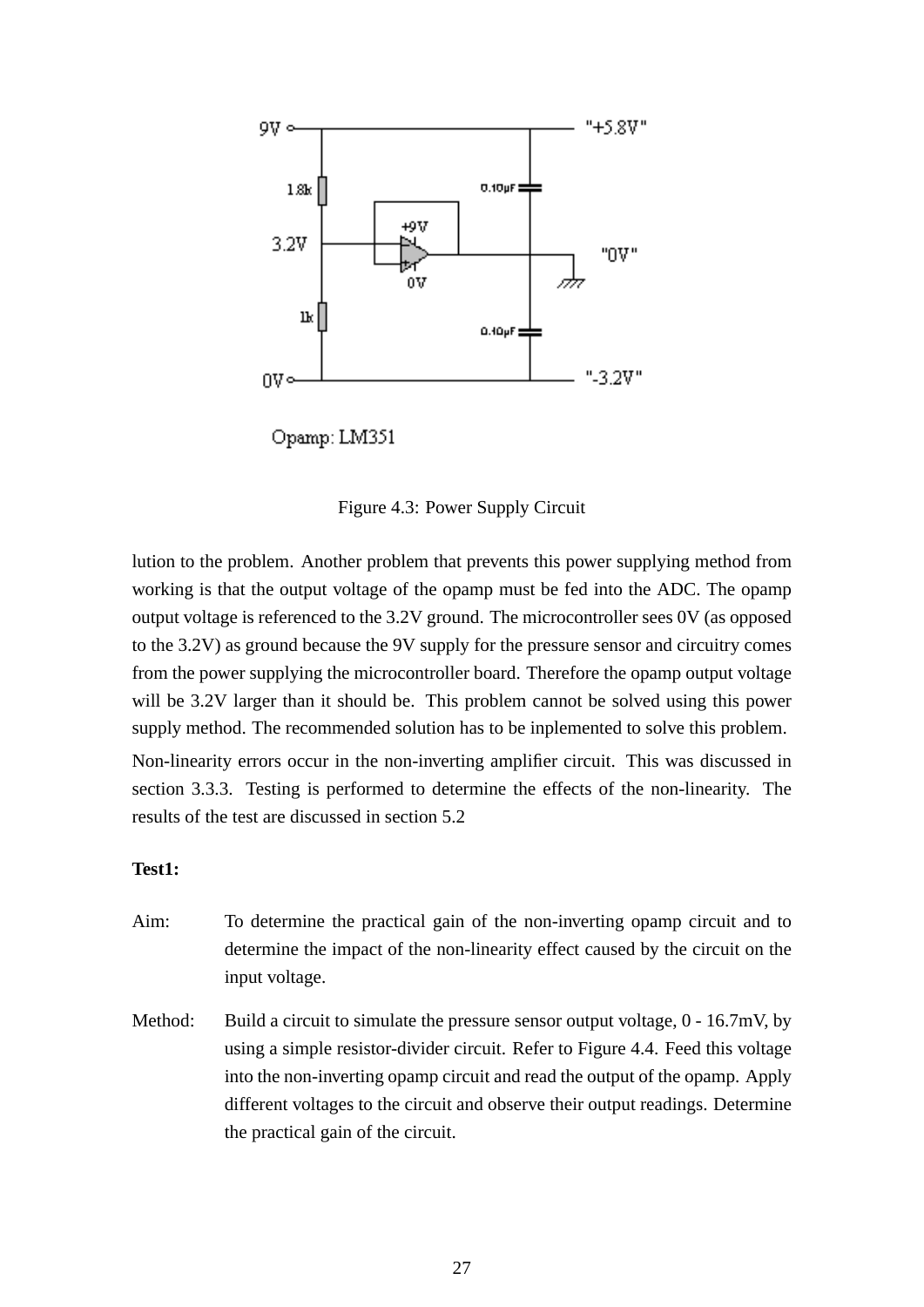

Opamp: LM351

Figure 4.3: Power Supply Circuit

lution to the problem. Another problem that prevents this power supplying method from working is that the output voltage of the opamp must be fed into the ADC. The opamp output voltage is referenced to the 3.2V ground. The microcontroller sees 0V (as opposed to the 3.2V) as ground because the 9V supply for the pressure sensor and circuitry comes from the power supplying the microcontroller board. Therefore the opamp output voltage will be 3.2V larger than it should be. This problem cannot be solved using this power supply method. The recommended solution has to be inplemented to solve this problem. Non-linearity errors occur in the non-inverting amplifier circuit. This was discussed in section 3.3.3. Testing is performed to determine the effects of the non-linearity. The results of the test are discussed in section 5.2

#### **Test1:**

- Aim: To determine the practical gain of the non-inverting opamp circuit and to determine the impact of the non-linearity effect caused by the circuit on the input voltage.
- Method: Build a circuit to simulate the pressure sensor output voltage,  $0 16.7$ mV, by using a simple resistor-divider circuit. Refer to Figure 4.4. Feed this voltage into the non-inverting opamp circuit and read the output of the opamp. Apply different voltages to the circuit and observe their output readings. Determine the practical gain of the circuit.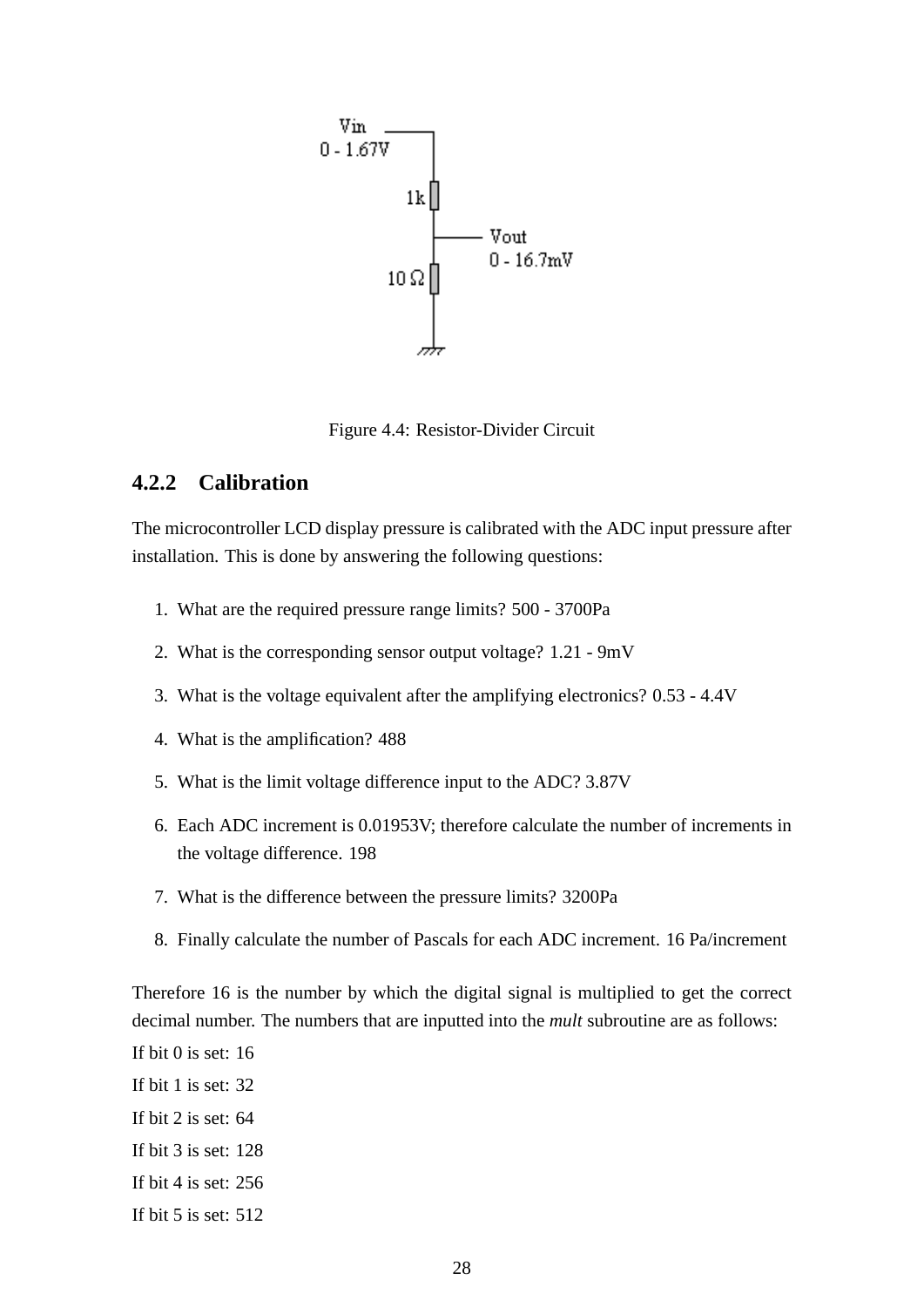

Figure 4.4: Resistor-Divider Circuit

#### **4.2.2 Calibration**

The microcontroller LCD display pressure is calibrated with the ADC input pressure after installation. This is done by answering the following questions:

- 1. What are the required pressure range limits? 500 3700Pa
- 2. What is the corresponding sensor output voltage? 1.21 9mV
- 3. What is the voltage equivalent after the amplifying electronics? 0.53 4.4V
- 4. What is the amplification? 488
- 5. What is the limit voltage difference input to the ADC? 3.87V
- 6. Each ADC increment is 0.01953V; therefore calculate the number of increments in the voltage difference. 198
- 7. What is the difference between the pressure limits? 3200Pa
- 8. Finally calculate the number of Pascals for each ADC increment. 16 Pa/increment

Therefore 16 is the number by which the digital signal is multiplied to get the correct decimal number. The numbers that are inputted into the *mult* subroutine are as follows:

If bit 0 is set: 16

- If bit 1 is set: 32
- If bit 2 is set: 64
- If bit 3 is set: 128
- If bit 4 is set: 256
- If bit 5 is set: 512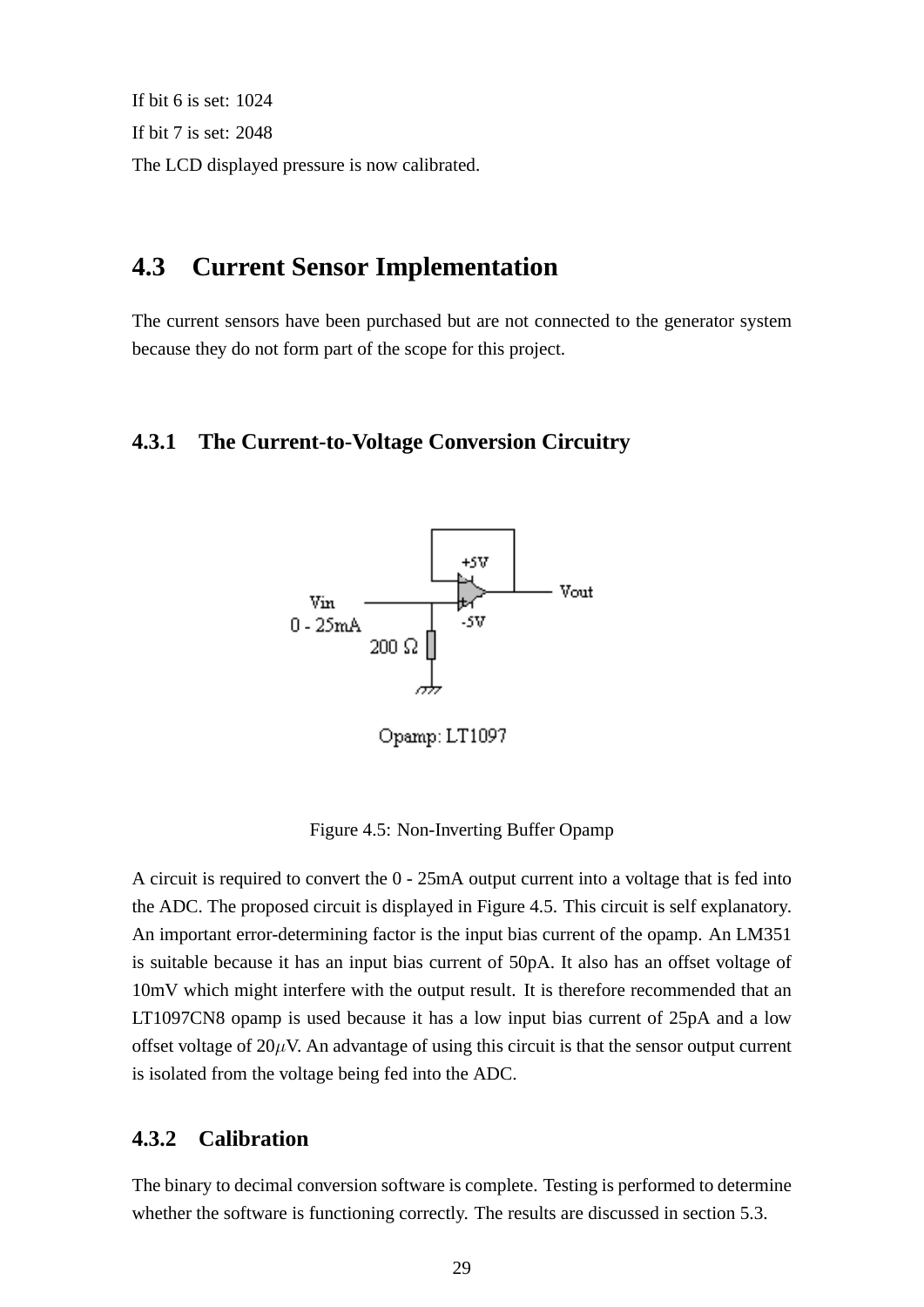If bit 6 is set: 1024 If bit 7 is set: 2048 The LCD displayed pressure is now calibrated.

### **4.3 Current Sensor Implementation**

The current sensors have been purchased but are not connected to the generator system because they do not form part of the scope for this project.

#### **4.3.1 The Current-to-Voltage Conversion Circuitry**



Opamp: LT1097

Figure 4.5: Non-Inverting Buffer Opamp

A circuit is required to convert the 0 - 25mA output current into a voltage that is fed into the ADC. The proposed circuit is displayed in Figure 4.5. This circuit is self explanatory. An important error-determining factor is the input bias current of the opamp. An LM351 is suitable because it has an input bias current of 50pA. It also has an offset voltage of 10mV which might interfere with the output result. It is therefore recommended that an LT1097CN8 opamp is used because it has a low input bias current of 25pA and a low offset voltage of  $20\mu$ V. An advantage of using this circuit is that the sensor output current is isolated from the voltage being fed into the ADC.

#### **4.3.2 Calibration**

The binary to decimal conversion software is complete. Testing is performed to determine whether the software is functioning correctly. The results are discussed in section 5.3.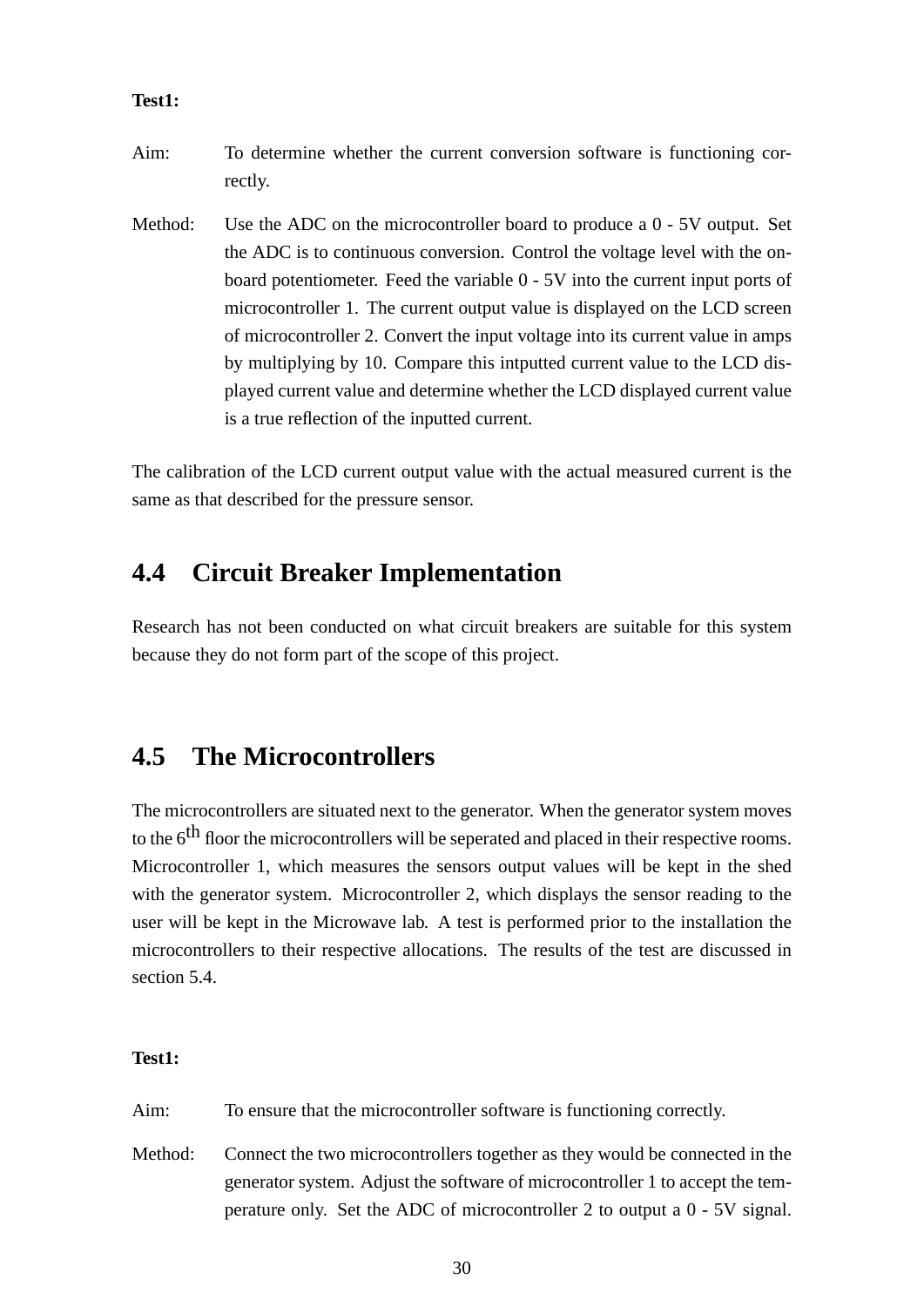#### **Test1:**

- Aim: To determine whether the current conversion software is functioning correctly.
- Method: Use the ADC on the microcontroller board to produce a 0 5V output. Set the ADC is to continuous conversion. Control the voltage level with the onboard potentiometer. Feed the variable 0 - 5V into the current input ports of microcontroller 1. The current output value is displayed on the LCD screen of microcontroller 2. Convert the input voltage into its current value in amps by multiplying by 10. Compare this intputted current value to the LCD displayed current value and determine whether the LCD displayed current value is a true reflection of the inputted current.

The calibration of the LCD current output value with the actual measured current is the same as that described for the pressure sensor.

### **4.4 Circuit Breaker Implementation**

Research has not been conducted on what circuit breakers are suitable for this system because they do not form part of the scope of this project.

### **4.5 The Microcontrollers**

The microcontrollers are situated next to the generator. When the generator system moves to the 6<sup>th</sup> floor the microcontrollers will be seperated and placed in their respective rooms. Microcontroller 1, which measures the sensors output values will be kept in the shed with the generator system. Microcontroller 2, which displays the sensor reading to the user will be kept in the Microwave lab. A test is performed prior to the installation the microcontrollers to their respective allocations. The results of the test are discussed in section 5.4.

#### **Test1:**

Aim: To ensure that the microcontroller software is functioning correctly.

Method: Connect the two microcontrollers together as they would be connected in the generator system. Adjust the software of microcontroller 1 to accept the temperature only. Set the ADC of microcontroller 2 to output a 0 - 5V signal.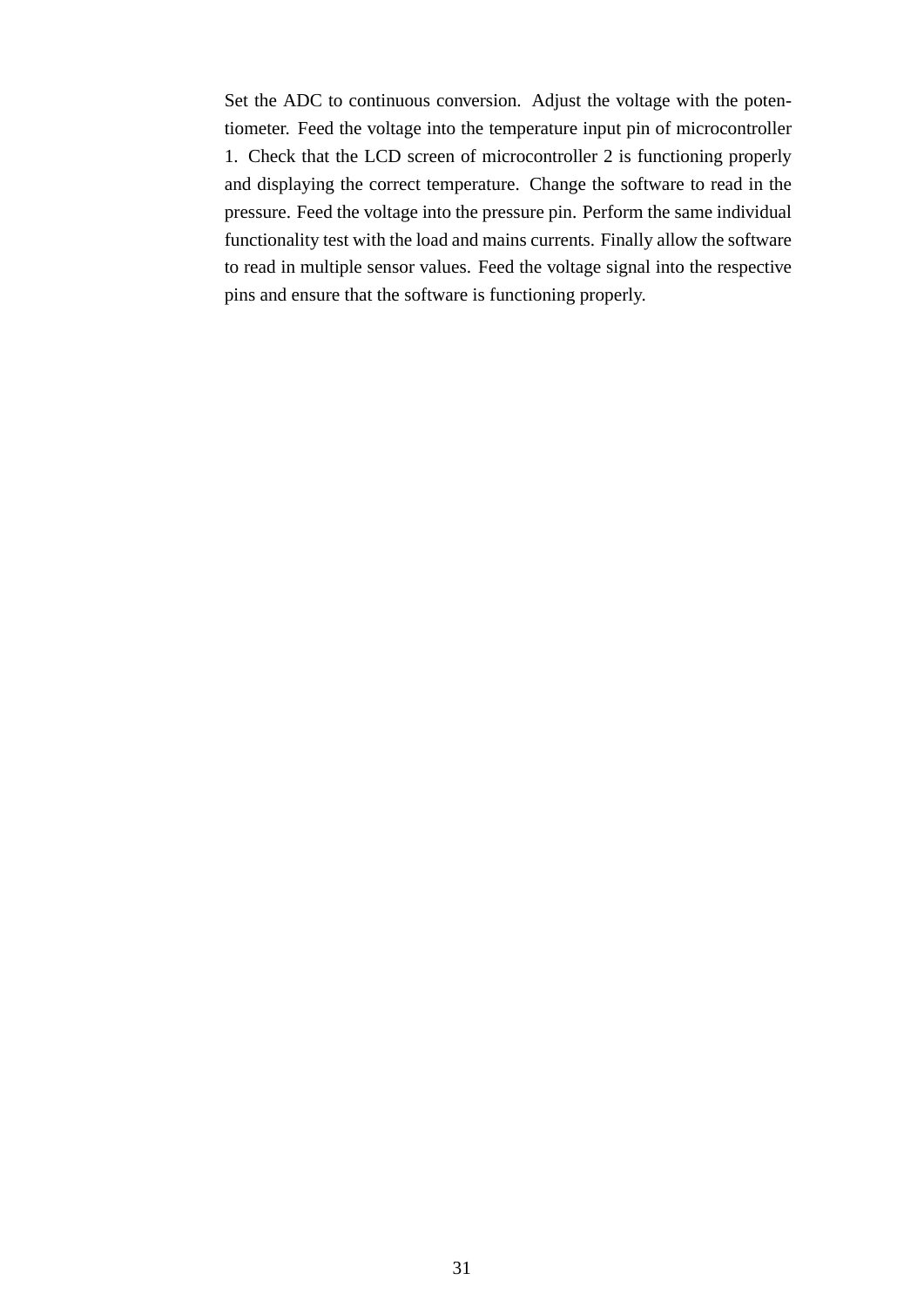Set the ADC to continuous conversion. Adjust the voltage with the potentiometer. Feed the voltage into the temperature input pin of microcontroller 1. Check that the LCD screen of microcontroller 2 is functioning properly and displaying the correct temperature. Change the software to read in the pressure. Feed the voltage into the pressure pin. Perform the same individual functionality test with the load and mains currents. Finally allow the software to read in multiple sensor values. Feed the voltage signal into the respective pins and ensure that the software is functioning properly.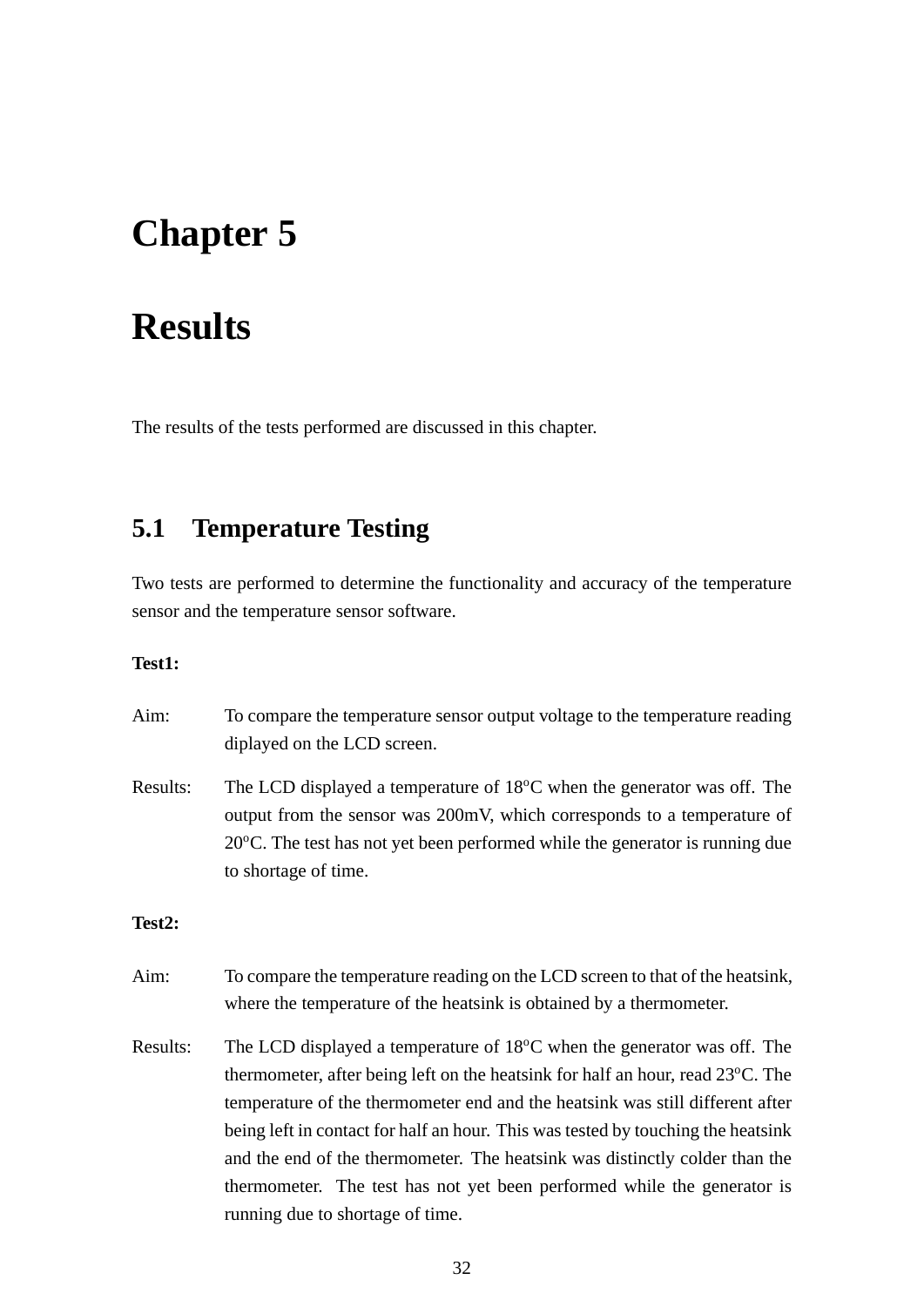## **Chapter 5**

## **Results**

The results of the tests performed are discussed in this chapter.

### **5.1 Temperature Testing**

Two tests are performed to determine the functionality and accuracy of the temperature sensor and the temperature sensor software.

#### **Test1:**

| Aim:     | To compare the temperature sensor output voltage to the temperature reading<br>diplayed on the LCD screen.                                                                                                                                                                                                                                                                                                                                                                                                                                       |
|----------|--------------------------------------------------------------------------------------------------------------------------------------------------------------------------------------------------------------------------------------------------------------------------------------------------------------------------------------------------------------------------------------------------------------------------------------------------------------------------------------------------------------------------------------------------|
| Results: | The LCD displayed a temperature of $18^{\circ}$ C when the generator was off. The<br>output from the sensor was 200mV, which corresponds to a temperature of<br>$20^{\circ}$ C. The test has not yet been performed while the generator is running due<br>to shortage of time.                                                                                                                                                                                                                                                                   |
| Test2:   |                                                                                                                                                                                                                                                                                                                                                                                                                                                                                                                                                  |
| Aim:     | To compare the temperature reading on the LCD screen to that of the heatsink,<br>where the temperature of the heatsink is obtained by a thermometer.                                                                                                                                                                                                                                                                                                                                                                                             |
| Results: | The LCD displayed a temperature of $18^{\circ}$ C when the generator was off. The<br>thermometer, after being left on the heatsink for half an hour, read $23^{\circ}$ C. The<br>temperature of the thermometer end and the heatsink was still different after<br>being left in contact for half an hour. This was tested by touching the heatsink<br>and the end of the thermometer. The heatsink was distinctly colder than the<br>thermometer. The test has not yet been performed while the generator is<br>running due to shortage of time. |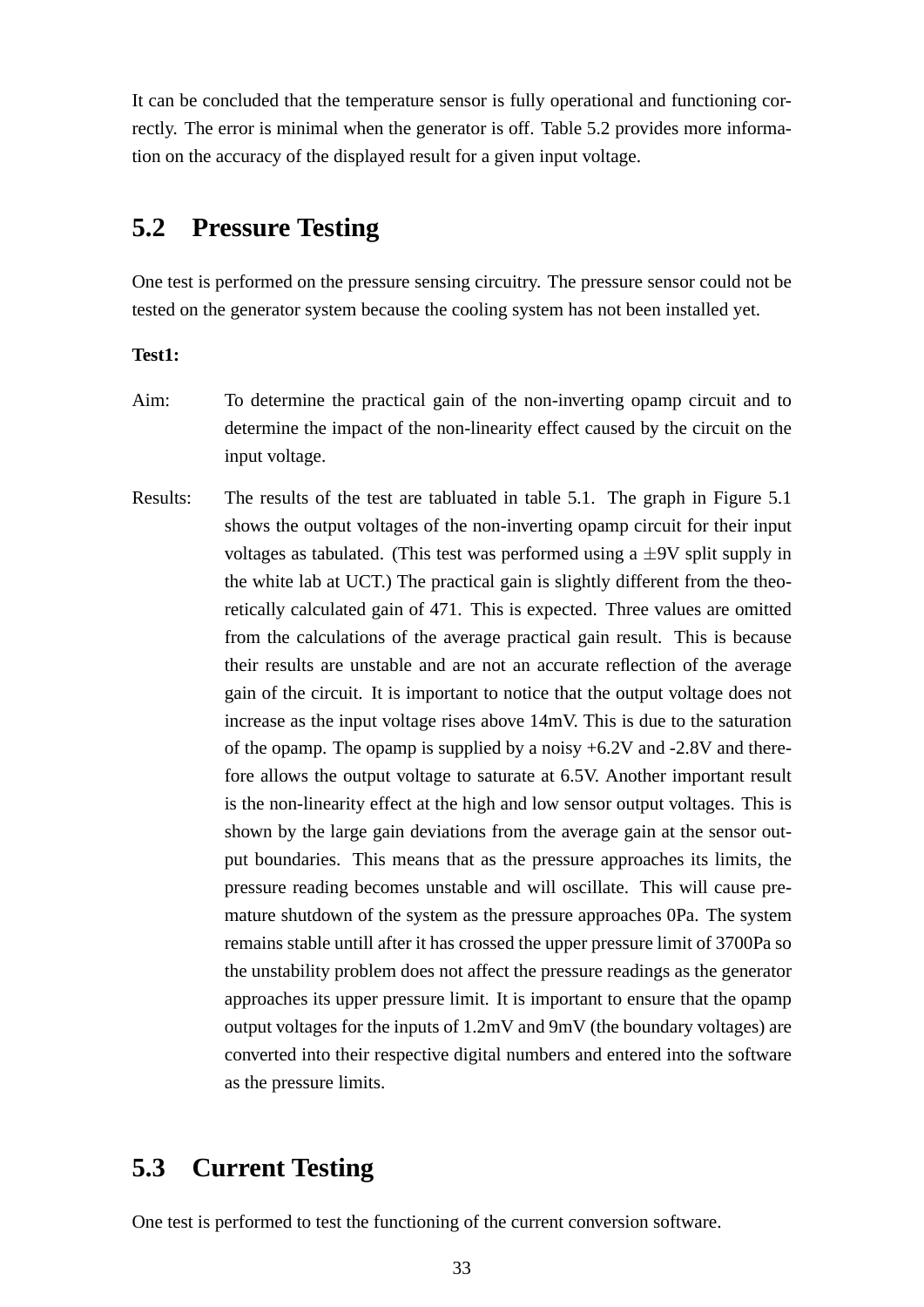It can be concluded that the temperature sensor is fully operational and functioning correctly. The error is minimal when the generator is off. Table 5.2 provides more information on the accuracy of the displayed result for a given input voltage.

### **5.2 Pressure Testing**

One test is performed on the pressure sensing circuitry. The pressure sensor could not be tested on the generator system because the cooling system has not been installed yet.

#### **Test1:**

- Aim: To determine the practical gain of the non-inverting opamp circuit and to determine the impact of the non-linearity effect caused by the circuit on the input voltage.
- Results: The results of the test are tabluated in table 5.1. The graph in Figure 5.1 shows the output voltages of the non-inverting opamp circuit for their input voltages as tabulated. (This test was performed using a  $\pm$ 9V split supply in the white lab at UCT.) The practical gain is slightly different from the theoretically calculated gain of 471. This is expected. Three values are omitted from the calculations of the average practical gain result. This is because their results are unstable and are not an accurate reflection of the average gain of the circuit. It is important to notice that the output voltage does not increase as the input voltage rises above 14mV. This is due to the saturation of the opamp. The opamp is supplied by a noisy +6.2V and -2.8V and therefore allows the output voltage to saturate at 6.5V. Another important result is the non-linearity effect at the high and low sensor output voltages. This is shown by the large gain deviations from the average gain at the sensor output boundaries. This means that as the pressure approaches its limits, the pressure reading becomes unstable and will oscillate. This will cause premature shutdown of the system as the pressure approaches 0Pa. The system remains stable untill after it has crossed the upper pressure limit of 3700Pa so the unstability problem does not affect the pressure readings as the generator approaches its upper pressure limit. It is important to ensure that the opamp output voltages for the inputs of 1.2mV and 9mV (the boundary voltages) are converted into their respective digital numbers and entered into the software as the pressure limits.

### **5.3 Current Testing**

One test is performed to test the functioning of the current conversion software.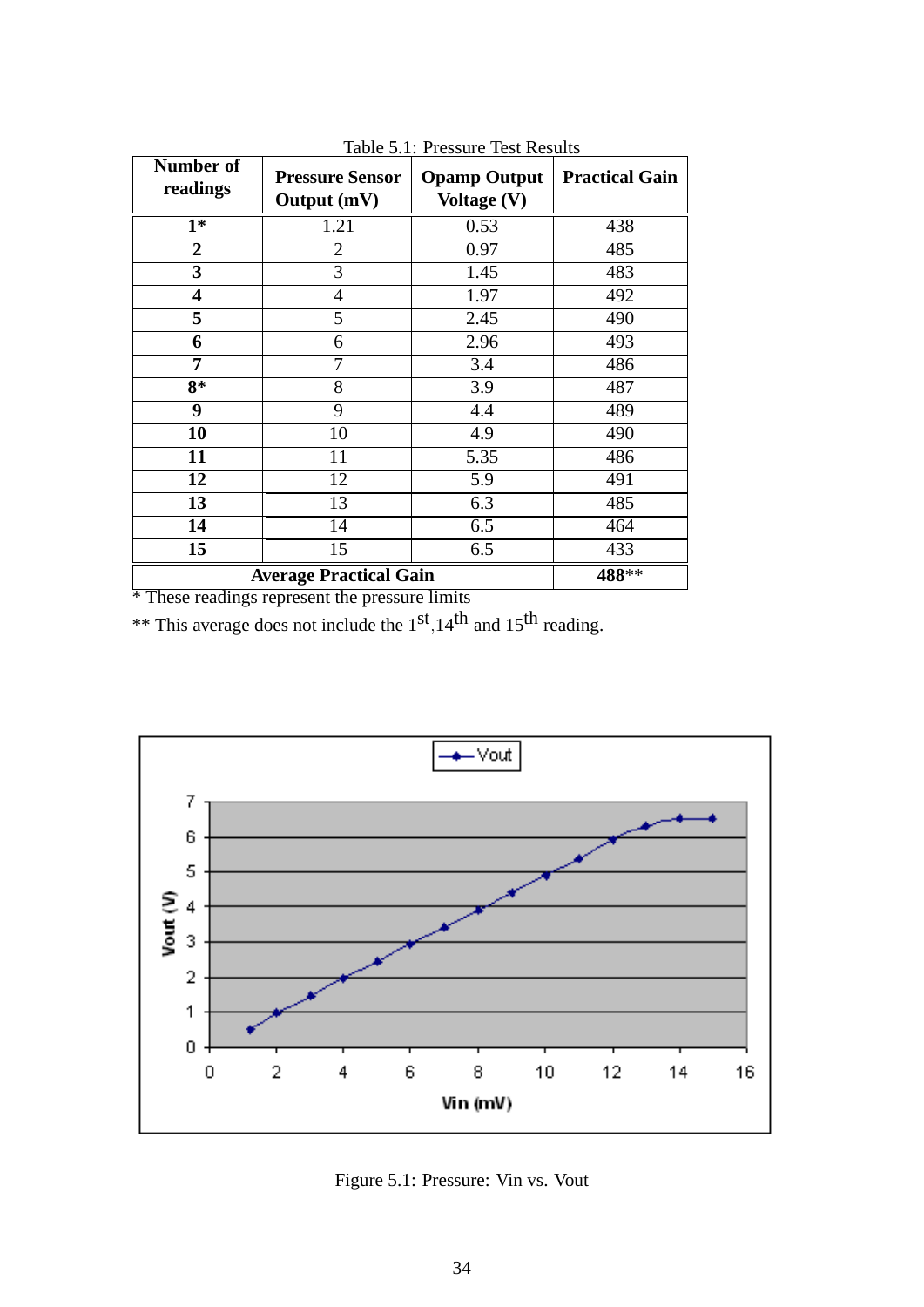| Number of<br>readings   | <b>Pressure Sensor</b><br>Output (mV) | <b>Opamp Output</b><br>Voltage (V) | <b>Practical Gain</b> |
|-------------------------|---------------------------------------|------------------------------------|-----------------------|
| $1*$                    | 1.21                                  | 0.53                               | 438                   |
| $\overline{2}$          | $\overline{2}$                        | 0.97                               | 485                   |
| $\overline{\mathbf{3}}$ | 3                                     | 1.45                               | 483                   |
| $\overline{\mathbf{4}}$ | $\overline{4}$                        | 1.97                               | 492                   |
| 5                       | 5                                     | 2.45                               | 490                   |
| 6                       | 6                                     | 2.96                               | 493                   |
| 7                       | 7                                     | 3.4                                | 486                   |
| $8*$                    | 8                                     | 3.9                                | 487                   |
| 9                       | 9                                     | 4.4                                | 489                   |
| 10                      | 10                                    | 4.9                                | 490                   |
| 11                      | 11                                    | $\overline{5.35}$                  | 486                   |
| 12                      | 12                                    | 5.9                                | 491                   |
| 13                      | 13                                    | 6.3                                | 485                   |
| 14                      | 14                                    | 6.5                                | 464                   |
| 15                      | 15                                    | 6.5                                | 433                   |
|                         | <b>Average Practical Gain</b>         |                                    | 488**                 |

Table 5.1: Pressure Test Results

\* These readings represent the pressure limits

\*\* This average does not include the  $1<sup>st</sup>$ ,  $14<sup>th</sup>$  and  $15<sup>th</sup>$  reading.



Figure 5.1: Pressure: Vin vs. Vout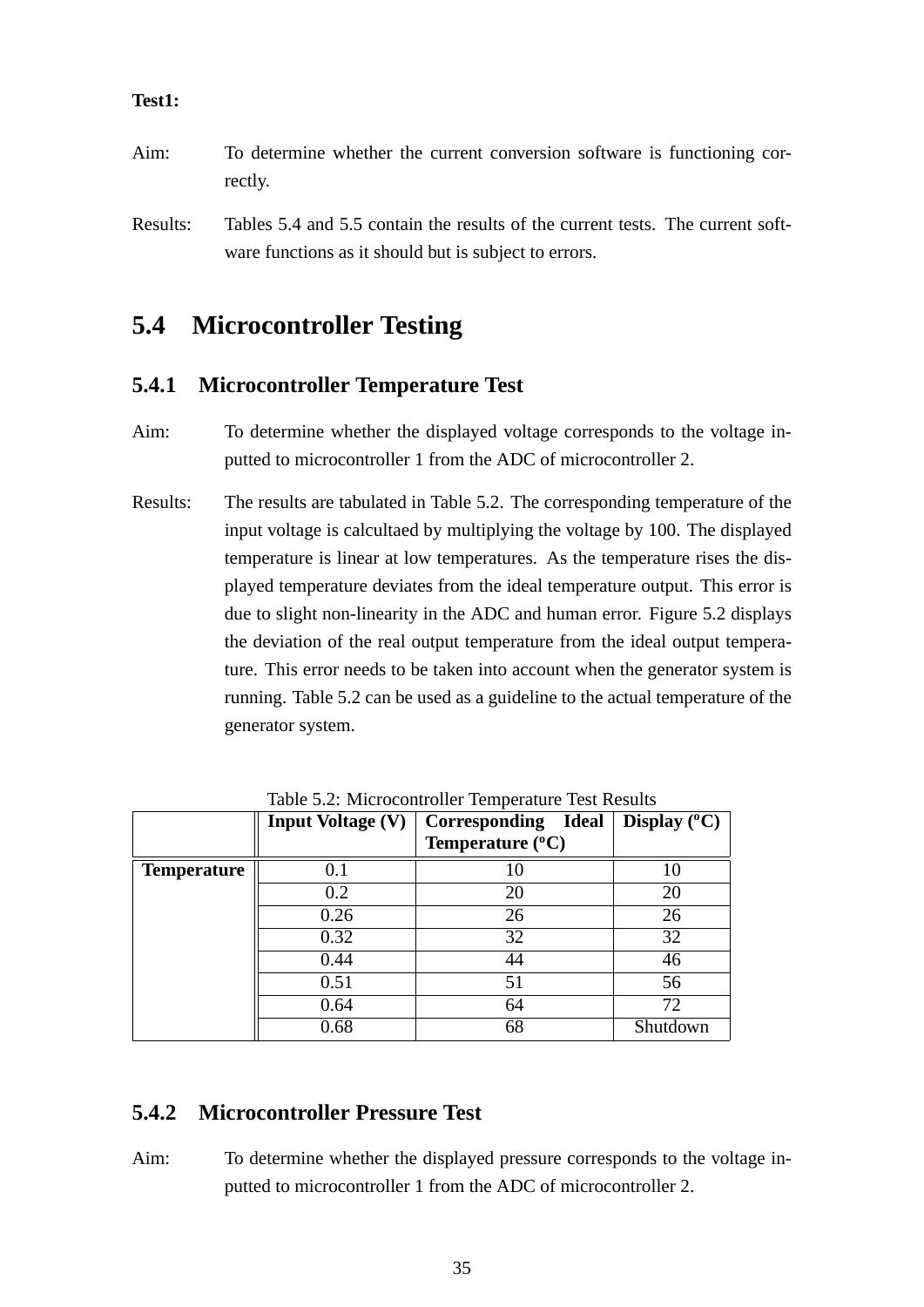#### **Test1:**

- Aim: To determine whether the current conversion software is functioning correctly.
- Results: Tables 5.4 and 5.5 contain the results of the current tests. The current software functions as it should but is subject to errors.

### **5.4 Microcontroller Testing**

#### **5.4.1 Microcontroller Temperature Test**

- Aim: To determine whether the displayed voltage corresponds to the voltage inputted to microcontroller 1 from the ADC of microcontroller 2.
- Results: The results are tabulated in Table 5.2. The corresponding temperature of the input voltage is calcultaed by multiplying the voltage by 100. The displayed temperature is linear at low temperatures. As the temperature rises the displayed temperature deviates from the ideal temperature output. This error is due to slight non-linearity in the ADC and human error. Figure 5.2 displays the deviation of the real output temperature from the ideal output temperature. This error needs to be taken into account when the generator system is running. Table 5.2 can be used as a guideline to the actual temperature of the generator system.

|                    | <b>Input Voltage (V)</b> | Corresponding Ideal       | Display $(^{\circ}C)$ |
|--------------------|--------------------------|---------------------------|-----------------------|
|                    |                          | Temperature $(^{\circ}C)$ |                       |
| <b>Temperature</b> | 0.1                      | 10                        | 10                    |
|                    | 0.2                      | 20                        | 20                    |
|                    | 0.26                     | 26                        | 26                    |
|                    | 0.32                     | $\overline{32}$           | 32                    |
|                    | 0.44                     | 44                        | 46                    |
|                    | 0.51                     | 51                        | 56                    |
|                    | 0.64                     | 64                        | 72                    |
|                    | 0.68                     | 68                        | Shutdown              |

Table 5.2: Microcontroller Temperature Test Results

#### **5.4.2 Microcontroller Pressure Test**

Aim: To determine whether the displayed pressure corresponds to the voltage inputted to microcontroller 1 from the ADC of microcontroller 2.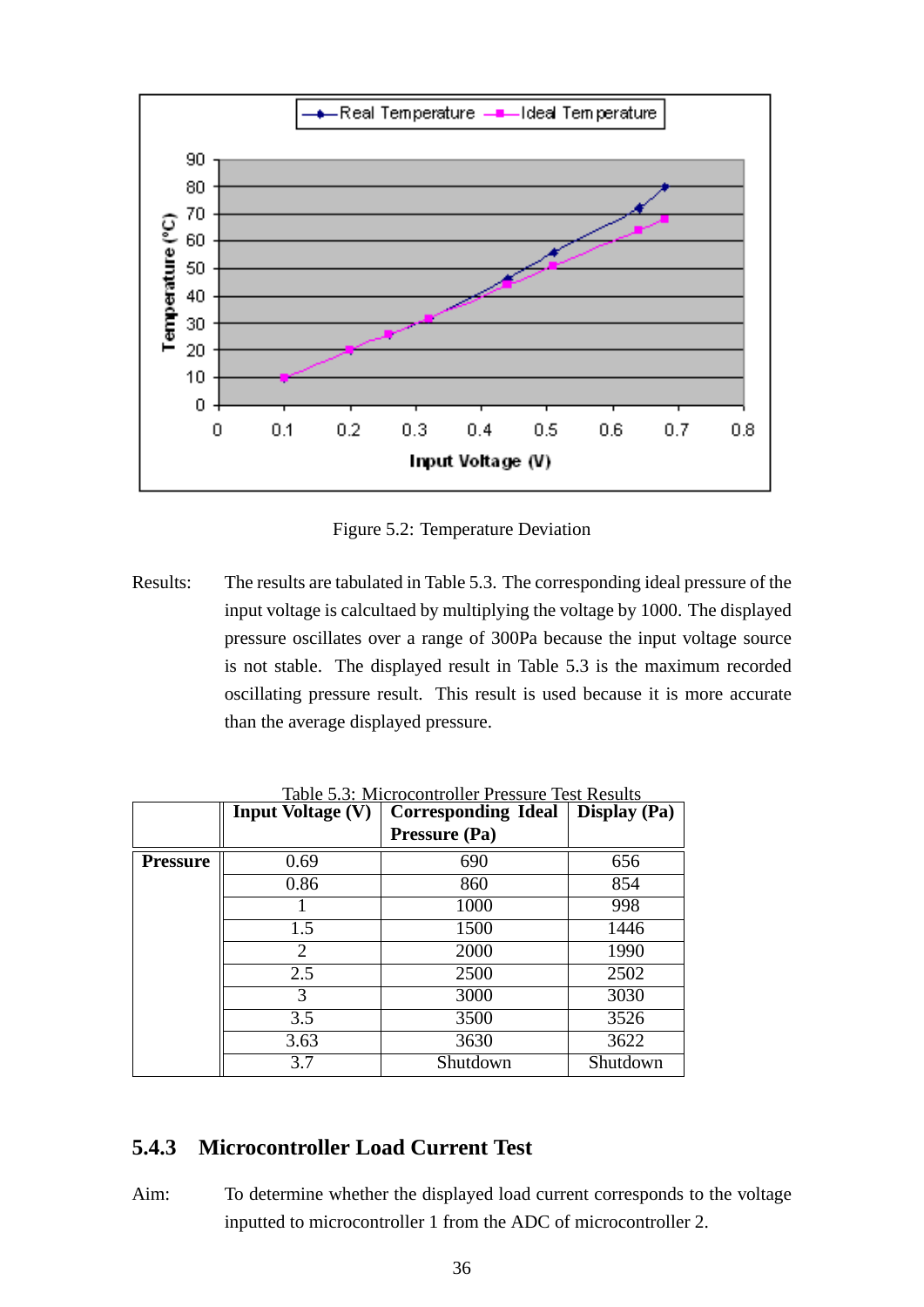

Figure 5.2: Temperature Deviation

Results: The results are tabulated in Table 5.3. The corresponding ideal pressure of the input voltage is calcultaed by multiplying the voltage by 1000. The displayed pressure oscillates over a range of 300Pa because the input voltage source is not stable. The displayed result in Table 5.3 is the maximum recorded oscillating pressure result. This result is used because it is more accurate than the average displayed pressure.

|                 | <b>Input Voltage (V)</b> | <b>Corresponding Ideal</b> | <b>Display</b> (Pa) |
|-----------------|--------------------------|----------------------------|---------------------|
|                 |                          | Pressure (Pa)              |                     |
| <b>Pressure</b> | 0.69                     | 690                        | 656                 |
|                 | 0.86                     | 860                        | 854                 |
|                 |                          | 1000                       | 998                 |
|                 | 1.5                      | 1500                       | 1446                |
|                 | 2                        | 2000                       | 1990                |
|                 | 2.5                      | 2500                       | 2502                |
|                 | 3                        | 3000                       | 3030                |
|                 | 3.5                      | 3500                       | 3526                |
|                 | 3.63                     | 3630                       | 3622                |
|                 | 3.7                      | Shutdown                   | Shutdown            |

Table 5.3: Microcontroller Pressure Test Results

#### **5.4.3 Microcontroller Load Current Test**

Aim: To determine whether the displayed load current corresponds to the voltage inputted to microcontroller 1 from the ADC of microcontroller 2.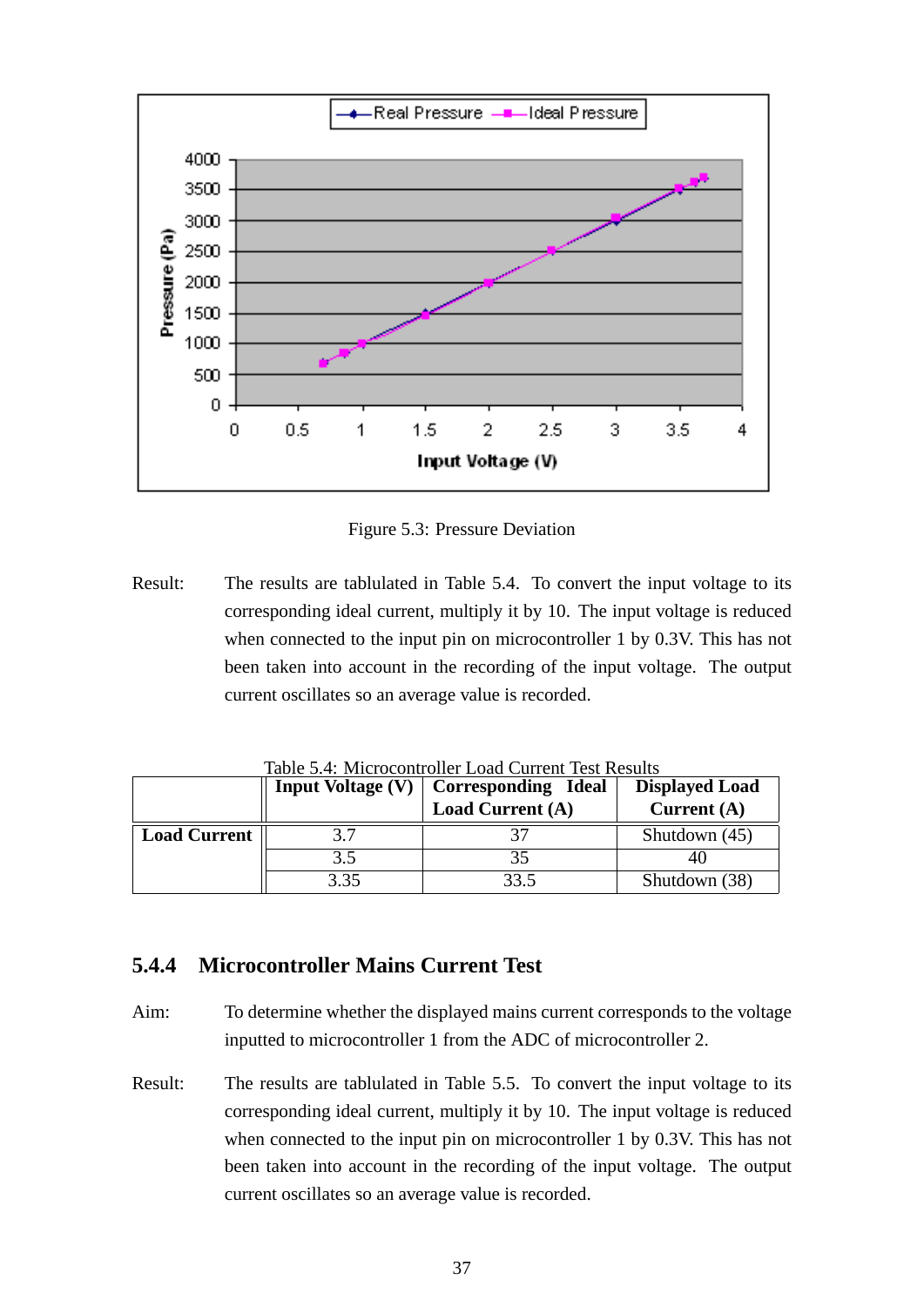

Figure 5.3: Pressure Deviation

Result: The results are tablulated in Table 5.4. To convert the input voltage to its corresponding ideal current, multiply it by 10. The input voltage is reduced when connected to the input pin on microcontroller 1 by 0.3V. This has not been taken into account in the recording of the input voltage. The output current oscillates so an average value is recorded.

|                     | <b>Input Voltage (V)</b> | <b>Corresponding Ideal</b> | <b>Displayed Load</b> |
|---------------------|--------------------------|----------------------------|-----------------------|
|                     |                          | <b>Load Current (A)</b>    | Current $(A)$         |
| <b>Load Current</b> | 37                       |                            | Shutdown $(45)$       |
|                     | 3.5                      |                            |                       |
|                     | 3.35                     | २२ ५                       | Shutdown (38)         |

Table 5.4: Microcontroller Load Current Test Results

#### **5.4.4 Microcontroller Mains Current Test**

- Aim: To determine whether the displayed mains current corresponds to the voltage inputted to microcontroller 1 from the ADC of microcontroller 2.
- Result: The results are tablulated in Table 5.5. To convert the input voltage to its corresponding ideal current, multiply it by 10. The input voltage is reduced when connected to the input pin on microcontroller 1 by 0.3V. This has not been taken into account in the recording of the input voltage. The output current oscillates so an average value is recorded.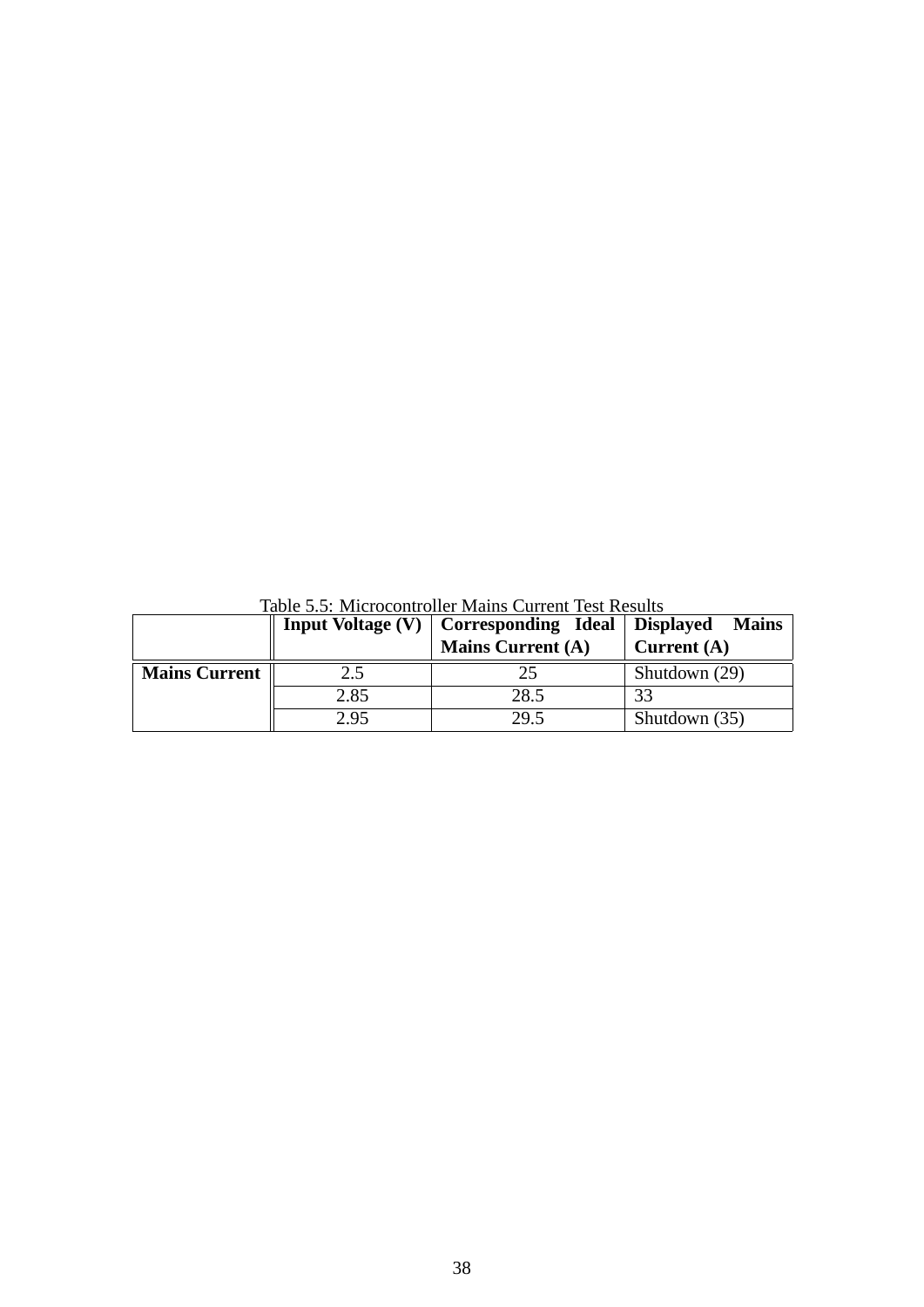|                      |      | <b>Input Voltage (V)</b> $\vert$ Corresponding Ideal $\vert$ Displayed Mains |               |
|----------------------|------|------------------------------------------------------------------------------|---------------|
|                      |      | <b>Mains Current (A)</b>                                                     | Current $(A)$ |
| <b>Mains Current</b> | 2.5  | 25                                                                           | Shutdown (29) |
|                      | 2.85 | 28.5                                                                         |               |
|                      | 2.95 | 29.5                                                                         | Shutdown (35) |

Table 5.5: Microcontroller Mains Current Test Results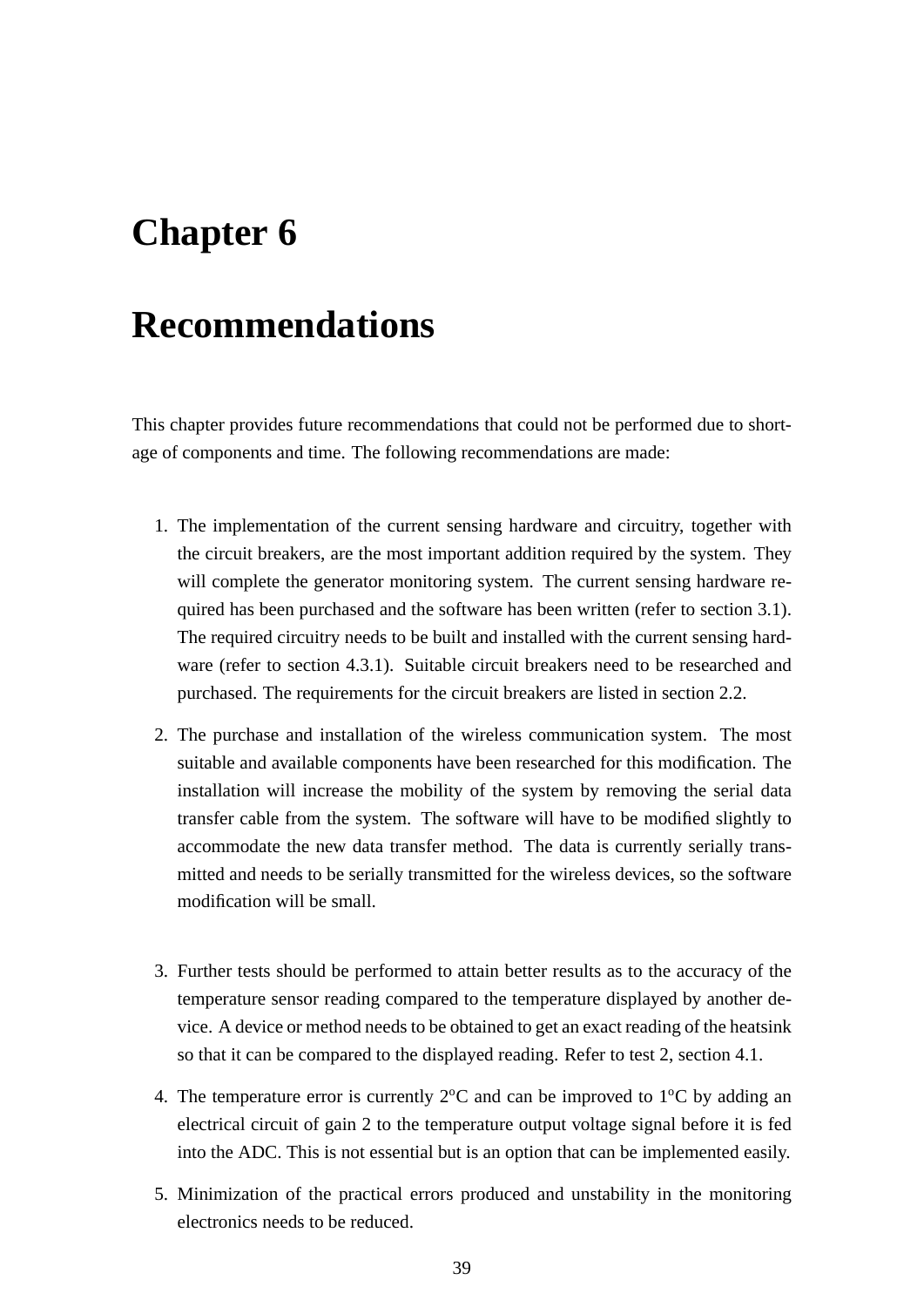## **Chapter 6**

## **Recommendations**

This chapter provides future recommendations that could not be performed due to shortage of components and time. The following recommendations are made:

- 1. The implementation of the current sensing hardware and circuitry, together with the circuit breakers, are the most important addition required by the system. They will complete the generator monitoring system. The current sensing hardware required has been purchased and the software has been written (refer to section 3.1). The required circuitry needs to be built and installed with the current sensing hardware (refer to section 4.3.1). Suitable circuit breakers need to be researched and purchased. The requirements for the circuit breakers are listed in section 2.2.
- 2. The purchase and installation of the wireless communication system. The most suitable and available components have been researched for this modification. The installation will increase the mobility of the system by removing the serial data transfer cable from the system. The software will have to be modified slightly to accommodate the new data transfer method. The data is currently serially transmitted and needs to be serially transmitted for the wireless devices, so the software modification will be small.
- 3. Further tests should be performed to attain better results as to the accuracy of the temperature sensor reading compared to the temperature displayed by another device. A device or method needs to be obtained to get an exact reading of the heatsink so that it can be compared to the displayed reading. Refer to test 2, section 4.1.
- 4. The temperature error is currently  $2^{\circ}$ C and can be improved to  $1^{\circ}$ C by adding an electrical circuit of gain 2 to the temperature output voltage signal before it is fed into the ADC. This is not essential but is an option that can be implemented easily.
- 5. Minimization of the practical errors produced and unstability in the monitoring electronics needs to be reduced.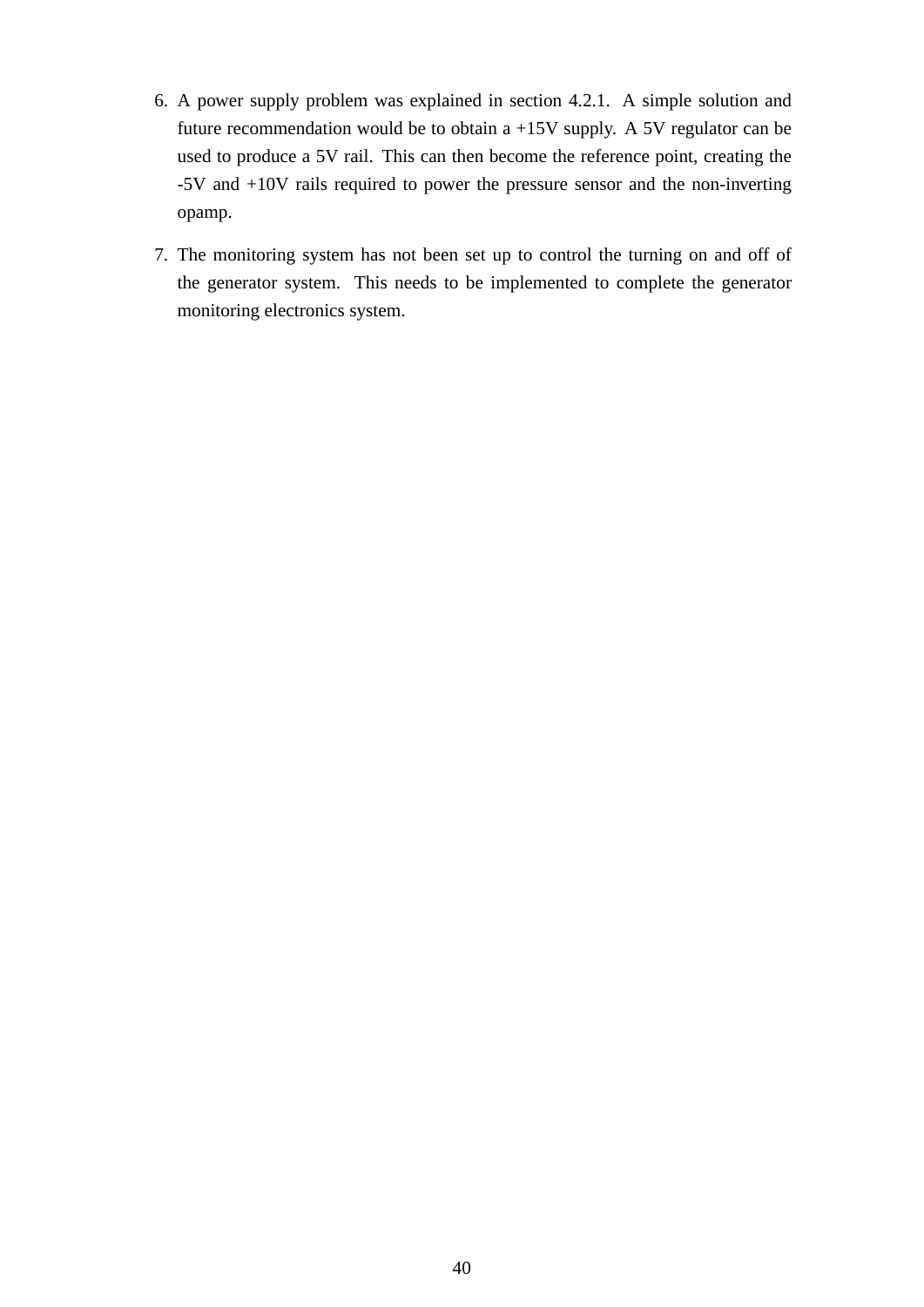- 6. A power supply problem was explained in section 4.2.1. A simple solution and future recommendation would be to obtain a +15V supply. A 5V regulator can be used to produce a 5V rail. This can then become the reference point, creating the -5V and +10V rails required to power the pressure sensor and the non-inverting opamp.
- 7. The monitoring system has not been set up to control the turning on and off of the generator system. This needs to be implemented to complete the generator monitoring electronics system.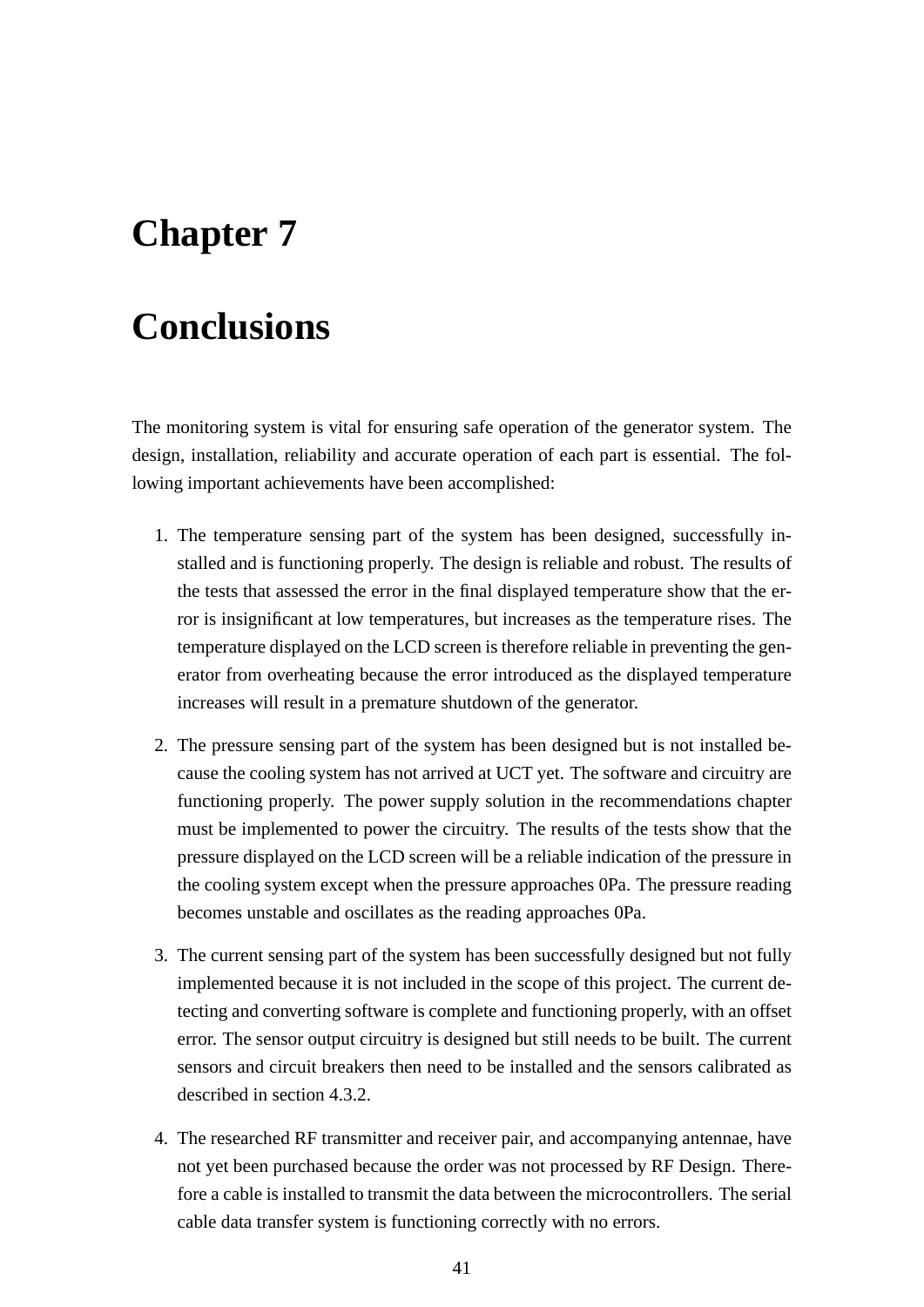## **Chapter 7**

## **Conclusions**

The monitoring system is vital for ensuring safe operation of the generator system. The design, installation, reliability and accurate operation of each part is essential. The following important achievements have been accomplished:

- 1. The temperature sensing part of the system has been designed, successfully installed and is functioning properly. The design is reliable and robust. The results of the tests that assessed the error in the final displayed temperature show that the error is insignificant at low temperatures, but increases as the temperature rises. The temperature displayed on the LCD screen is therefore reliable in preventing the generator from overheating because the error introduced as the displayed temperature increases will result in a premature shutdown of the generator.
- 2. The pressure sensing part of the system has been designed but is not installed because the cooling system has not arrived at UCT yet. The software and circuitry are functioning properly. The power supply solution in the recommendations chapter must be implemented to power the circuitry. The results of the tests show that the pressure displayed on the LCD screen will be a reliable indication of the pressure in the cooling system except when the pressure approaches 0Pa. The pressure reading becomes unstable and oscillates as the reading approaches 0Pa.
- 3. The current sensing part of the system has been successfully designed but not fully implemented because it is not included in the scope of this project. The current detecting and converting software is complete and functioning properly, with an offset error. The sensor output circuitry is designed but still needs to be built. The current sensors and circuit breakers then need to be installed and the sensors calibrated as described in section 4.3.2.
- 4. The researched RF transmitter and receiver pair, and accompanying antennae, have not yet been purchased because the order was not processed by RF Design. Therefore a cable is installed to transmit the data between the microcontrollers. The serial cable data transfer system is functioning correctly with no errors.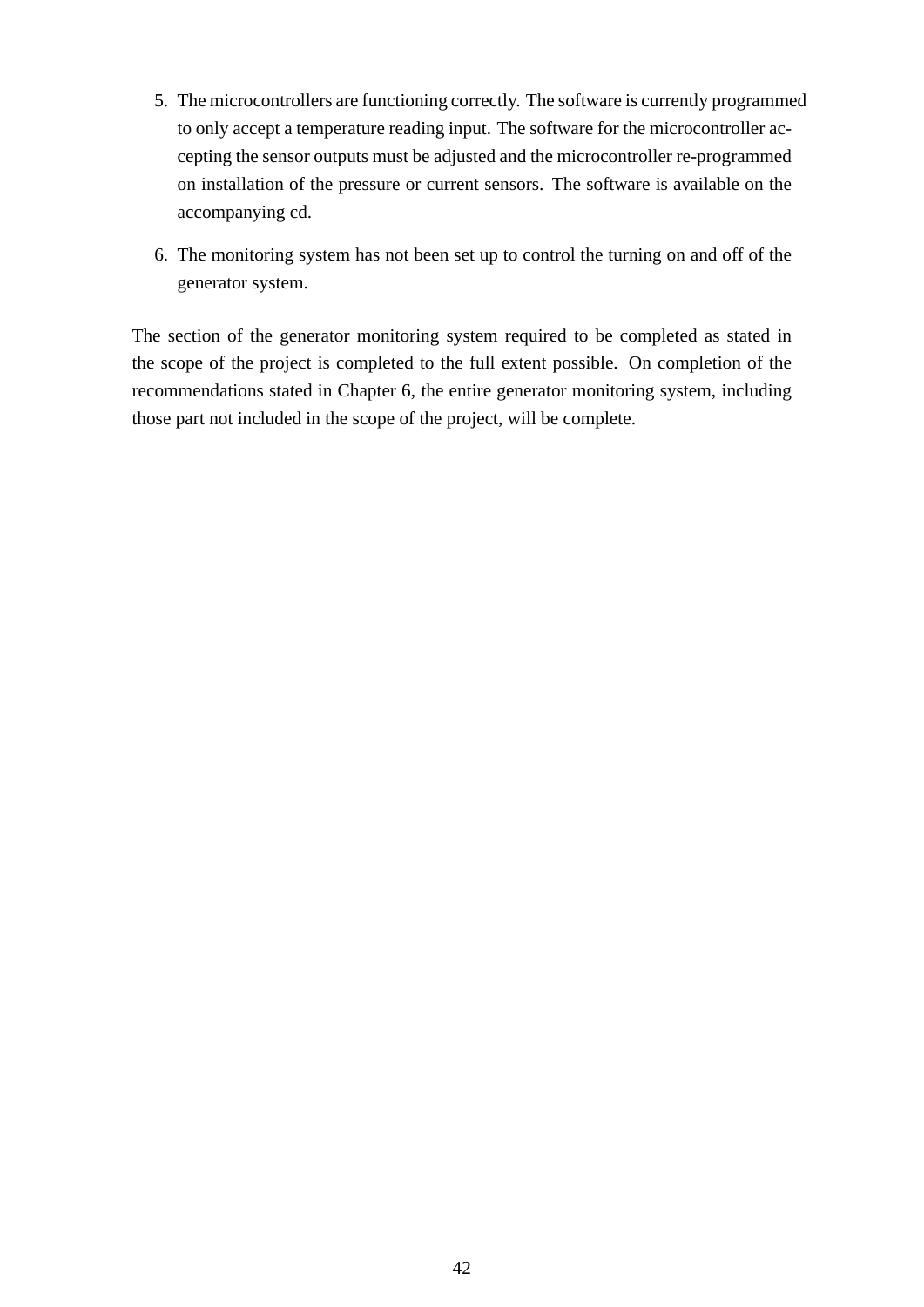- 5. The microcontrollers are functioning correctly. The software is currently programmed to only accept a temperature reading input. The software for the microcontroller accepting the sensor outputs must be adjusted and the microcontroller re-programmed on installation of the pressure or current sensors. The software is available on the accompanying cd.
- 6. The monitoring system has not been set up to control the turning on and off of the generator system.

The section of the generator monitoring system required to be completed as stated in the scope of the project is completed to the full extent possible. On completion of the recommendations stated in Chapter 6, the entire generator monitoring system, including those part not included in the scope of the project, will be complete.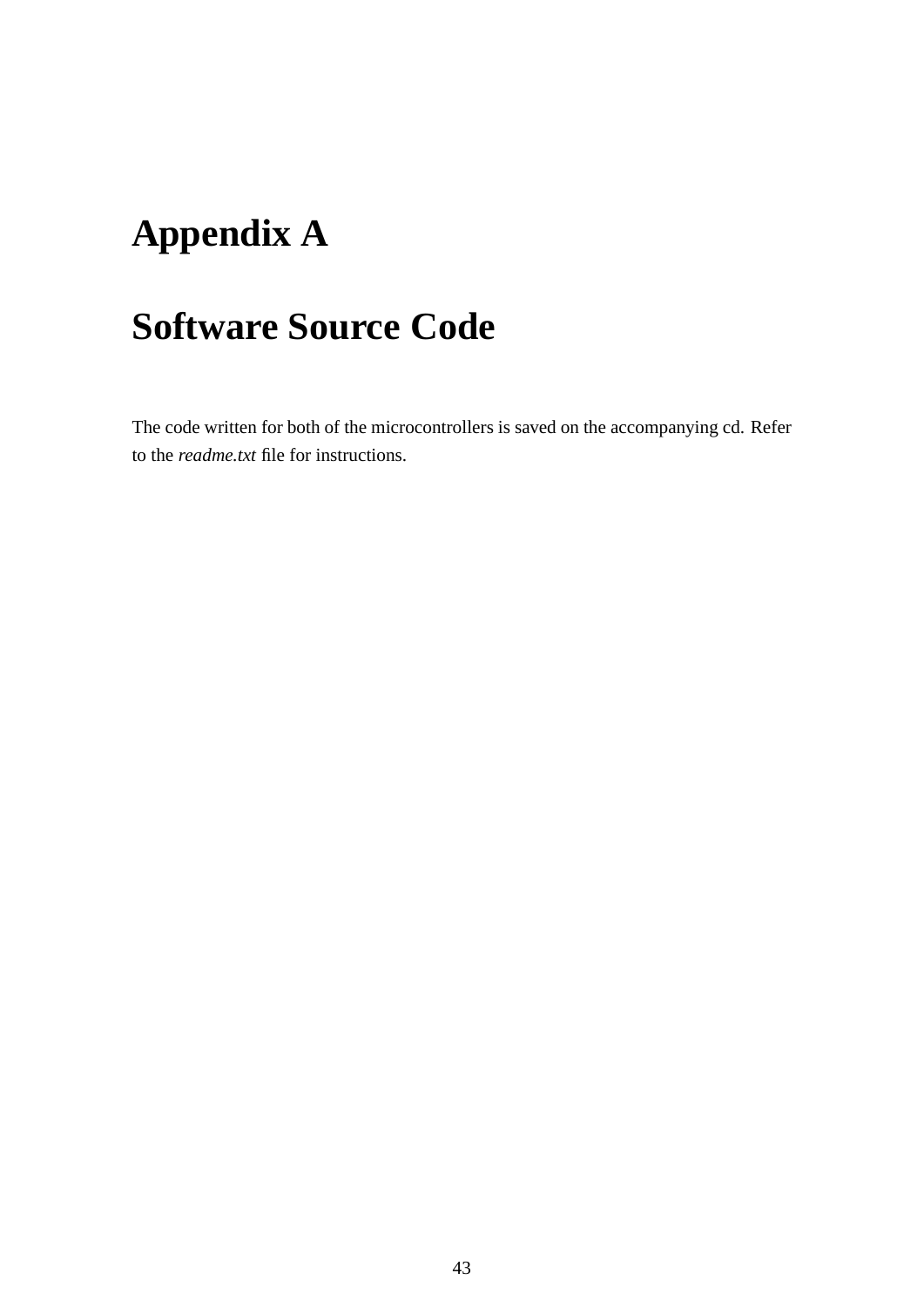# **Appendix A**

## **Software Source Code**

The code written for both of the microcontrollers is saved on the accompanying cd. Refer to the *readme.txt* file for instructions.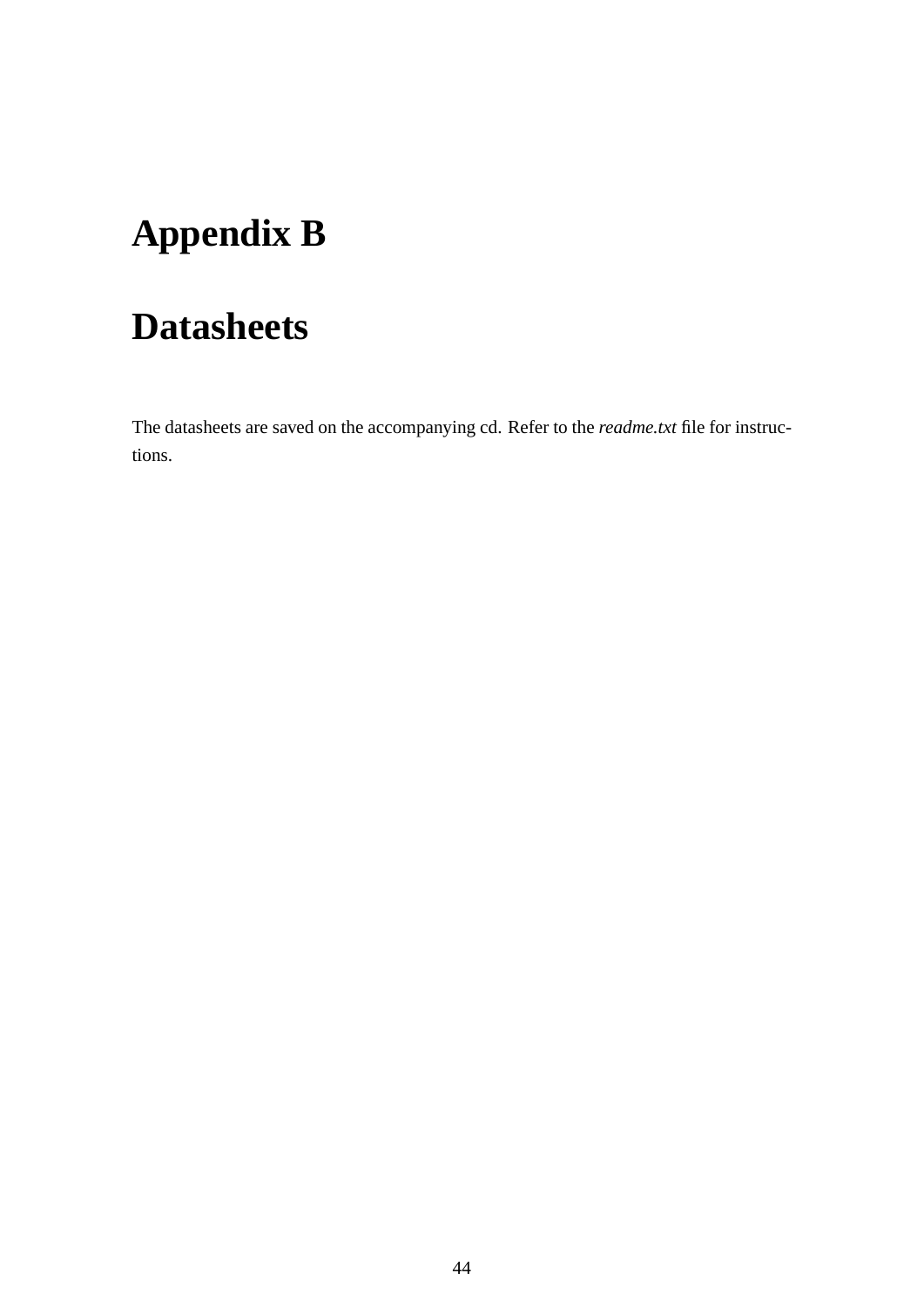# **Appendix B**

## **Datasheets**

The datasheets are saved on the accompanying cd. Refer to the *readme.txt* file for instructions.